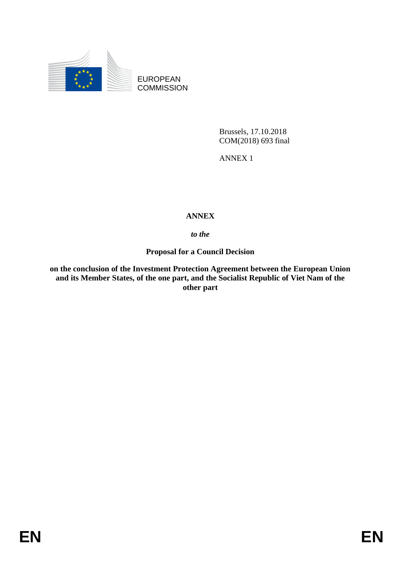

EUROPEAN **COMMISSION** 

> Brussels, 17.10.2018 COM(2018) 693 final

ANNEX 1

# **ANNEX**

# *to the*

# **Proposal for a Council Decision**

**on the conclusion of the Investment Protection Agreement between the European Union and its Member States, of the one part, and the Socialist Republic of Viet Nam of the other part**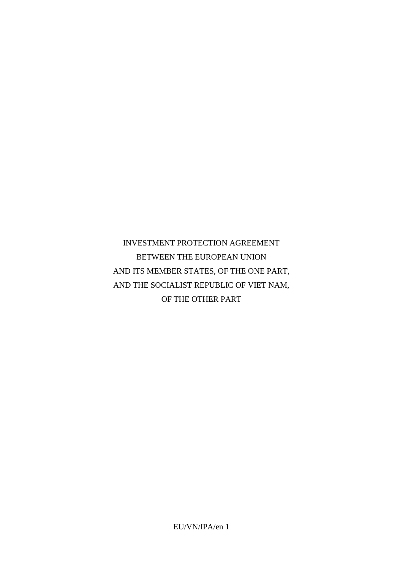INVESTMENT PROTECTION AGREEMENT BETWEEN THE EUROPEAN UNION AND ITS MEMBER STATES, OF THE ONE PART, AND THE SOCIALIST REPUBLIC OF VIET NAM, OF THE OTHER PART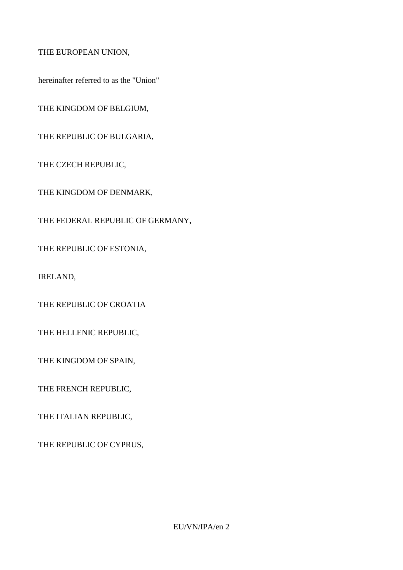THE EUROPEAN UNION,

hereinafter referred to as the "Union"

THE KINGDOM OF BELGIUM,

THE REPUBLIC OF BULGARIA,

THE CZECH REPUBLIC,

THE KINGDOM OF DENMARK,

THE FEDERAL REPUBLIC OF GERMANY,

THE REPUBLIC OF ESTONIA,

IRELAND,

THE REPUBLIC OF CROATIA

THE HELLENIC REPUBLIC,

THE KINGDOM OF SPAIN,

THE FRENCH REPUBLIC,

THE ITALIAN REPUBLIC,

THE REPUBLIC OF CYPRUS,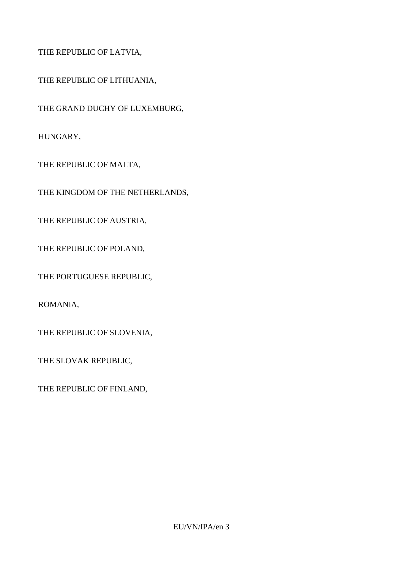THE REPUBLIC OF LATVIA,

THE REPUBLIC OF LITHUANIA,

THE GRAND DUCHY OF LUXEMBURG,

HUNGARY,

THE REPUBLIC OF MALTA,

THE KINGDOM OF THE NETHERLANDS,

THE REPUBLIC OF AUSTRIA,

THE REPUBLIC OF POLAND,

THE PORTUGUESE REPUBLIC,

ROMANIA,

THE REPUBLIC OF SLOVENIA,

THE SLOVAK REPUBLIC,

THE REPUBLIC OF FINLAND,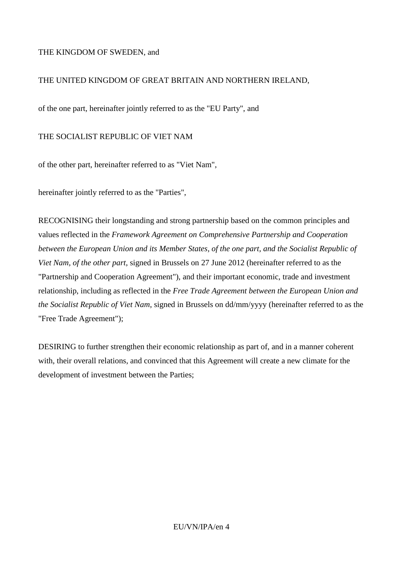### THE KINGDOM OF SWEDEN, and

### THE UNITED KINGDOM OF GREAT BRITAIN AND NORTHERN IRELAND,

of the one part, hereinafter jointly referred to as the "EU Party", and

### THE SOCIALIST REPUBLIC OF VIET NAM

of the other part, hereinafter referred to as "Viet Nam",

hereinafter jointly referred to as the "Parties",

RECOGNISING their longstanding and strong partnership based on the common principles and values reflected in the *Framework Agreement on Comprehensive Partnership and Cooperation between the European Union and its Member States, of the one part, and the Socialist Republic of Viet Nam, of the other part*, signed in Brussels on 27 June 2012 (hereinafter referred to as the "Partnership and Cooperation Agreement"), and their important economic, trade and investment relationship, including as reflected in the *Free Trade Agreement between the European Union and the Socialist Republic of Viet Nam*, signed in Brussels on dd/mm/yyyy (hereinafter referred to as the "Free Trade Agreement");

DESIRING to further strengthen their economic relationship as part of, and in a manner coherent with, their overall relations, and convinced that this Agreement will create a new climate for the development of investment between the Parties;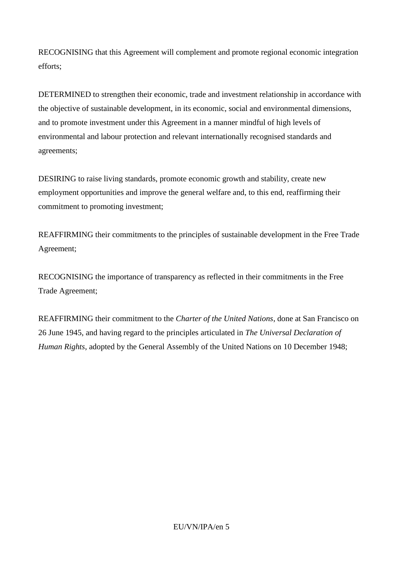RECOGNISING that this Agreement will complement and promote regional economic integration efforts;

DETERMINED to strengthen their economic, trade and investment relationship in accordance with the objective of sustainable development, in its economic, social and environmental dimensions, and to promote investment under this Agreement in a manner mindful of high levels of environmental and labour protection and relevant internationally recognised standards and agreements;

DESIRING to raise living standards, promote economic growth and stability, create new employment opportunities and improve the general welfare and, to this end, reaffirming their commitment to promoting investment;

REAFFIRMING their commitments to the principles of sustainable development in the Free Trade Agreement;

RECOGNISING the importance of transparency as reflected in their commitments in the Free Trade Agreement;

REAFFIRMING their commitment to the *Charter of the United Nations*, done at San Francisco on 26 June 1945, and having regard to the principles articulated in *The Universal Declaration of Human Rights*, adopted by the General Assembly of the United Nations on 10 December 1948;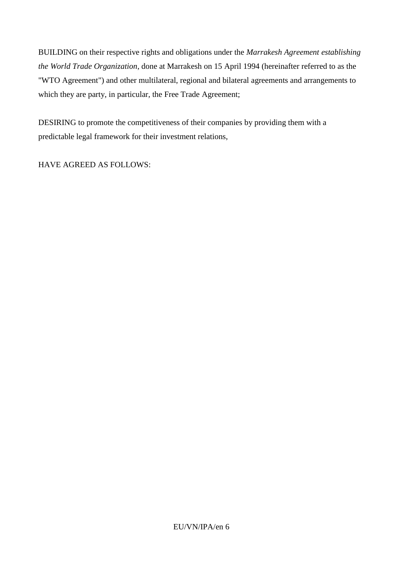BUILDING on their respective rights and obligations under the *Marrakesh Agreement establishing the World Trade Organization*, done at Marrakesh on 15 April 1994 (hereinafter referred to as the "WTO Agreement") and other multilateral, regional and bilateral agreements and arrangements to which they are party, in particular, the Free Trade Agreement;

DESIRING to promote the competitiveness of their companies by providing them with a predictable legal framework for their investment relations,

HAVE AGREED AS FOLLOWS: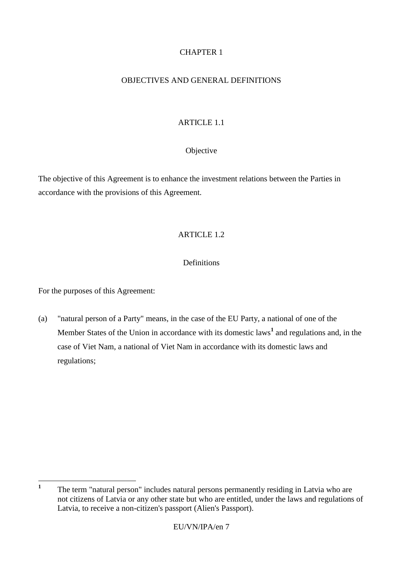# CHAPTER 1

### OBJECTIVES AND GENERAL DEFINITIONS

# ARTICLE 1.1

### Objective

The objective of this Agreement is to enhance the investment relations between the Parties in accordance with the provisions of this Agreement.

# ARTICLE 1.2

### **Definitions**

For the purposes of this Agreement:

(a) "natural person of a Party" means, in the case of the EU Party, a national of one of the Member States of the Union in accordance with its domestic laws**<sup>1</sup>** and regulations and, in the case of Viet Nam, a national of Viet Nam in accordance with its domestic laws and regulations;

 **1** The term "natural person" includes natural persons permanently residing in Latvia who are not citizens of Latvia or any other state but who are entitled, under the laws and regulations of Latvia, to receive a non-citizen's passport (Alien's Passport).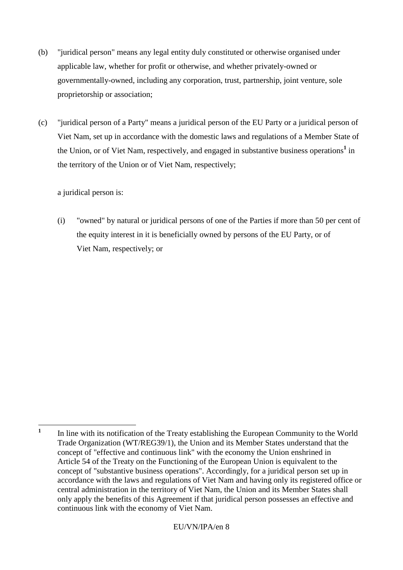- (b) "juridical person" means any legal entity duly constituted or otherwise organised under applicable law, whether for profit or otherwise, and whether privately-owned or governmentally-owned, including any corporation, trust, partnership, joint venture, sole proprietorship or association;
- (c) "juridical person of a Party" means a juridical person of the EU Party or a juridical person of Viet Nam, set up in accordance with the domestic laws and regulations of a Member State of the Union, or of Viet Nam, respectively, and engaged in substantive business operations**<sup>1</sup>** in the territory of the Union or of Viet Nam, respectively;

a juridical person is:

(i) "owned" by natural or juridical persons of one of the Parties if more than 50 per cent of the equity interest in it is beneficially owned by persons of the EU Party, or of Viet Nam, respectively; or

 **1** In line with its notification of the Treaty establishing the European Community to the World Trade Organization (WT/REG39/1), the Union and its Member States understand that the concept of "effective and continuous link" with the economy the Union enshrined in Article 54 of the Treaty on the Functioning of the European Union is equivalent to the concept of "substantive business operations". Accordingly, for a juridical person set up in accordance with the laws and regulations of Viet Nam and having only its registered office or central administration in the territory of Viet Nam, the Union and its Member States shall only apply the benefits of this Agreement if that juridical person possesses an effective and continuous link with the economy of Viet Nam.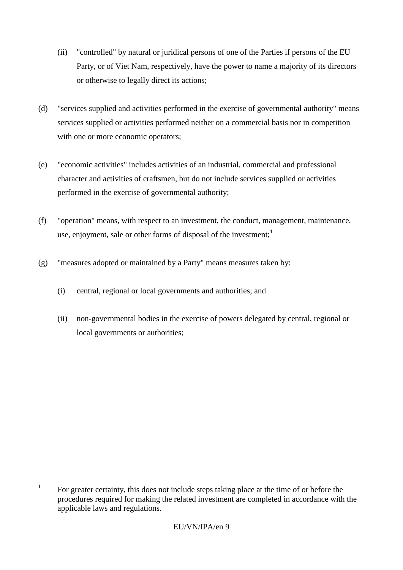- (ii) "controlled" by natural or juridical persons of one of the Parties if persons of the EU Party, or of Viet Nam, respectively, have the power to name a majority of its directors or otherwise to legally direct its actions;
- (d) "services supplied and activities performed in the exercise of governmental authority" means services supplied or activities performed neither on a commercial basis nor in competition with one or more economic operators;
- (e) "economic activities" includes activities of an industrial, commercial and professional character and activities of craftsmen, but do not include services supplied or activities performed in the exercise of governmental authority;
- (f) "operation" means, with respect to an investment, the conduct, management, maintenance, use, enjoyment, sale or other forms of disposal of the investment;**<sup>1</sup>**
- (g) "measures adopted or maintained by a Party" means measures taken by:
	- (i) central, regional or local governments and authorities; and
	- (ii) non-governmental bodies in the exercise of powers delegated by central, regional or local governments or authorities;

 **1** For greater certainty, this does not include steps taking place at the time of or before the procedures required for making the related investment are completed in accordance with the applicable laws and regulations.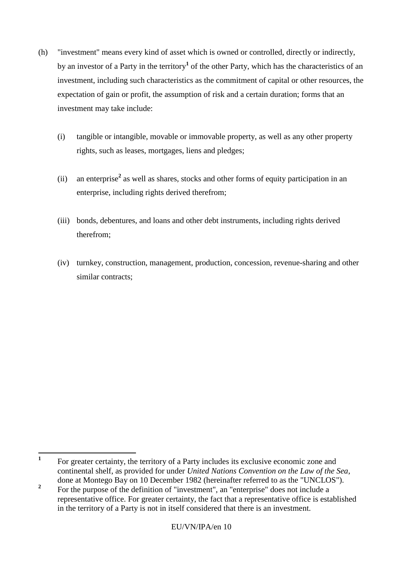- (h) "investment" means every kind of asset which is owned or controlled, directly or indirectly, by an investor of a Party in the territory**<sup>1</sup>** of the other Party, which has the characteristics of an investment, including such characteristics as the commitment of capital or other resources, the expectation of gain or profit, the assumption of risk and a certain duration; forms that an investment may take include:
	- (i) tangible or intangible, movable or immovable property, as well as any other property rights, such as leases, mortgages, liens and pledges;
	- (ii) an enterprise**<sup>2</sup>** as well as shares, stocks and other forms of equity participation in an enterprise, including rights derived therefrom;
	- (iii) bonds, debentures, and loans and other debt instruments, including rights derived therefrom;
	- (iv) turnkey, construction, management, production, concession, revenue-sharing and other similar contracts;

 **1** For greater certainty, the territory of a Party includes its exclusive economic zone and continental shelf, as provided for under *United Nations Convention on the Law of the Sea*, done at Montego Bay on 10 December 1982 (hereinafter referred to as the "UNCLOS").

**<sup>2</sup>** For the purpose of the definition of "investment", an "enterprise" does not include a representative office. For greater certainty, the fact that a representative office is established in the territory of a Party is not in itself considered that there is an investment.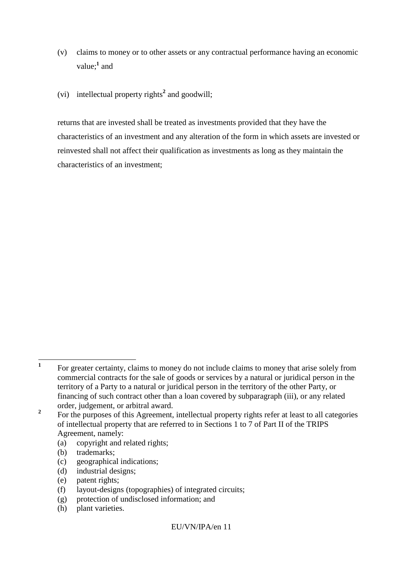- (v) claims to money or to other assets or any contractual performance having an economic value;<sup>1</sup> and
- (vi) intellectual property rights**<sup>2</sup>** and goodwill;

returns that are invested shall be treated as investments provided that they have the characteristics of an investment and any alteration of the form in which assets are invested or reinvested shall not affect their qualification as investments as long as they maintain the characteristics of an investment;

- (a) copyright and related rights;
- (b) trademarks;
- (c) geographical indications;
- (d) industrial designs;
- (e) patent rights;
- (f) layout-designs (topographies) of integrated circuits;
- (g) protection of undisclosed information; and
- (h) plant varieties.

 **1** For greater certainty, claims to money do not include claims to money that arise solely from commercial contracts for the sale of goods or services by a natural or juridical person in the territory of a Party to a natural or juridical person in the territory of the other Party, or financing of such contract other than a loan covered by subparagraph (iii), or any related order, judgement, or arbitral award.

**<sup>2</sup>** For the purposes of this Agreement, intellectual property rights refer at least to all categories of intellectual property that are referred to in Sections 1 to 7 of Part II of the TRIPS Agreement, namely: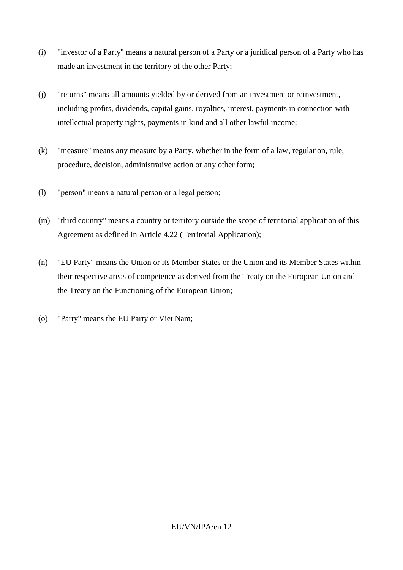- (i) "investor of a Party" means a natural person of a Party or a juridical person of a Party who has made an investment in the territory of the other Party;
- (j) "returns" means all amounts yielded by or derived from an investment or reinvestment, including profits, dividends, capital gains, royalties, interest, payments in connection with intellectual property rights, payments in kind and all other lawful income;
- (k) "measure" means any measure by a Party, whether in the form of a law, regulation, rule, procedure, decision, administrative action or any other form;
- (l) "person" means a natural person or a legal person;
- (m) "third country" means a country or territory outside the scope of territorial application of this Agreement as defined in Article 4.22 (Territorial Application);
- (n) "EU Party" means the Union or its Member States or the Union and its Member States within their respective areas of competence as derived from the Treaty on the European Union and the Treaty on the Functioning of the European Union;
- (o) "Party" means the EU Party or Viet Nam;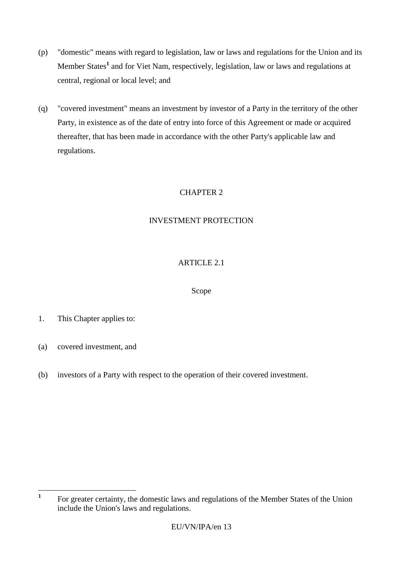- (p) "domestic" means with regard to legislation, law or laws and regulations for the Union and its Member States**<sup>1</sup>** and for Viet Nam, respectively, legislation, law or laws and regulations at central, regional or local level; and
- (q) "covered investment" means an investment by investor of a Party in the territory of the other Party, in existence as of the date of entry into force of this Agreement or made or acquired thereafter, that has been made in accordance with the other Party's applicable law and regulations.

# CHAPTER 2

# INVESTMENT PROTECTION

# ARTICLE 2.1

# Scope

- 1. This Chapter applies to:
- (a) covered investment, and
- (b) investors of a Party with respect to the operation of their covered investment.

 **1** For greater certainty, the domestic laws and regulations of the Member States of the Union include the Union's laws and regulations.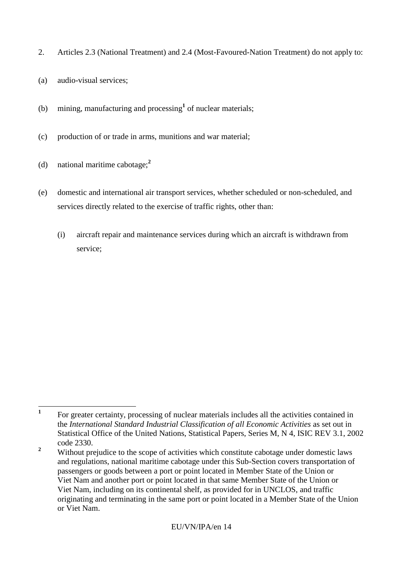- 2. Articles 2.3 (National Treatment) and 2.4 (Most-Favoured-Nation Treatment) do not apply to:
- (a) audio-visual services;
- (b) mining, manufacturing and processing**<sup>1</sup>** of nuclear materials;
- (c) production of or trade in arms, munitions and war material;
- (d) national maritime cabotage;**<sup>2</sup>**
- (e) domestic and international air transport services, whether scheduled or non-scheduled, and services directly related to the exercise of traffic rights, other than:
	- (i) aircraft repair and maintenance services during which an aircraft is withdrawn from service;

 **1** For greater certainty, processing of nuclear materials includes all the activities contained in the *International Standard Industrial Classification of all Economic Activities* as set out in Statistical Office of the United Nations, Statistical Papers, Series M, N 4, ISIC REV 3.1, 2002 code 2330.

<sup>&</sup>lt;sup>2</sup> Without prejudice to the scope of activities which constitute cabotage under domestic laws and regulations, national maritime cabotage under this Sub-Section covers transportation of passengers or goods between a port or point located in Member State of the Union or Viet Nam and another port or point located in that same Member State of the Union or Viet Nam, including on its continental shelf, as provided for in UNCLOS, and traffic originating and terminating in the same port or point located in a Member State of the Union or Viet Nam.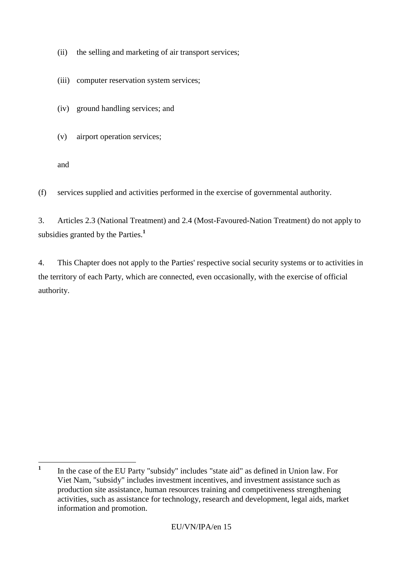- (ii) the selling and marketing of air transport services;
- (iii) computer reservation system services;
- (iv) ground handling services; and
- (v) airport operation services;

and

(f) services supplied and activities performed in the exercise of governmental authority.

3. Articles 2.3 (National Treatment) and 2.4 (Most-Favoured-Nation Treatment) do not apply to subsidies granted by the Parties.**<sup>1</sup>**

4. This Chapter does not apply to the Parties' respective social security systems or to activities in the territory of each Party, which are connected, even occasionally, with the exercise of official authority.

 **1** In the case of the EU Party "subsidy" includes "state aid" as defined in Union law. For Viet Nam, "subsidy" includes investment incentives, and investment assistance such as production site assistance, human resources training and competitiveness strengthening activities, such as assistance for technology, research and development, legal aids, market information and promotion.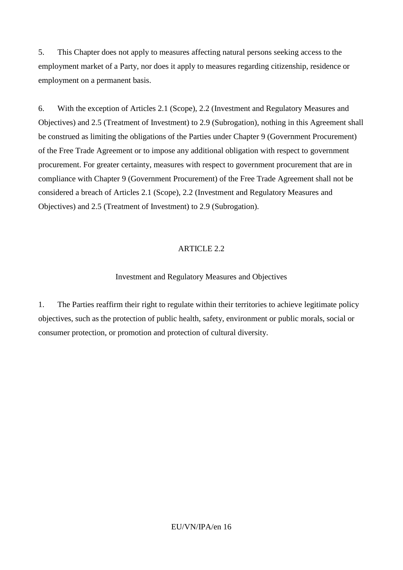5. This Chapter does not apply to measures affecting natural persons seeking access to the employment market of a Party, nor does it apply to measures regarding citizenship, residence or employment on a permanent basis.

6. With the exception of Articles 2.1 (Scope), 2.2 (Investment and Regulatory Measures and Objectives) and 2.5 (Treatment of Investment) to 2.9 (Subrogation), nothing in this Agreement shall be construed as limiting the obligations of the Parties under Chapter 9 (Government Procurement) of the Free Trade Agreement or to impose any additional obligation with respect to government procurement. For greater certainty, measures with respect to government procurement that are in compliance with Chapter 9 (Government Procurement) of the Free Trade Agreement shall not be considered a breach of Articles 2.1 (Scope), 2.2 (Investment and Regulatory Measures and Objectives) and 2.5 (Treatment of Investment) to 2.9 (Subrogation).

# ARTICLE 2.2

# Investment and Regulatory Measures and Objectives

1. The Parties reaffirm their right to regulate within their territories to achieve legitimate policy objectives, such as the protection of public health, safety, environment or public morals, social or consumer protection, or promotion and protection of cultural diversity.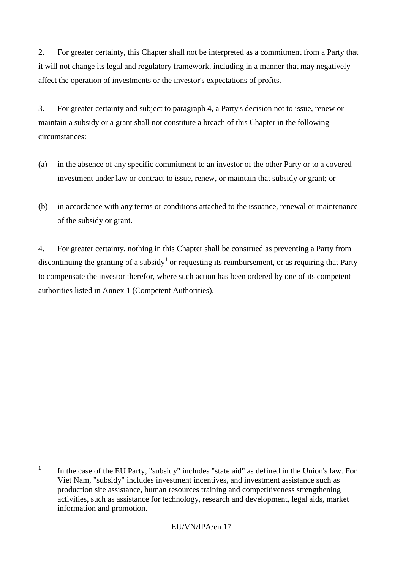2. For greater certainty, this Chapter shall not be interpreted as a commitment from a Party that it will not change its legal and regulatory framework, including in a manner that may negatively affect the operation of investments or the investor's expectations of profits.

3. For greater certainty and subject to paragraph 4, a Party's decision not to issue, renew or maintain a subsidy or a grant shall not constitute a breach of this Chapter in the following circumstances:

- (a) in the absence of any specific commitment to an investor of the other Party or to a covered investment under law or contract to issue, renew, or maintain that subsidy or grant; or
- (b) in accordance with any terms or conditions attached to the issuance, renewal or maintenance of the subsidy or grant.

4. For greater certainty, nothing in this Chapter shall be construed as preventing a Party from discontinuing the granting of a subsidy**<sup>1</sup>** or requesting its reimbursement, or as requiring that Party to compensate the investor therefor, where such action has been ordered by one of its competent authorities listed in Annex 1 (Competent Authorities).

 **1** In the case of the EU Party, "subsidy" includes "state aid" as defined in the Union's law. For Viet Nam, "subsidy" includes investment incentives, and investment assistance such as production site assistance, human resources training and competitiveness strengthening activities, such as assistance for technology, research and development, legal aids, market information and promotion.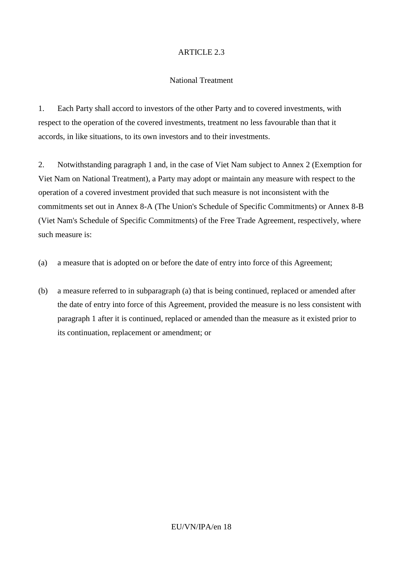### ARTICLE 2.3

#### National Treatment

1. Each Party shall accord to investors of the other Party and to covered investments, with respect to the operation of the covered investments, treatment no less favourable than that it accords, in like situations, to its own investors and to their investments.

2. Notwithstanding paragraph 1 and, in the case of Viet Nam subject to Annex 2 (Exemption for Viet Nam on National Treatment), a Party may adopt or maintain any measure with respect to the operation of a covered investment provided that such measure is not inconsistent with the commitments set out in Annex 8-A (The Union's Schedule of Specific Commitments) or Annex 8-B (Viet Nam's Schedule of Specific Commitments) of the Free Trade Agreement, respectively, where such measure is:

- (a) a measure that is adopted on or before the date of entry into force of this Agreement;
- (b) a measure referred to in subparagraph (a) that is being continued, replaced or amended after the date of entry into force of this Agreement, provided the measure is no less consistent with paragraph 1 after it is continued, replaced or amended than the measure as it existed prior to its continuation, replacement or amendment; or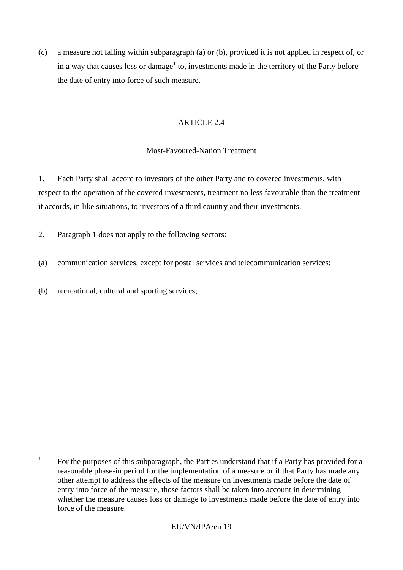(c) a measure not falling within subparagraph (a) or (b), provided it is not applied in respect of, or in a way that causes loss or damage**<sup>1</sup>** to, investments made in the territory of the Party before the date of entry into force of such measure.

# ARTICLE 2.4

# Most-Favoured-Nation Treatment

1. Each Party shall accord to investors of the other Party and to covered investments, with respect to the operation of the covered investments, treatment no less favourable than the treatment it accords, in like situations, to investors of a third country and their investments.

- 2. Paragraph 1 does not apply to the following sectors:
- (a) communication services, except for postal services and telecommunication services;
- (b) recreational, cultural and sporting services;

 **1** For the purposes of this subparagraph, the Parties understand that if a Party has provided for a reasonable phase-in period for the implementation of a measure or if that Party has made any other attempt to address the effects of the measure on investments made before the date of entry into force of the measure, those factors shall be taken into account in determining whether the measure causes loss or damage to investments made before the date of entry into force of the measure.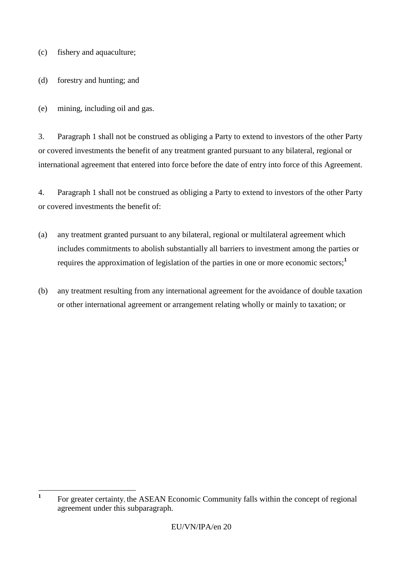(c) fishery and aquaculture;

(d) forestry and hunting; and

(e) mining, including oil and gas.

3. Paragraph 1 shall not be construed as obliging a Party to extend to investors of the other Party or covered investments the benefit of any treatment granted pursuant to any bilateral, regional or international agreement that entered into force before the date of entry into force of this Agreement.

4. Paragraph 1 shall not be construed as obliging a Party to extend to investors of the other Party or covered investments the benefit of:

- (a) any treatment granted pursuant to any bilateral, regional or multilateral agreement which includes commitments to abolish substantially all barriers to investment among the parties or requires the approximation of legislation of the parties in one or more economic sectors;**<sup>1</sup>**
- (b) any treatment resulting from any international agreement for the avoidance of double taxation or other international agreement or arrangement relating wholly or mainly to taxation; or

 **1** For greater certainty, the ASEAN Economic Community falls within the concept of regional agreement under this subparagraph.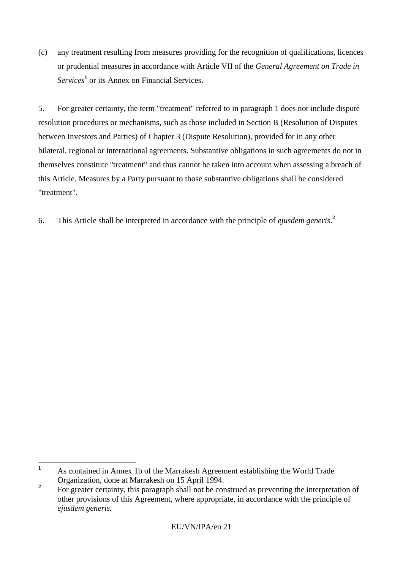(c) any treatment resulting from measures providing for the recognition of qualifications, licences or prudential measures in accordance with Article VII of the *General Agreement on Trade in Services***<sup>1</sup>** or its Annex on Financial Services.

5. For greater certainty, the term "treatment" referred to in paragraph 1 does not include dispute resolution procedures or mechanisms, such as those included in Section B (Resolution of Disputes between Investors and Parties) of Chapter 3 (Dispute Resolution), provided for in any other bilateral, regional or international agreements. Substantive obligations in such agreements do not in themselves constitute "treatment" and thus cannot be taken into account when assessing a breach of this Article. Measures by a Party pursuant to those substantive obligations shall be considered "treatment".

6. This Article shall be interpreted in accordance with the principle of *ejusdem generis*. **2**

 $\mathbf{1}$ **<sup>1</sup>** As contained in Annex 1b of the Marrakesh Agreement establishing the World Trade Organization, done at Marrakesh on 15 April 1994.

**<sup>2</sup>** For greater certainty, this paragraph shall not be construed as preventing the interpretation of other provisions of this Agreement, where appropriate, in accordance with the principle of *ejusdem generis.*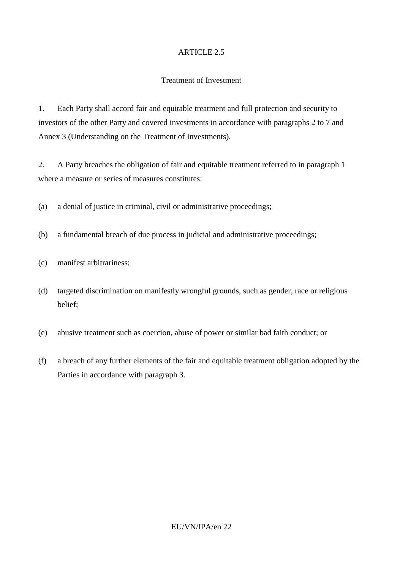### ARTICLE 2.5

#### Treatment of Investment

1. Each Party shall accord fair and equitable treatment and full protection and security to investors of the other Party and covered investments in accordance with paragraphs 2 to 7 and Annex 3 (Understanding on the Treatment of Investments).

2. A Party breaches the obligation of fair and equitable treatment referred to in paragraph 1 where a measure or series of measures constitutes:

(a) a denial of justice in criminal, civil or administrative proceedings;

- (b) a fundamental breach of due process in judicial and administrative proceedings;
- (c) manifest arbitrariness;
- (d) targeted discrimination on manifestly wrongful grounds, such as gender, race or religious belief;
- (e) abusive treatment such as coercion, abuse of power or similar bad faith conduct; or
- (f) a breach of any further elements of the fair and equitable treatment obligation adopted by the Parties in accordance with paragraph 3.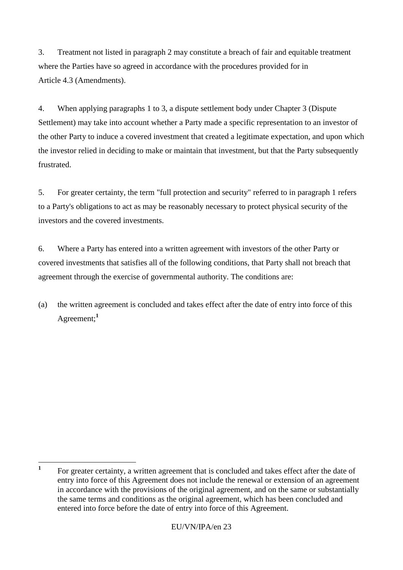3. Treatment not listed in paragraph 2 may constitute a breach of fair and equitable treatment where the Parties have so agreed in accordance with the procedures provided for in Article 4.3 (Amendments).

4. When applying paragraphs 1 to 3, a dispute settlement body under Chapter 3 (Dispute Settlement) may take into account whether a Party made a specific representation to an investor of the other Party to induce a covered investment that created a legitimate expectation, and upon which the investor relied in deciding to make or maintain that investment, but that the Party subsequently frustrated.

5. For greater certainty, the term "full protection and security" referred to in paragraph 1 refers to a Party's obligations to act as may be reasonably necessary to protect physical security of the investors and the covered investments.

6. Where a Party has entered into a written agreement with investors of the other Party or covered investments that satisfies all of the following conditions, that Party shall not breach that agreement through the exercise of governmental authority. The conditions are:

(a) the written agreement is concluded and takes effect after the date of entry into force of this Agreement;**<sup>1</sup>**

 **1** For greater certainty, a written agreement that is concluded and takes effect after the date of entry into force of this Agreement does not include the renewal or extension of an agreement in accordance with the provisions of the original agreement, and on the same or substantially the same terms and conditions as the original agreement, which has been concluded and entered into force before the date of entry into force of this Agreement.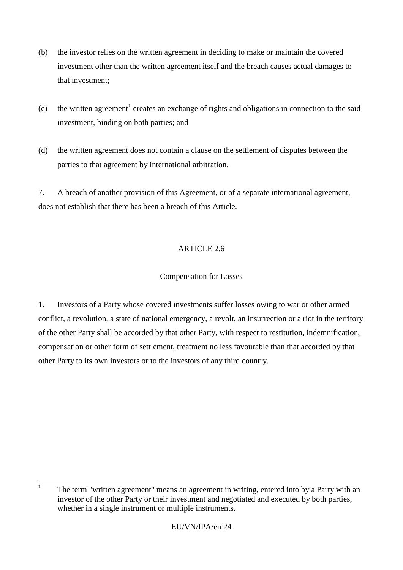- (b) the investor relies on the written agreement in deciding to make or maintain the covered investment other than the written agreement itself and the breach causes actual damages to that investment;
- (c) the written agreement**<sup>1</sup>** creates an exchange of rights and obligations in connection to the said investment, binding on both parties; and
- (d) the written agreement does not contain a clause on the settlement of disputes between the parties to that agreement by international arbitration.

7. A breach of another provision of this Agreement, or of a separate international agreement, does not establish that there has been a breach of this Article.

# ARTICLE 2.6

# Compensation for Losses

1. Investors of a Party whose covered investments suffer losses owing to war or other armed conflict, a revolution, a state of national emergency, a revolt, an insurrection or a riot in the territory of the other Party shall be accorded by that other Party, with respect to restitution, indemnification, compensation or other form of settlement, treatment no less favourable than that accorded by that other Party to its own investors or to the investors of any third country.

 **1** The term "written agreement" means an agreement in writing, entered into by a Party with an investor of the other Party or their investment and negotiated and executed by both parties, whether in a single instrument or multiple instruments.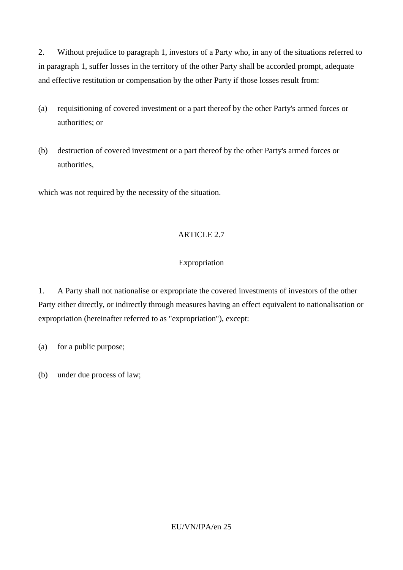2. Without prejudice to paragraph 1, investors of a Party who, in any of the situations referred to in paragraph 1, suffer losses in the territory of the other Party shall be accorded prompt, adequate and effective restitution or compensation by the other Party if those losses result from:

- (a) requisitioning of covered investment or a part thereof by the other Party's armed forces or authorities; or
- (b) destruction of covered investment or a part thereof by the other Party's armed forces or authorities,

which was not required by the necessity of the situation.

### ARTICLE 2.7

### Expropriation

1. A Party shall not nationalise or expropriate the covered investments of investors of the other Party either directly, or indirectly through measures having an effect equivalent to nationalisation or expropriation (hereinafter referred to as "expropriation"), except:

(a) for a public purpose;

(b) under due process of law;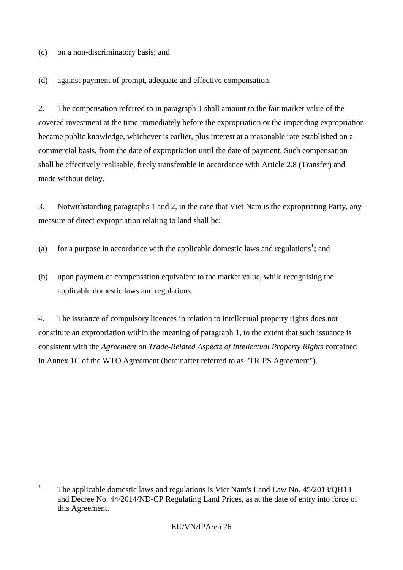(c) on a non-discriminatory basis; and

(d) against payment of prompt, adequate and effective compensation.

2. The compensation referred to in paragraph 1 shall amount to the fair market value of the covered investment at the time immediately before the expropriation or the impending expropriation became public knowledge, whichever is earlier, plus interest at a reasonable rate established on a commercial basis, from the date of expropriation until the date of payment. Such compensation shall be effectively realisable, freely transferable in accordance with Article 2.8 (Transfer) and made without delay.

3. Notwithstanding paragraphs 1 and 2, in the case that Viet Nam is the expropriating Party, any measure of direct expropriation relating to land shall be:

- (a) for a purpose in accordance with the applicable domestic laws and regulations**<sup>1</sup>** ; and
- (b) upon payment of compensation equivalent to the market value, while recognising the applicable domestic laws and regulations.

4. The issuance of compulsory licences in relation to intellectual property rights does not constitute an expropriation within the meaning of paragraph 1, to the extent that such issuance is consistent with the *Agreement on Trade-Related Aspects of Intellectual Property Rights* contained in Annex 1C of the WTO Agreement (hereinafter referred to as "TRIPS Agreement").

 **1** The applicable domestic laws and regulations is Viet Nam's Land Law No. 45/2013/QH13 and Decree No. 44/2014/ND-CP Regulating Land Prices, as at the date of entry into force of this Agreement.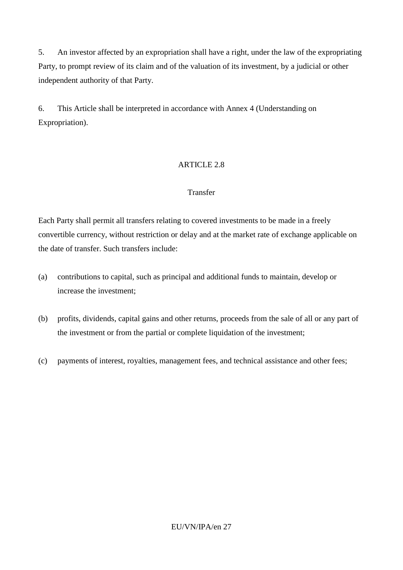5. An investor affected by an expropriation shall have a right, under the law of the expropriating Party, to prompt review of its claim and of the valuation of its investment, by a judicial or other independent authority of that Party.

6. This Article shall be interpreted in accordance with Annex 4 (Understanding on Expropriation).

# ARTICLE 2.8

### Transfer

Each Party shall permit all transfers relating to covered investments to be made in a freely convertible currency, without restriction or delay and at the market rate of exchange applicable on the date of transfer. Such transfers include:

- (a) contributions to capital, such as principal and additional funds to maintain, develop or increase the investment;
- (b) profits, dividends, capital gains and other returns, proceeds from the sale of all or any part of the investment or from the partial or complete liquidation of the investment;
- (c) payments of interest, royalties, management fees, and technical assistance and other fees;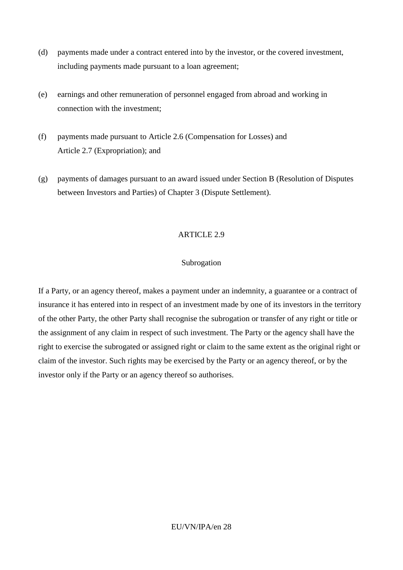- (d) payments made under a contract entered into by the investor, or the covered investment, including payments made pursuant to a loan agreement;
- (e) earnings and other remuneration of personnel engaged from abroad and working in connection with the investment;
- (f) payments made pursuant to Article 2.6 (Compensation for Losses) and Article 2.7 (Expropriation); and
- (g) payments of damages pursuant to an award issued under Section B (Resolution of Disputes between Investors and Parties) of Chapter 3 (Dispute Settlement).

#### ARTICLE 2.9

#### Subrogation

If a Party, or an agency thereof, makes a payment under an indemnity, a guarantee or a contract of insurance it has entered into in respect of an investment made by one of its investors in the territory of the other Party, the other Party shall recognise the subrogation or transfer of any right or title or the assignment of any claim in respect of such investment. The Party or the agency shall have the right to exercise the subrogated or assigned right or claim to the same extent as the original right or claim of the investor. Such rights may be exercised by the Party or an agency thereof, or by the investor only if the Party or an agency thereof so authorises.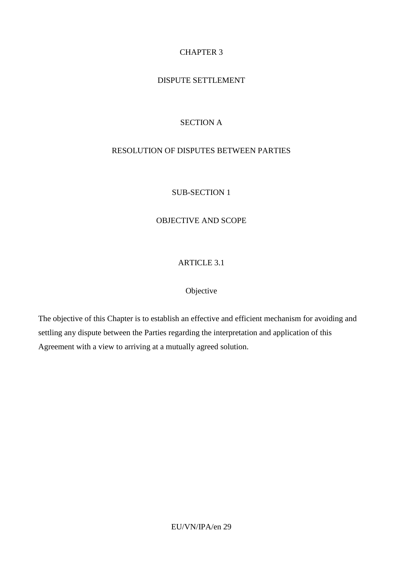# CHAPTER 3

# DISPUTE SETTLEMENT

# SECTION A

# RESOLUTION OF DISPUTES BETWEEN PARTIES

### SUB-SECTION 1

# OBJECTIVE AND SCOPE

# ARTICLE 3.1

### Objective

The objective of this Chapter is to establish an effective and efficient mechanism for avoiding and settling any dispute between the Parties regarding the interpretation and application of this Agreement with a view to arriving at a mutually agreed solution.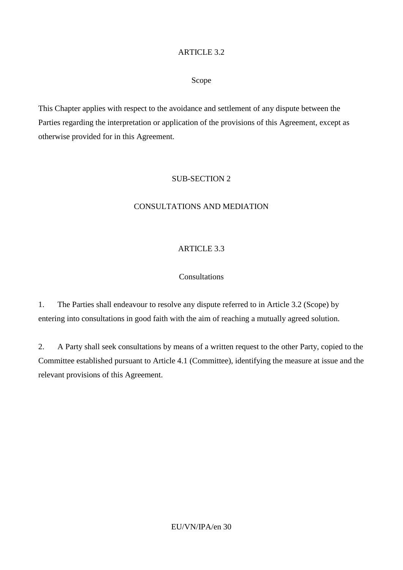### ARTICLE 3.2

#### Scope

This Chapter applies with respect to the avoidance and settlement of any dispute between the Parties regarding the interpretation or application of the provisions of this Agreement, except as otherwise provided for in this Agreement.

#### SUB-SECTION 2

## CONSULTATIONS AND MEDIATION

## ARTICLE 3.3

#### Consultations

1. The Parties shall endeavour to resolve any dispute referred to in Article 3.2 (Scope) by entering into consultations in good faith with the aim of reaching a mutually agreed solution.

2. A Party shall seek consultations by means of a written request to the other Party, copied to the Committee established pursuant to Article 4.1 (Committee), identifying the measure at issue and the relevant provisions of this Agreement.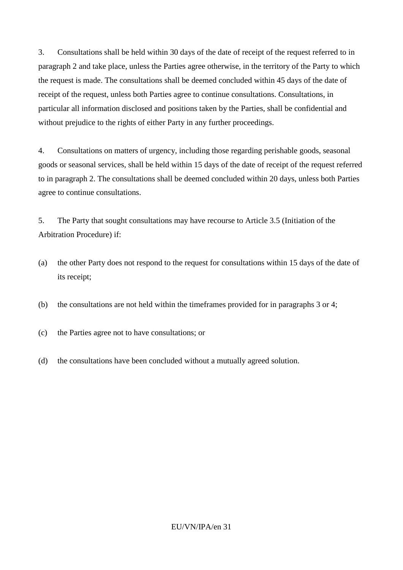3. Consultations shall be held within 30 days of the date of receipt of the request referred to in paragraph 2 and take place, unless the Parties agree otherwise, in the territory of the Party to which the request is made. The consultations shall be deemed concluded within 45 days of the date of receipt of the request, unless both Parties agree to continue consultations. Consultations, in particular all information disclosed and positions taken by the Parties, shall be confidential and without prejudice to the rights of either Party in any further proceedings.

4. Consultations on matters of urgency, including those regarding perishable goods, seasonal goods or seasonal services, shall be held within 15 days of the date of receipt of the request referred to in paragraph 2. The consultations shall be deemed concluded within 20 days, unless both Parties agree to continue consultations.

5. The Party that sought consultations may have recourse to Article 3.5 (Initiation of the Arbitration Procedure) if:

- (a) the other Party does not respond to the request for consultations within 15 days of the date of its receipt;
- (b) the consultations are not held within the timeframes provided for in paragraphs 3 or 4;
- (c) the Parties agree not to have consultations; or
- (d) the consultations have been concluded without a mutually agreed solution.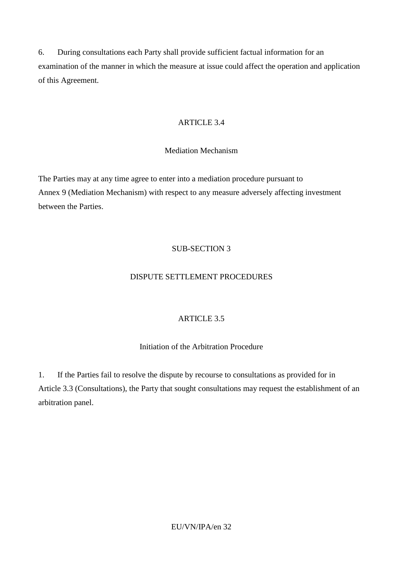6. During consultations each Party shall provide sufficient factual information for an examination of the manner in which the measure at issue could affect the operation and application of this Agreement.

## ARTICLE 3.4

### Mediation Mechanism

The Parties may at any time agree to enter into a mediation procedure pursuant to Annex 9 (Mediation Mechanism) with respect to any measure adversely affecting investment between the Parties.

# SUB-SECTION 3

### DISPUTE SETTLEMENT PROCEDURES

# ARTICLE 3.5

# Initiation of the Arbitration Procedure

1. If the Parties fail to resolve the dispute by recourse to consultations as provided for in Article 3.3 (Consultations), the Party that sought consultations may request the establishment of an arbitration panel.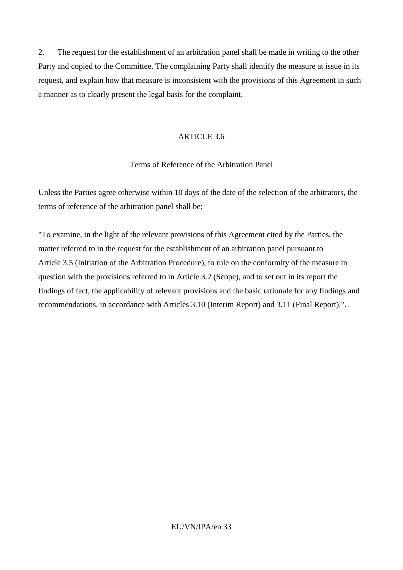2. The request for the establishment of an arbitration panel shall be made in writing to the other Party and copied to the Committee. The complaining Party shall identify the measure at issue in its request, and explain how that measure is inconsistent with the provisions of this Agreement in such a manner as to clearly present the legal basis for the complaint.

### ARTICLE 3.6

### Terms of Reference of the Arbitration Panel

Unless the Parties agree otherwise within 10 days of the date of the selection of the arbitrators, the terms of reference of the arbitration panel shall be:

"To examine, in the light of the relevant provisions of this Agreement cited by the Parties, the matter referred to in the request for the establishment of an arbitration panel pursuant to Article 3.5 (Initiation of the Arbitration Procedure), to rule on the conformity of the measure in question with the provisions referred to in Article 3.2 (Scope), and to set out in its report the findings of fact, the applicability of relevant provisions and the basic rationale for any findings and recommendations, in accordance with Articles 3.10 (Interim Report) and 3.11 (Final Report).".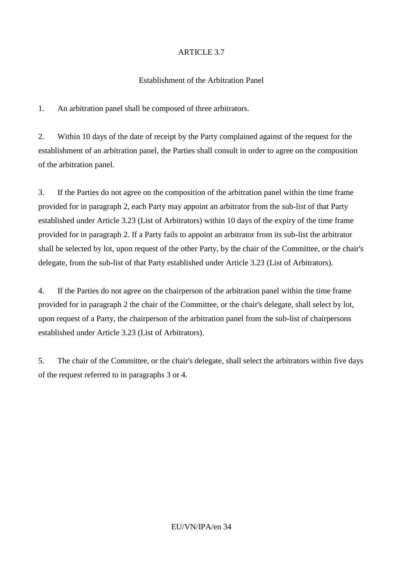# ARTICLE 3.7

### Establishment of the Arbitration Panel

1. An arbitration panel shall be composed of three arbitrators.

2. Within 10 days of the date of receipt by the Party complained against of the request for the establishment of an arbitration panel, the Parties shall consult in order to agree on the composition of the arbitration panel.

3. If the Parties do not agree on the composition of the arbitration panel within the time frame provided for in paragraph 2, each Party may appoint an arbitrator from the sub-list of that Party established under Article 3.23 (List of Arbitrators) within 10 days of the expiry of the time frame provided for in paragraph 2. If a Party fails to appoint an arbitrator from its sub-list the arbitrator shall be selected by lot, upon request of the other Party, by the chair of the Committee, or the chair's delegate, from the sub-list of that Party established under Article 3.23 (List of Arbitrators).

4. If the Parties do not agree on the chairperson of the arbitration panel within the time frame provided for in paragraph 2 the chair of the Committee, or the chair's delegate, shall select by lot, upon request of a Party, the chairperson of the arbitration panel from the sub-list of chairpersons established under Article 3.23 (List of Arbitrators).

5. The chair of the Committee, or the chair's delegate, shall select the arbitrators within five days of the request referred to in paragraphs 3 or 4.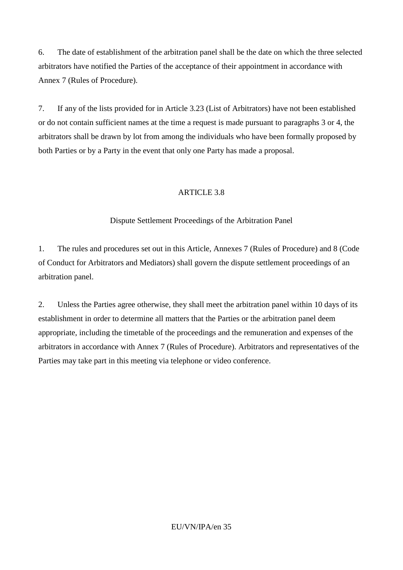6. The date of establishment of the arbitration panel shall be the date on which the three selected arbitrators have notified the Parties of the acceptance of their appointment in accordance with Annex 7 (Rules of Procedure).

7. If any of the lists provided for in Article 3.23 (List of Arbitrators) have not been established or do not contain sufficient names at the time a request is made pursuant to paragraphs 3 or 4, the arbitrators shall be drawn by lot from among the individuals who have been formally proposed by both Parties or by a Party in the event that only one Party has made a proposal.

# ARTICLE 3.8

# Dispute Settlement Proceedings of the Arbitration Panel

1. The rules and procedures set out in this Article, Annexes 7 (Rules of Procedure) and 8 (Code of Conduct for Arbitrators and Mediators) shall govern the dispute settlement proceedings of an arbitration panel.

2. Unless the Parties agree otherwise, they shall meet the arbitration panel within 10 days of its establishment in order to determine all matters that the Parties or the arbitration panel deem appropriate, including the timetable of the proceedings and the remuneration and expenses of the arbitrators in accordance with Annex 7 (Rules of Procedure). Arbitrators and representatives of the Parties may take part in this meeting via telephone or video conference.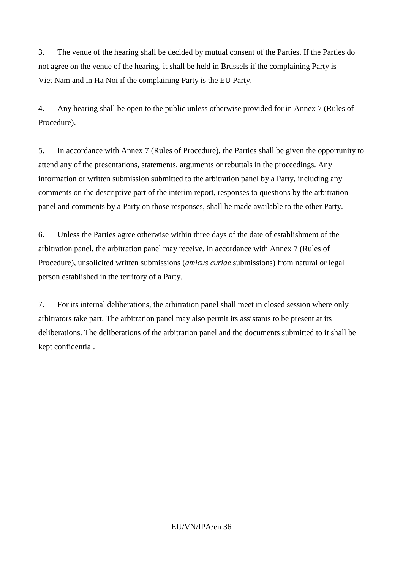3. The venue of the hearing shall be decided by mutual consent of the Parties. If the Parties do not agree on the venue of the hearing, it shall be held in Brussels if the complaining Party is Viet Nam and in Ha Noi if the complaining Party is the EU Party.

4. Any hearing shall be open to the public unless otherwise provided for in Annex 7 (Rules of Procedure).

5. In accordance with Annex 7 (Rules of Procedure), the Parties shall be given the opportunity to attend any of the presentations, statements, arguments or rebuttals in the proceedings. Any information or written submission submitted to the arbitration panel by a Party, including any comments on the descriptive part of the interim report, responses to questions by the arbitration panel and comments by a Party on those responses, shall be made available to the other Party.

6. Unless the Parties agree otherwise within three days of the date of establishment of the arbitration panel, the arbitration panel may receive, in accordance with Annex 7 (Rules of Procedure), unsolicited written submissions (*amicus curiae* submissions) from natural or legal person established in the territory of a Party.

7. For its internal deliberations, the arbitration panel shall meet in closed session where only arbitrators take part. The arbitration panel may also permit its assistants to be present at its deliberations. The deliberations of the arbitration panel and the documents submitted to it shall be kept confidential.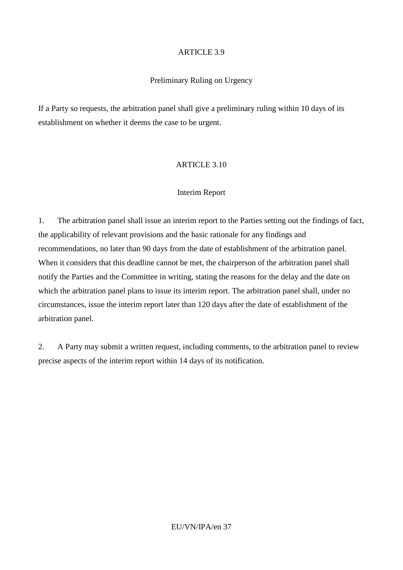### Preliminary Ruling on Urgency

If a Party so requests, the arbitration panel shall give a preliminary ruling within 10 days of its establishment on whether it deems the case to be urgent.

### ARTICLE 3.10

### Interim Report

1. The arbitration panel shall issue an interim report to the Parties setting out the findings of fact, the applicability of relevant provisions and the basic rationale for any findings and recommendations, no later than 90 days from the date of establishment of the arbitration panel. When it considers that this deadline cannot be met, the chairperson of the arbitration panel shall notify the Parties and the Committee in writing, stating the reasons for the delay and the date on which the arbitration panel plans to issue its interim report. The arbitration panel shall, under no circumstances, issue the interim report later than 120 days after the date of establishment of the arbitration panel.

2. A Party may submit a written request, including comments, to the arbitration panel to review precise aspects of the interim report within 14 days of its notification.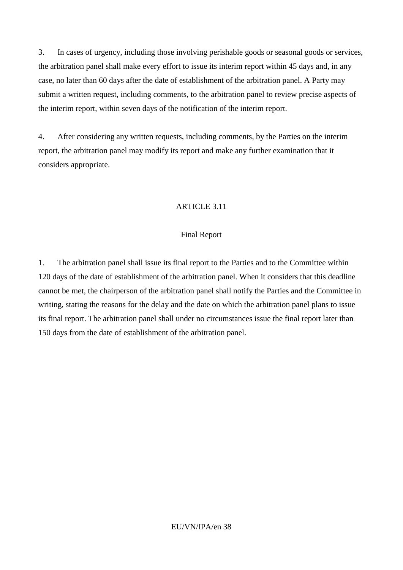3. In cases of urgency, including those involving perishable goods or seasonal goods or services, the arbitration panel shall make every effort to issue its interim report within 45 days and, in any case, no later than 60 days after the date of establishment of the arbitration panel. A Party may submit a written request, including comments, to the arbitration panel to review precise aspects of the interim report, within seven days of the notification of the interim report.

4. After considering any written requests, including comments, by the Parties on the interim report, the arbitration panel may modify its report and make any further examination that it considers appropriate.

### ARTICLE 3.11

#### Final Report

1. The arbitration panel shall issue its final report to the Parties and to the Committee within 120 days of the date of establishment of the arbitration panel. When it considers that this deadline cannot be met, the chairperson of the arbitration panel shall notify the Parties and the Committee in writing, stating the reasons for the delay and the date on which the arbitration panel plans to issue its final report. The arbitration panel shall under no circumstances issue the final report later than 150 days from the date of establishment of the arbitration panel.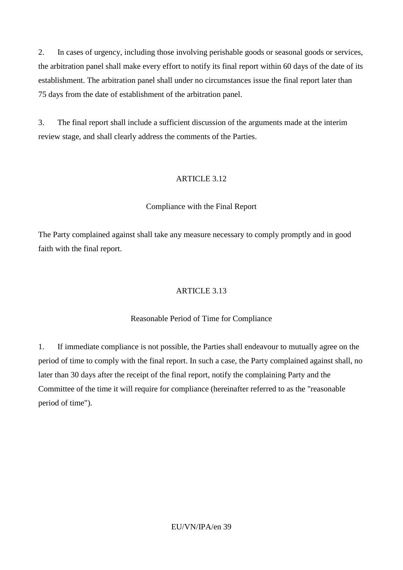2. In cases of urgency, including those involving perishable goods or seasonal goods or services, the arbitration panel shall make every effort to notify its final report within 60 days of the date of its establishment. The arbitration panel shall under no circumstances issue the final report later than 75 days from the date of establishment of the arbitration panel.

3. The final report shall include a sufficient discussion of the arguments made at the interim review stage, and shall clearly address the comments of the Parties.

### ARTICLE 3.12

## Compliance with the Final Report

The Party complained against shall take any measure necessary to comply promptly and in good faith with the final report.

### ARTICLE 3.13

### Reasonable Period of Time for Compliance

1. If immediate compliance is not possible, the Parties shall endeavour to mutually agree on the period of time to comply with the final report. In such a case, the Party complained against shall, no later than 30 days after the receipt of the final report, notify the complaining Party and the Committee of the time it will require for compliance (hereinafter referred to as the "reasonable period of time").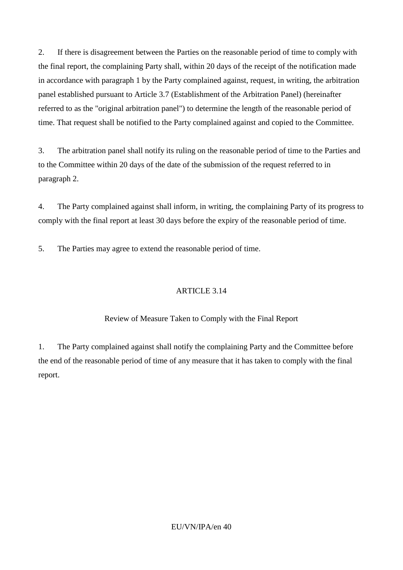2. If there is disagreement between the Parties on the reasonable period of time to comply with the final report, the complaining Party shall, within 20 days of the receipt of the notification made in accordance with paragraph 1 by the Party complained against, request, in writing, the arbitration panel established pursuant to Article 3.7 (Establishment of the Arbitration Panel) (hereinafter referred to as the "original arbitration panel") to determine the length of the reasonable period of time. That request shall be notified to the Party complained against and copied to the Committee.

3. The arbitration panel shall notify its ruling on the reasonable period of time to the Parties and to the Committee within 20 days of the date of the submission of the request referred to in paragraph 2.

4. The Party complained against shall inform, in writing, the complaining Party of its progress to comply with the final report at least 30 days before the expiry of the reasonable period of time.

5. The Parties may agree to extend the reasonable period of time.

### ARTICLE 3.14

## Review of Measure Taken to Comply with the Final Report

1. The Party complained against shall notify the complaining Party and the Committee before the end of the reasonable period of time of any measure that it has taken to comply with the final report.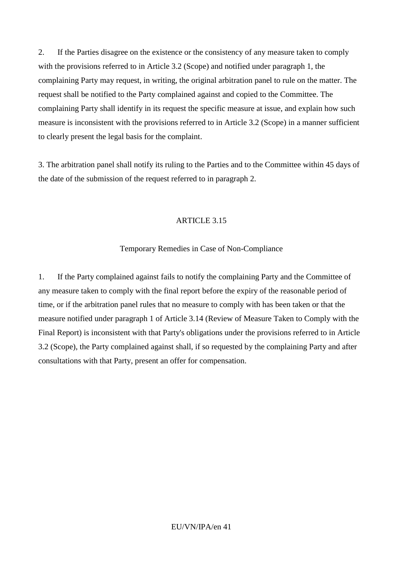2. If the Parties disagree on the existence or the consistency of any measure taken to comply with the provisions referred to in Article 3.2 (Scope) and notified under paragraph 1, the complaining Party may request, in writing, the original arbitration panel to rule on the matter. The request shall be notified to the Party complained against and copied to the Committee. The complaining Party shall identify in its request the specific measure at issue, and explain how such measure is inconsistent with the provisions referred to in Article 3.2 (Scope) in a manner sufficient to clearly present the legal basis for the complaint.

3. The arbitration panel shall notify its ruling to the Parties and to the Committee within 45 days of the date of the submission of the request referred to in paragraph 2.

#### ARTICLE 3.15

### Temporary Remedies in Case of Non-Compliance

1. If the Party complained against fails to notify the complaining Party and the Committee of any measure taken to comply with the final report before the expiry of the reasonable period of time, or if the arbitration panel rules that no measure to comply with has been taken or that the measure notified under paragraph 1 of Article 3.14 (Review of Measure Taken to Comply with the Final Report) is inconsistent with that Party's obligations under the provisions referred to in Article 3.2 (Scope), the Party complained against shall, if so requested by the complaining Party and after consultations with that Party, present an offer for compensation.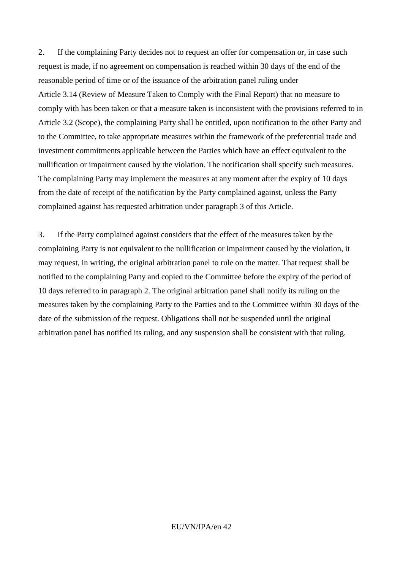2. If the complaining Party decides not to request an offer for compensation or, in case such request is made, if no agreement on compensation is reached within 30 days of the end of the reasonable period of time or of the issuance of the arbitration panel ruling under Article 3.14 (Review of Measure Taken to Comply with the Final Report) that no measure to comply with has been taken or that a measure taken is inconsistent with the provisions referred to in Article 3.2 (Scope), the complaining Party shall be entitled, upon notification to the other Party and to the Committee, to take appropriate measures within the framework of the preferential trade and investment commitments applicable between the Parties which have an effect equivalent to the nullification or impairment caused by the violation. The notification shall specify such measures. The complaining Party may implement the measures at any moment after the expiry of 10 days from the date of receipt of the notification by the Party complained against, unless the Party complained against has requested arbitration under paragraph 3 of this Article.

3. If the Party complained against considers that the effect of the measures taken by the complaining Party is not equivalent to the nullification or impairment caused by the violation, it may request, in writing, the original arbitration panel to rule on the matter. That request shall be notified to the complaining Party and copied to the Committee before the expiry of the period of 10 days referred to in paragraph 2. The original arbitration panel shall notify its ruling on the measures taken by the complaining Party to the Parties and to the Committee within 30 days of the date of the submission of the request. Obligations shall not be suspended until the original arbitration panel has notified its ruling, and any suspension shall be consistent with that ruling.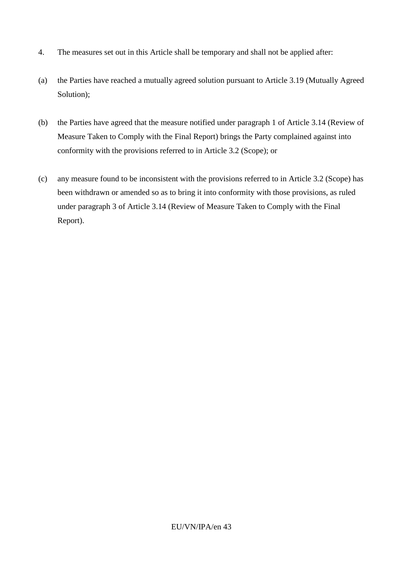- 4. The measures set out in this Article shall be temporary and shall not be applied after:
- (a) the Parties have reached a mutually agreed solution pursuant to Article 3.19 (Mutually Agreed Solution);
- (b) the Parties have agreed that the measure notified under paragraph 1 of Article 3.14 (Review of Measure Taken to Comply with the Final Report) brings the Party complained against into conformity with the provisions referred to in Article 3.2 (Scope); or
- (c) any measure found to be inconsistent with the provisions referred to in Article 3.2 (Scope) has been withdrawn or amended so as to bring it into conformity with those provisions, as ruled under paragraph 3 of Article 3.14 (Review of Measure Taken to Comply with the Final Report).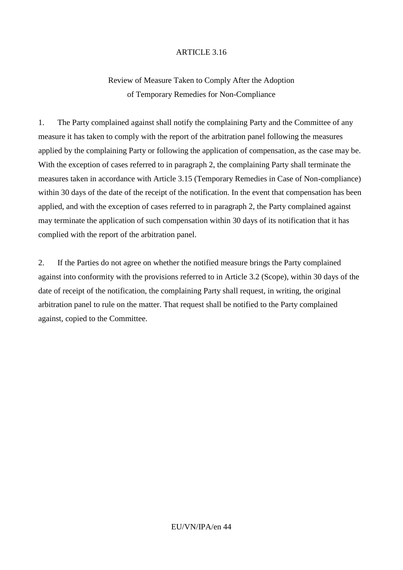# Review of Measure Taken to Comply After the Adoption of Temporary Remedies for Non-Compliance

1. The Party complained against shall notify the complaining Party and the Committee of any measure it has taken to comply with the report of the arbitration panel following the measures applied by the complaining Party or following the application of compensation, as the case may be. With the exception of cases referred to in paragraph 2, the complaining Party shall terminate the measures taken in accordance with Article 3.15 (Temporary Remedies in Case of Non-compliance) within 30 days of the date of the receipt of the notification. In the event that compensation has been applied, and with the exception of cases referred to in paragraph 2, the Party complained against may terminate the application of such compensation within 30 days of its notification that it has complied with the report of the arbitration panel.

2. If the Parties do not agree on whether the notified measure brings the Party complained against into conformity with the provisions referred to in Article 3.2 (Scope), within 30 days of the date of receipt of the notification, the complaining Party shall request, in writing, the original arbitration panel to rule on the matter. That request shall be notified to the Party complained against, copied to the Committee.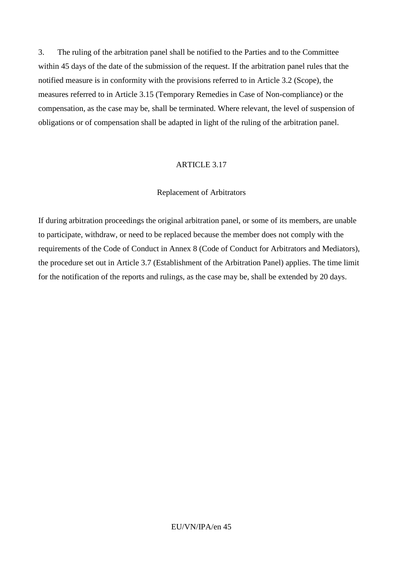3. The ruling of the arbitration panel shall be notified to the Parties and to the Committee within 45 days of the date of the submission of the request. If the arbitration panel rules that the notified measure is in conformity with the provisions referred to in Article 3.2 (Scope), the measures referred to in Article 3.15 (Temporary Remedies in Case of Non-compliance) or the compensation, as the case may be, shall be terminated. Where relevant, the level of suspension of obligations or of compensation shall be adapted in light of the ruling of the arbitration panel.

#### ARTICLE 3.17

#### Replacement of Arbitrators

If during arbitration proceedings the original arbitration panel, or some of its members, are unable to participate, withdraw, or need to be replaced because the member does not comply with the requirements of the Code of Conduct in Annex 8 (Code of Conduct for Arbitrators and Mediators), the procedure set out in Article 3.7 (Establishment of the Arbitration Panel) applies. The time limit for the notification of the reports and rulings, as the case may be, shall be extended by 20 days.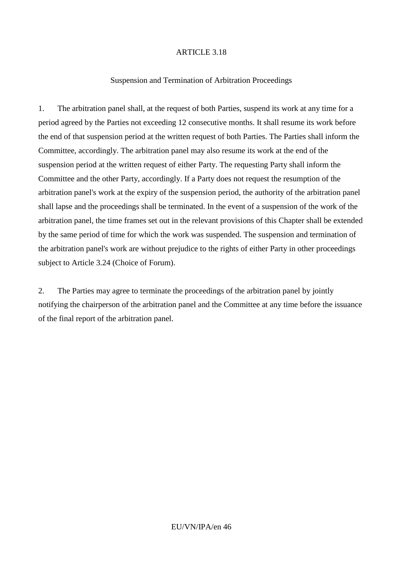#### Suspension and Termination of Arbitration Proceedings

1. The arbitration panel shall, at the request of both Parties, suspend its work at any time for a period agreed by the Parties not exceeding 12 consecutive months. It shall resume its work before the end of that suspension period at the written request of both Parties. The Parties shall inform the Committee, accordingly. The arbitration panel may also resume its work at the end of the suspension period at the written request of either Party. The requesting Party shall inform the Committee and the other Party, accordingly. If a Party does not request the resumption of the arbitration panel's work at the expiry of the suspension period, the authority of the arbitration panel shall lapse and the proceedings shall be terminated. In the event of a suspension of the work of the arbitration panel, the time frames set out in the relevant provisions of this Chapter shall be extended by the same period of time for which the work was suspended. The suspension and termination of the arbitration panel's work are without prejudice to the rights of either Party in other proceedings subject to Article 3.24 (Choice of Forum).

2. The Parties may agree to terminate the proceedings of the arbitration panel by jointly notifying the chairperson of the arbitration panel and the Committee at any time before the issuance of the final report of the arbitration panel.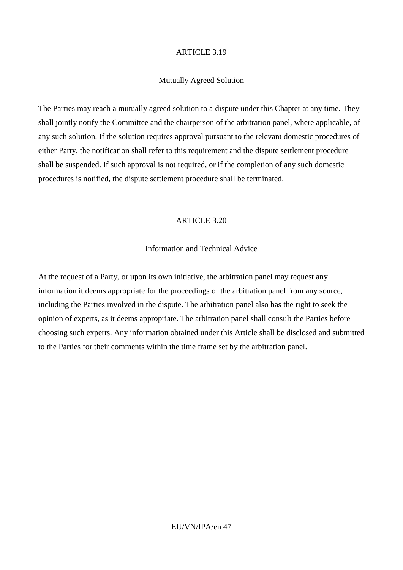#### Mutually Agreed Solution

The Parties may reach a mutually agreed solution to a dispute under this Chapter at any time. They shall jointly notify the Committee and the chairperson of the arbitration panel, where applicable, of any such solution. If the solution requires approval pursuant to the relevant domestic procedures of either Party, the notification shall refer to this requirement and the dispute settlement procedure shall be suspended. If such approval is not required, or if the completion of any such domestic procedures is notified, the dispute settlement procedure shall be terminated.

#### ARTICLE 3.20

### Information and Technical Advice

At the request of a Party, or upon its own initiative, the arbitration panel may request any information it deems appropriate for the proceedings of the arbitration panel from any source, including the Parties involved in the dispute. The arbitration panel also has the right to seek the opinion of experts, as it deems appropriate. The arbitration panel shall consult the Parties before choosing such experts. Any information obtained under this Article shall be disclosed and submitted to the Parties for their comments within the time frame set by the arbitration panel.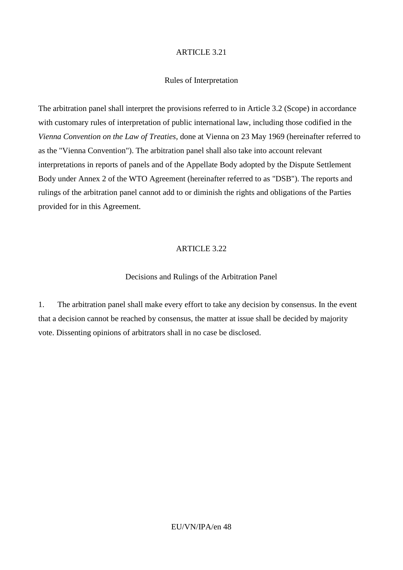#### Rules of Interpretation

The arbitration panel shall interpret the provisions referred to in Article 3.2 (Scope) in accordance with customary rules of interpretation of public international law, including those codified in the *Vienna Convention on the Law of Treaties*, done at Vienna on 23 May 1969 (hereinafter referred to as the "Vienna Convention"). The arbitration panel shall also take into account relevant interpretations in reports of panels and of the Appellate Body adopted by the Dispute Settlement Body under Annex 2 of the WTO Agreement (hereinafter referred to as "DSB"). The reports and rulings of the arbitration panel cannot add to or diminish the rights and obligations of the Parties provided for in this Agreement.

#### ARTICLE 3.22

#### Decisions and Rulings of the Arbitration Panel

1. The arbitration panel shall make every effort to take any decision by consensus. In the event that a decision cannot be reached by consensus, the matter at issue shall be decided by majority vote. Dissenting opinions of arbitrators shall in no case be disclosed.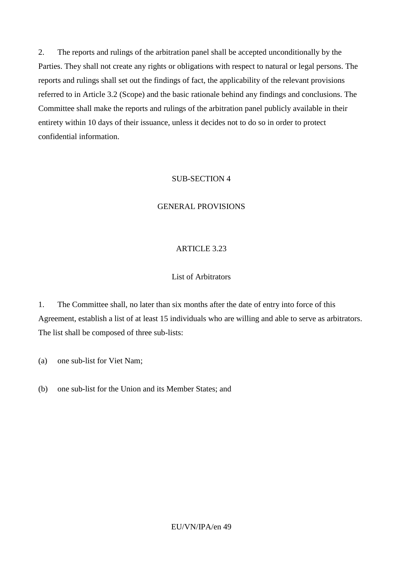2. The reports and rulings of the arbitration panel shall be accepted unconditionally by the Parties. They shall not create any rights or obligations with respect to natural or legal persons. The reports and rulings shall set out the findings of fact, the applicability of the relevant provisions referred to in Article 3.2 (Scope) and the basic rationale behind any findings and conclusions. The Committee shall make the reports and rulings of the arbitration panel publicly available in their entirety within 10 days of their issuance, unless it decides not to do so in order to protect confidential information.

#### SUB-SECTION 4

#### GENERAL PROVISIONS

#### ARTICLE 3.23

#### List of Arbitrators

1. The Committee shall, no later than six months after the date of entry into force of this Agreement, establish a list of at least 15 individuals who are willing and able to serve as arbitrators. The list shall be composed of three sub-lists:

(a) one sub-list for Viet Nam;

(b) one sub-list for the Union and its Member States; and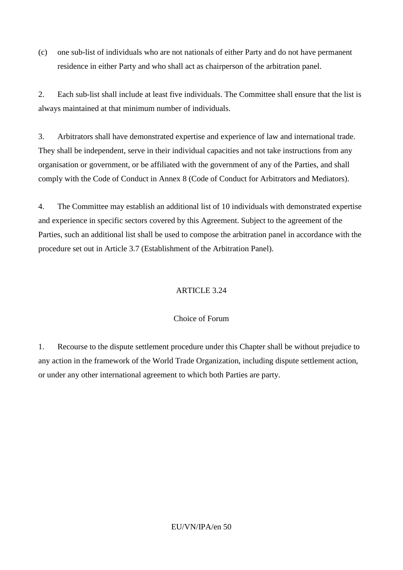(c) one sub-list of individuals who are not nationals of either Party and do not have permanent residence in either Party and who shall act as chairperson of the arbitration panel.

2. Each sub-list shall include at least five individuals. The Committee shall ensure that the list is always maintained at that minimum number of individuals.

3. Arbitrators shall have demonstrated expertise and experience of law and international trade. They shall be independent, serve in their individual capacities and not take instructions from any organisation or government, or be affiliated with the government of any of the Parties, and shall comply with the Code of Conduct in Annex 8 (Code of Conduct for Arbitrators and Mediators).

4. The Committee may establish an additional list of 10 individuals with demonstrated expertise and experience in specific sectors covered by this Agreement. Subject to the agreement of the Parties, such an additional list shall be used to compose the arbitration panel in accordance with the procedure set out in Article 3.7 (Establishment of the Arbitration Panel).

## ARTICLE 3.24

### Choice of Forum

1. Recourse to the dispute settlement procedure under this Chapter shall be without prejudice to any action in the framework of the World Trade Organization, including dispute settlement action, or under any other international agreement to which both Parties are party.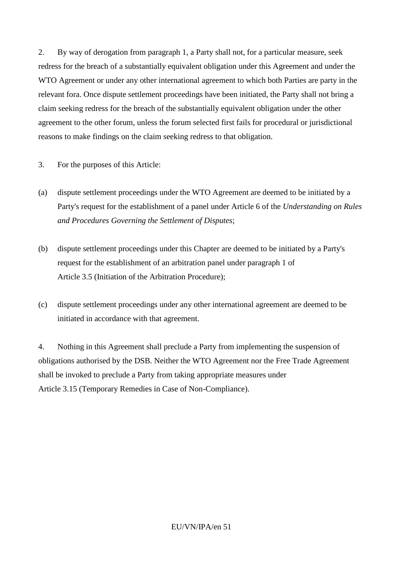2. By way of derogation from paragraph 1, a Party shall not, for a particular measure, seek redress for the breach of a substantially equivalent obligation under this Agreement and under the WTO Agreement or under any other international agreement to which both Parties are party in the relevant fora. Once dispute settlement proceedings have been initiated, the Party shall not bring a claim seeking redress for the breach of the substantially equivalent obligation under the other agreement to the other forum, unless the forum selected first fails for procedural or jurisdictional reasons to make findings on the claim seeking redress to that obligation.

3. For the purposes of this Article:

- (a) dispute settlement proceedings under the WTO Agreement are deemed to be initiated by a Party's request for the establishment of a panel under Article 6 of the *Understanding on Rules and Procedures Governing the Settlement of Disputes*;
- (b) dispute settlement proceedings under this Chapter are deemed to be initiated by a Party's request for the establishment of an arbitration panel under paragraph 1 of Article 3.5 (Initiation of the Arbitration Procedure);
- (c) dispute settlement proceedings under any other international agreement are deemed to be initiated in accordance with that agreement.

4. Nothing in this Agreement shall preclude a Party from implementing the suspension of obligations authorised by the DSB. Neither the WTO Agreement nor the Free Trade Agreement shall be invoked to preclude a Party from taking appropriate measures under Article 3.15 (Temporary Remedies in Case of Non-Compliance).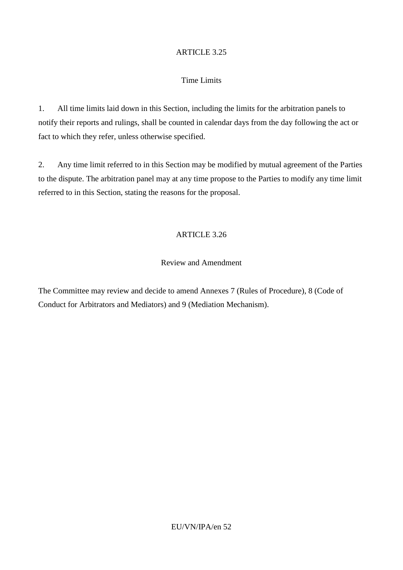### Time Limits

1. All time limits laid down in this Section, including the limits for the arbitration panels to notify their reports and rulings, shall be counted in calendar days from the day following the act or fact to which they refer, unless otherwise specified.

2. Any time limit referred to in this Section may be modified by mutual agreement of the Parties to the dispute. The arbitration panel may at any time propose to the Parties to modify any time limit referred to in this Section, stating the reasons for the proposal.

### ARTICLE 3.26

### Review and Amendment

The Committee may review and decide to amend Annexes 7 (Rules of Procedure), 8 (Code of Conduct for Arbitrators and Mediators) and 9 (Mediation Mechanism).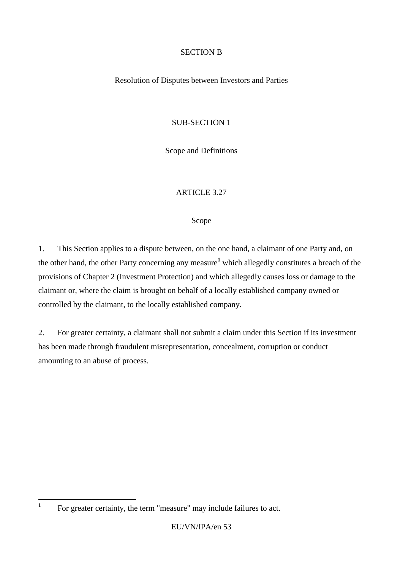### SECTION B

#### Resolution of Disputes between Investors and Parties

### SUB-SECTION 1

Scope and Definitions

### ARTICLE 3.27

#### Scope

1. This Section applies to a dispute between, on the one hand, a claimant of one Party and, on the other hand, the other Party concerning any measure**<sup>1</sup>** which allegedly constitutes a breach of the provisions of Chapter 2 (Investment Protection) and which allegedly causes loss or damage to the claimant or, where the claim is brought on behalf of a locally established company owned or controlled by the claimant, to the locally established company.

2. For greater certainty, a claimant shall not submit a claim under this Section if its investment has been made through fraudulent misrepresentation, concealment, corruption or conduct amounting to an abuse of process.

 **1** For greater certainty, the term "measure" may include failures to act.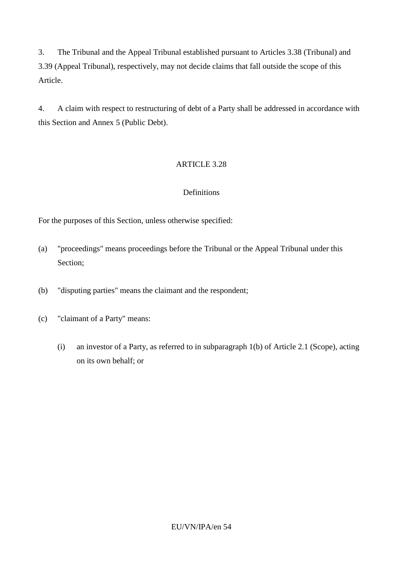3. The Tribunal and the Appeal Tribunal established pursuant to Articles 3.38 (Tribunal) and 3.39 (Appeal Tribunal), respectively, may not decide claims that fall outside the scope of this Article.

4. A claim with respect to restructuring of debt of a Party shall be addressed in accordance with this Section and Annex 5 (Public Debt).

## ARTICLE 3.28

## **Definitions**

For the purposes of this Section, unless otherwise specified:

- (a) "proceedings" means proceedings before the Tribunal or the Appeal Tribunal under this Section;
- (b) "disputing parties" means the claimant and the respondent;
- (c) "claimant of a Party" means:
	- (i) an investor of a Party, as referred to in subparagraph 1(b) of Article 2.1 (Scope), acting on its own behalf; or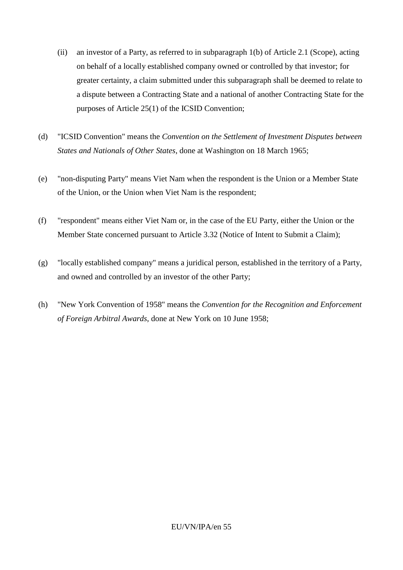- (ii) an investor of a Party, as referred to in subparagraph 1(b) of Article 2.1 (Scope), acting on behalf of a locally established company owned or controlled by that investor; for greater certainty, a claim submitted under this subparagraph shall be deemed to relate to a dispute between a Contracting State and a national of another Contracting State for the purposes of Article 25(1) of the ICSID Convention;
- (d) "ICSID Convention" means the *Convention on the Settlement of Investment Disputes between States and Nationals of Other States*, done at Washington on 18 March 1965;
- (e) "non-disputing Party" means Viet Nam when the respondent is the Union or a Member State of the Union, or the Union when Viet Nam is the respondent;
- (f) "respondent" means either Viet Nam or, in the case of the EU Party, either the Union or the Member State concerned pursuant to Article 3.32 (Notice of Intent to Submit a Claim);
- (g) "locally established company" means a juridical person, established in the territory of a Party, and owned and controlled by an investor of the other Party;
- (h) "New York Convention of 1958" means the *Convention for the Recognition and Enforcement of Foreign Arbitral Awards*, done at New York on 10 June 1958;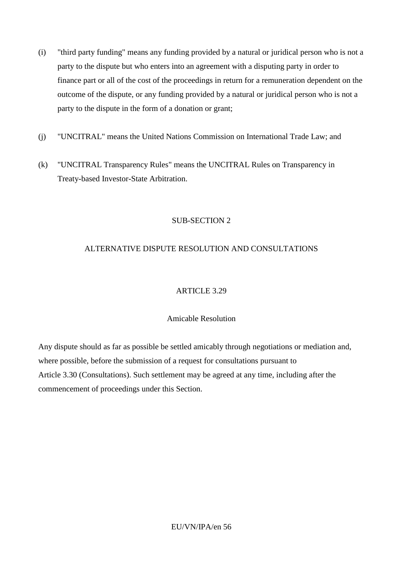- (i) "third party funding" means any funding provided by a natural or juridical person who is not a party to the dispute but who enters into an agreement with a disputing party in order to finance part or all of the cost of the proceedings in return for a remuneration dependent on the outcome of the dispute, or any funding provided by a natural or juridical person who is not a party to the dispute in the form of a donation or grant;
- (j) "UNCITRAL" means the United Nations Commission on International Trade Law; and
- (k) "UNCITRAL Transparency Rules" means the UNCITRAL Rules on Transparency in Treaty-based Investor-State Arbitration.

## SUB-SECTION 2

## ALTERNATIVE DISPUTE RESOLUTION AND CONSULTATIONS

### ARTICLE 3.29

### Amicable Resolution

Any dispute should as far as possible be settled amicably through negotiations or mediation and, where possible, before the submission of a request for consultations pursuant to Article 3.30 (Consultations). Such settlement may be agreed at any time, including after the commencement of proceedings under this Section.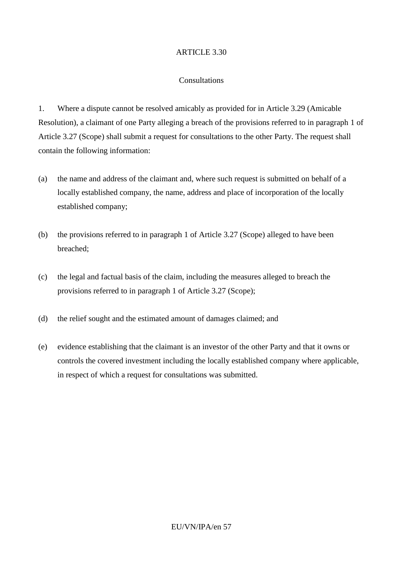### Consultations

1. Where a dispute cannot be resolved amicably as provided for in Article 3.29 (Amicable Resolution), a claimant of one Party alleging a breach of the provisions referred to in paragraph 1 of Article 3.27 (Scope) shall submit a request for consultations to the other Party. The request shall contain the following information:

- (a) the name and address of the claimant and, where such request is submitted on behalf of a locally established company, the name, address and place of incorporation of the locally established company;
- (b) the provisions referred to in paragraph 1 of Article 3.27 (Scope) alleged to have been breached;
- (c) the legal and factual basis of the claim, including the measures alleged to breach the provisions referred to in paragraph 1 of Article 3.27 (Scope);
- (d) the relief sought and the estimated amount of damages claimed; and
- (e) evidence establishing that the claimant is an investor of the other Party and that it owns or controls the covered investment including the locally established company where applicable, in respect of which a request for consultations was submitted.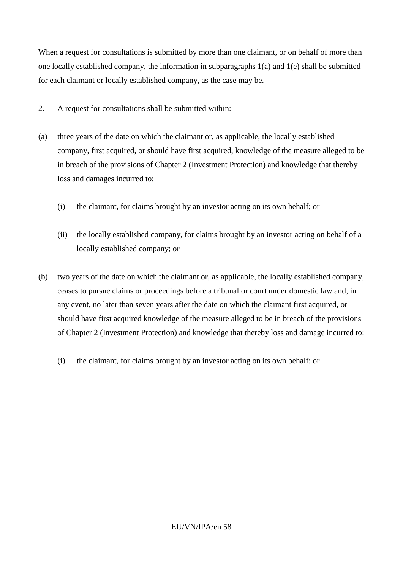When a request for consultations is submitted by more than one claimant, or on behalf of more than one locally established company, the information in subparagraphs 1(a) and 1(e) shall be submitted for each claimant or locally established company, as the case may be.

- 2. A request for consultations shall be submitted within:
- (a) three years of the date on which the claimant or, as applicable, the locally established company, first acquired, or should have first acquired, knowledge of the measure alleged to be in breach of the provisions of Chapter 2 (Investment Protection) and knowledge that thereby loss and damages incurred to:
	- (i) the claimant, for claims brought by an investor acting on its own behalf; or
	- (ii) the locally established company, for claims brought by an investor acting on behalf of a locally established company; or
- (b) two years of the date on which the claimant or, as applicable, the locally established company, ceases to pursue claims or proceedings before a tribunal or court under domestic law and, in any event, no later than seven years after the date on which the claimant first acquired, or should have first acquired knowledge of the measure alleged to be in breach of the provisions of Chapter 2 (Investment Protection) and knowledge that thereby loss and damage incurred to:
	- (i) the claimant, for claims brought by an investor acting on its own behalf; or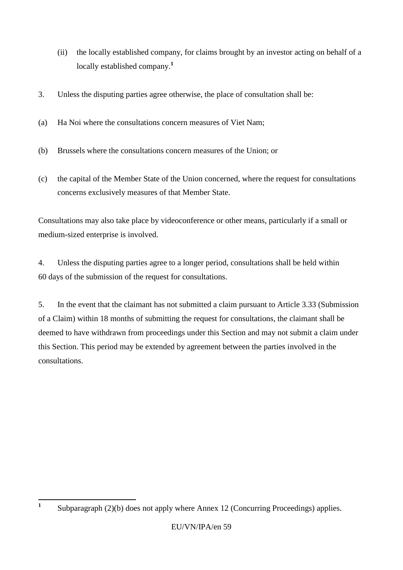- (ii) the locally established company, for claims brought by an investor acting on behalf of a locally established company. **1**
- 3. Unless the disputing parties agree otherwise, the place of consultation shall be:
- (a) Ha Noi where the consultations concern measures of Viet Nam;
- (b) Brussels where the consultations concern measures of the Union; or
- (c) the capital of the Member State of the Union concerned, where the request for consultations concerns exclusively measures of that Member State.

Consultations may also take place by videoconference or other means, particularly if a small or medium-sized enterprise is involved.

4. Unless the disputing parties agree to a longer period, consultations shall be held within 60 days of the submission of the request for consultations.

5. In the event that the claimant has not submitted a claim pursuant to Article 3.33 (Submission of a Claim) within 18 months of submitting the request for consultations, the claimant shall be deemed to have withdrawn from proceedings under this Section and may not submit a claim under this Section. This period may be extended by agreement between the parties involved in the consultations.

 **1** Subparagraph (2)(b) does not apply where Annex 12 (Concurring Proceedings) applies.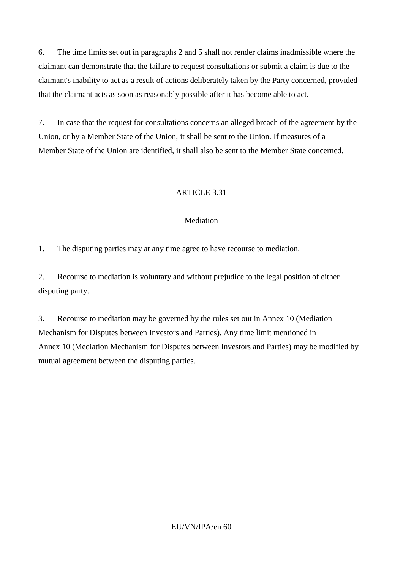6. The time limits set out in paragraphs 2 and 5 shall not render claims inadmissible where the claimant can demonstrate that the failure to request consultations or submit a claim is due to the claimant's inability to act as a result of actions deliberately taken by the Party concerned, provided that the claimant acts as soon as reasonably possible after it has become able to act.

7. In case that the request for consultations concerns an alleged breach of the agreement by the Union, or by a Member State of the Union, it shall be sent to the Union. If measures of a Member State of the Union are identified, it shall also be sent to the Member State concerned.

### ARTICLE 3.31

#### Mediation

1. The disputing parties may at any time agree to have recourse to mediation.

2. Recourse to mediation is voluntary and without prejudice to the legal position of either disputing party.

3. Recourse to mediation may be governed by the rules set out in Annex 10 (Mediation Mechanism for Disputes between Investors and Parties). Any time limit mentioned in Annex 10 (Mediation Mechanism for Disputes between Investors and Parties) may be modified by mutual agreement between the disputing parties.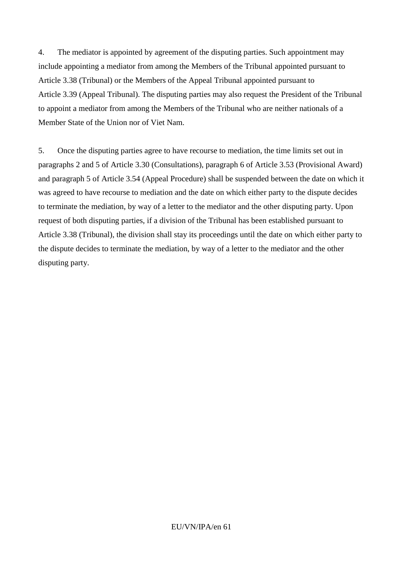4. The mediator is appointed by agreement of the disputing parties. Such appointment may include appointing a mediator from among the Members of the Tribunal appointed pursuant to Article 3.38 (Tribunal) or the Members of the Appeal Tribunal appointed pursuant to Article 3.39 (Appeal Tribunal). The disputing parties may also request the President of the Tribunal to appoint a mediator from among the Members of the Tribunal who are neither nationals of a Member State of the Union nor of Viet Nam.

5. Once the disputing parties agree to have recourse to mediation, the time limits set out in paragraphs 2 and 5 of Article 3.30 (Consultations), paragraph 6 of Article 3.53 (Provisional Award) and paragraph 5 of Article 3.54 (Appeal Procedure) shall be suspended between the date on which it was agreed to have recourse to mediation and the date on which either party to the dispute decides to terminate the mediation, by way of a letter to the mediator and the other disputing party. Upon request of both disputing parties, if a division of the Tribunal has been established pursuant to Article 3.38 (Tribunal), the division shall stay its proceedings until the date on which either party to the dispute decides to terminate the mediation, by way of a letter to the mediator and the other disputing party.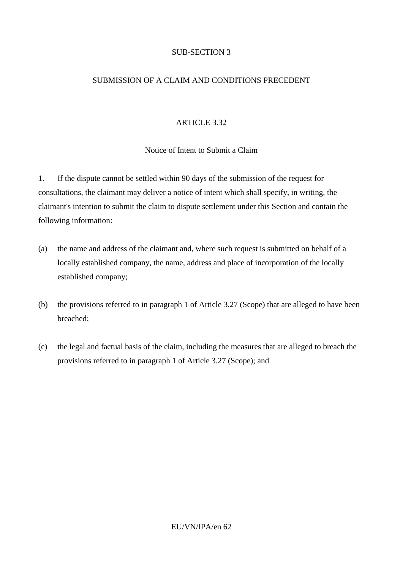### SUB-SECTION 3

### SUBMISSION OF A CLAIM AND CONDITIONS PRECEDENT

#### ARTICLE 3.32

### Notice of Intent to Submit a Claim

1. If the dispute cannot be settled within 90 days of the submission of the request for consultations, the claimant may deliver a notice of intent which shall specify, in writing, the claimant's intention to submit the claim to dispute settlement under this Section and contain the following information:

- (a) the name and address of the claimant and, where such request is submitted on behalf of a locally established company, the name, address and place of incorporation of the locally established company;
- (b) the provisions referred to in paragraph 1 of Article 3.27 (Scope) that are alleged to have been breached;
- (c) the legal and factual basis of the claim, including the measures that are alleged to breach the provisions referred to in paragraph 1 of Article 3.27 (Scope); and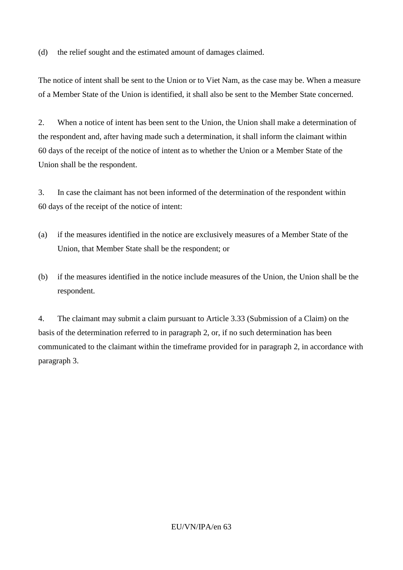(d) the relief sought and the estimated amount of damages claimed.

The notice of intent shall be sent to the Union or to Viet Nam, as the case may be. When a measure of a Member State of the Union is identified, it shall also be sent to the Member State concerned.

2. When a notice of intent has been sent to the Union, the Union shall make a determination of the respondent and, after having made such a determination, it shall inform the claimant within 60 days of the receipt of the notice of intent as to whether the Union or a Member State of the Union shall be the respondent.

3. In case the claimant has not been informed of the determination of the respondent within 60 days of the receipt of the notice of intent:

- (a) if the measures identified in the notice are exclusively measures of a Member State of the Union, that Member State shall be the respondent; or
- (b) if the measures identified in the notice include measures of the Union, the Union shall be the respondent.

4. The claimant may submit a claim pursuant to Article 3.33 (Submission of a Claim) on the basis of the determination referred to in paragraph 2, or, if no such determination has been communicated to the claimant within the timeframe provided for in paragraph 2, in accordance with paragraph 3.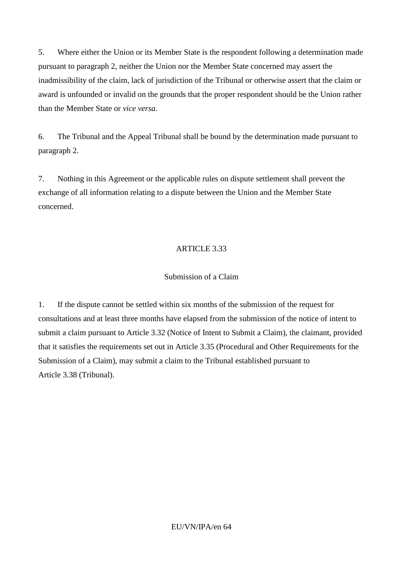5. Where either the Union or its Member State is the respondent following a determination made pursuant to paragraph 2, neither the Union nor the Member State concerned may assert the inadmissibility of the claim, lack of jurisdiction of the Tribunal or otherwise assert that the claim or award is unfounded or invalid on the grounds that the proper respondent should be the Union rather than the Member State or *vice versa*.

6. The Tribunal and the Appeal Tribunal shall be bound by the determination made pursuant to paragraph 2.

7. Nothing in this Agreement or the applicable rules on dispute settlement shall prevent the exchange of all information relating to a dispute between the Union and the Member State concerned.

### ARTICLE 3.33

#### Submission of a Claim

1. If the dispute cannot be settled within six months of the submission of the request for consultations and at least three months have elapsed from the submission of the notice of intent to submit a claim pursuant to Article 3.32 (Notice of Intent to Submit a Claim), the claimant, provided that it satisfies the requirements set out in Article 3.35 (Procedural and Other Requirements for the Submission of a Claim), may submit a claim to the Tribunal established pursuant to Article 3.38 (Tribunal).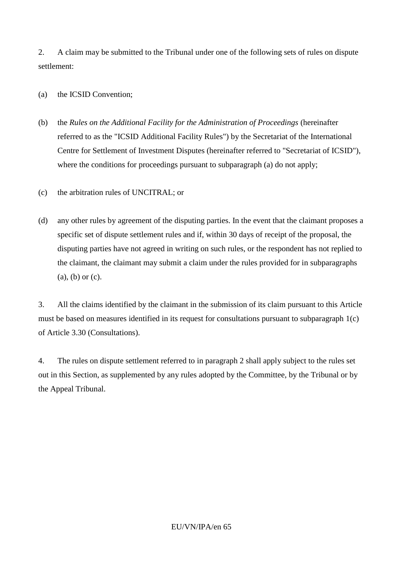2. A claim may be submitted to the Tribunal under one of the following sets of rules on dispute settlement:

#### (a) the ICSID Convention;

- (b) the *Rules on the Additional Facility for the Administration of Proceedings* (hereinafter referred to as the "ICSID Additional Facility Rules") by the Secretariat of the International Centre for Settlement of Investment Disputes (hereinafter referred to "Secretariat of ICSID"), where the conditions for proceedings pursuant to subparagraph (a) do not apply;
- (c) the arbitration rules of UNCITRAL; or
- (d) any other rules by agreement of the disputing parties. In the event that the claimant proposes a specific set of dispute settlement rules and if, within 30 days of receipt of the proposal, the disputing parties have not agreed in writing on such rules, or the respondent has not replied to the claimant, the claimant may submit a claim under the rules provided for in subparagraphs (a), (b) or (c).

3. All the claims identified by the claimant in the submission of its claim pursuant to this Article must be based on measures identified in its request for consultations pursuant to subparagraph 1(c) of Article 3.30 (Consultations).

4. The rules on dispute settlement referred to in paragraph 2 shall apply subject to the rules set out in this Section, as supplemented by any rules adopted by the Committee, by the Tribunal or by the Appeal Tribunal.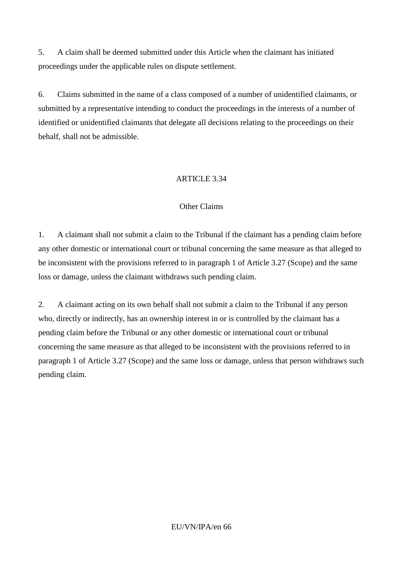5. A claim shall be deemed submitted under this Article when the claimant has initiated proceedings under the applicable rules on dispute settlement.

6. Claims submitted in the name of a class composed of a number of unidentified claimants, or submitted by a representative intending to conduct the proceedings in the interests of a number of identified or unidentified claimants that delegate all decisions relating to the proceedings on their behalf, shall not be admissible.

## ARTICLE 3.34

### Other Claims

1. A claimant shall not submit a claim to the Tribunal if the claimant has a pending claim before any other domestic or international court or tribunal concerning the same measure as that alleged to be inconsistent with the provisions referred to in paragraph 1 of Article 3.27 (Scope) and the same loss or damage, unless the claimant withdraws such pending claim.

2. A claimant acting on its own behalf shall not submit a claim to the Tribunal if any person who, directly or indirectly, has an ownership interest in or is controlled by the claimant has a pending claim before the Tribunal or any other domestic or international court or tribunal concerning the same measure as that alleged to be inconsistent with the provisions referred to in paragraph 1 of Article 3.27 (Scope) and the same loss or damage, unless that person withdraws such pending claim.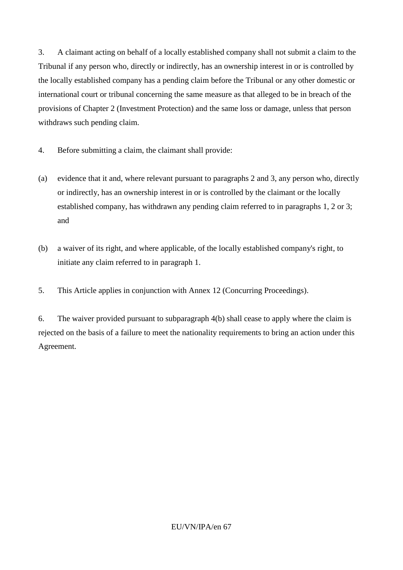3. A claimant acting on behalf of a locally established company shall not submit a claim to the Tribunal if any person who, directly or indirectly, has an ownership interest in or is controlled by the locally established company has a pending claim before the Tribunal or any other domestic or international court or tribunal concerning the same measure as that alleged to be in breach of the provisions of Chapter 2 (Investment Protection) and the same loss or damage, unless that person withdraws such pending claim.

- 4. Before submitting a claim, the claimant shall provide:
- (a) evidence that it and, where relevant pursuant to paragraphs 2 and 3, any person who, directly or indirectly, has an ownership interest in or is controlled by the claimant or the locally established company, has withdrawn any pending claim referred to in paragraphs 1, 2 or 3; and
- (b) a waiver of its right, and where applicable, of the locally established company's right, to initiate any claim referred to in paragraph 1.
- 5. This Article applies in conjunction with Annex 12 (Concurring Proceedings).

6. The waiver provided pursuant to subparagraph 4(b) shall cease to apply where the claim is rejected on the basis of a failure to meet the nationality requirements to bring an action under this Agreement.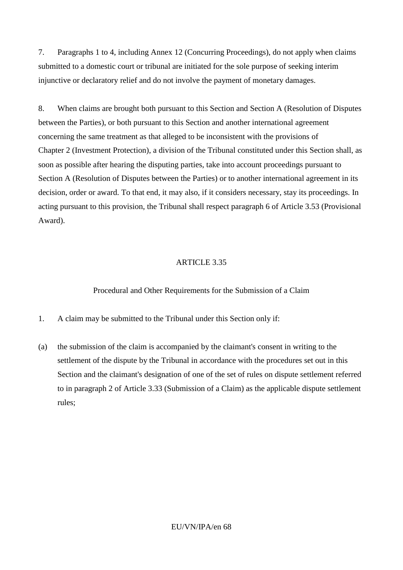7. Paragraphs 1 to 4, including Annex 12 (Concurring Proceedings), do not apply when claims submitted to a domestic court or tribunal are initiated for the sole purpose of seeking interim injunctive or declaratory relief and do not involve the payment of monetary damages.

8. When claims are brought both pursuant to this Section and Section A (Resolution of Disputes between the Parties), or both pursuant to this Section and another international agreement concerning the same treatment as that alleged to be inconsistent with the provisions of Chapter 2 (Investment Protection), a division of the Tribunal constituted under this Section shall, as soon as possible after hearing the disputing parties, take into account proceedings pursuant to Section A (Resolution of Disputes between the Parties) or to another international agreement in its decision, order or award. To that end, it may also, if it considers necessary, stay its proceedings. In acting pursuant to this provision, the Tribunal shall respect paragraph 6 of Article 3.53 (Provisional Award).

### ARTICLE 3.35

### Procedural and Other Requirements for the Submission of a Claim

- 1. A claim may be submitted to the Tribunal under this Section only if:
- (a) the submission of the claim is accompanied by the claimant's consent in writing to the settlement of the dispute by the Tribunal in accordance with the procedures set out in this Section and the claimant's designation of one of the set of rules on dispute settlement referred to in paragraph 2 of Article 3.33 (Submission of a Claim) as the applicable dispute settlement rules;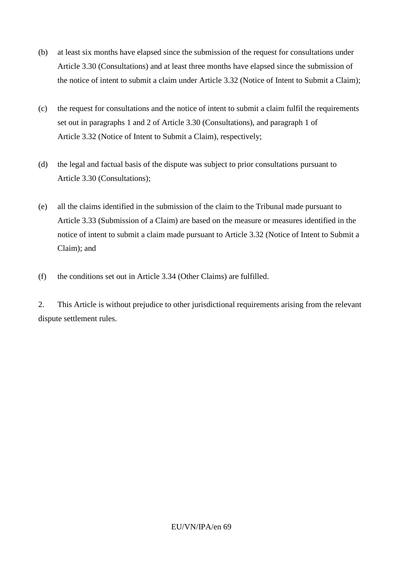- (b) at least six months have elapsed since the submission of the request for consultations under Article 3.30 (Consultations) and at least three months have elapsed since the submission of the notice of intent to submit a claim under Article 3.32 (Notice of Intent to Submit a Claim);
- (c) the request for consultations and the notice of intent to submit a claim fulfil the requirements set out in paragraphs 1 and 2 of Article 3.30 (Consultations), and paragraph 1 of Article 3.32 (Notice of Intent to Submit a Claim), respectively;
- (d) the legal and factual basis of the dispute was subject to prior consultations pursuant to Article 3.30 (Consultations);
- (e) all the claims identified in the submission of the claim to the Tribunal made pursuant to Article 3.33 (Submission of a Claim) are based on the measure or measures identified in the notice of intent to submit a claim made pursuant to Article 3.32 (Notice of Intent to Submit a Claim); and
- (f) the conditions set out in Article 3.34 (Other Claims) are fulfilled.

2. This Article is without prejudice to other jurisdictional requirements arising from the relevant dispute settlement rules.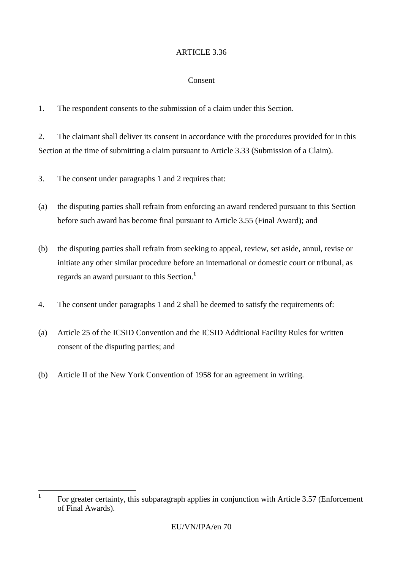#### Consent

1. The respondent consents to the submission of a claim under this Section.

2. The claimant shall deliver its consent in accordance with the procedures provided for in this Section at the time of submitting a claim pursuant to Article 3.33 (Submission of a Claim).

3. The consent under paragraphs 1 and 2 requires that:

- (a) the disputing parties shall refrain from enforcing an award rendered pursuant to this Section before such award has become final pursuant to Article 3.55 (Final Award); and
- (b) the disputing parties shall refrain from seeking to appeal, review, set aside, annul, revise or initiate any other similar procedure before an international or domestic court or tribunal, as regards an award pursuant to this Section.**<sup>1</sup>**
- 4. The consent under paragraphs 1 and 2 shall be deemed to satisfy the requirements of:
- (a) Article 25 of the ICSID Convention and the ICSID Additional Facility Rules for written consent of the disputing parties; and
- (b) Article II of the New York Convention of 1958 for an agreement in writing.

 **1** For greater certainty, this subparagraph applies in conjunction with Article 3.57 (Enforcement of Final Awards).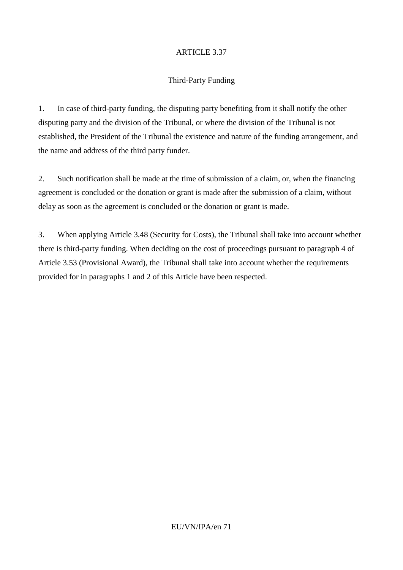### Third-Party Funding

1. In case of third-party funding, the disputing party benefiting from it shall notify the other disputing party and the division of the Tribunal, or where the division of the Tribunal is not established, the President of the Tribunal the existence and nature of the funding arrangement, and the name and address of the third party funder.

2. Such notification shall be made at the time of submission of a claim, or, when the financing agreement is concluded or the donation or grant is made after the submission of a claim, without delay as soon as the agreement is concluded or the donation or grant is made.

3. When applying Article 3.48 (Security for Costs), the Tribunal shall take into account whether there is third-party funding. When deciding on the cost of proceedings pursuant to paragraph 4 of Article 3.53 (Provisional Award), the Tribunal shall take into account whether the requirements provided for in paragraphs 1 and 2 of this Article have been respected.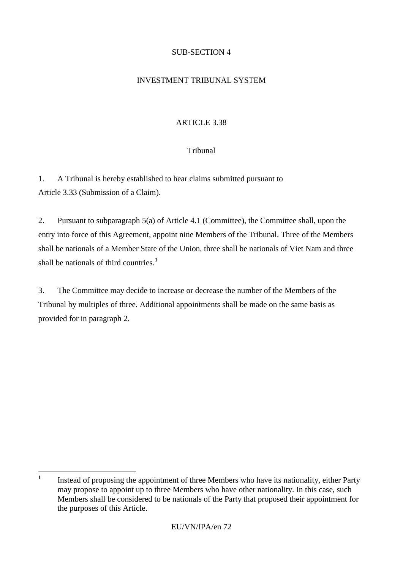# SUB-SECTION 4

## INVESTMENT TRIBUNAL SYSTEM

# ARTICLE 3.38

# Tribunal

1. A Tribunal is hereby established to hear claims submitted pursuant to Article 3.33 (Submission of a Claim).

2. Pursuant to subparagraph 5(a) of Article 4.1 (Committee), the Committee shall, upon the entry into force of this Agreement, appoint nine Members of the Tribunal. Three of the Members shall be nationals of a Member State of the Union, three shall be nationals of Viet Nam and three shall be nationals of third countries.**<sup>1</sup>**

3. The Committee may decide to increase or decrease the number of the Members of the Tribunal by multiples of three. Additional appointments shall be made on the same basis as provided for in paragraph 2.

 **1** Instead of proposing the appointment of three Members who have its nationality, either Party may propose to appoint up to three Members who have other nationality. In this case, such Members shall be considered to be nationals of the Party that proposed their appointment for the purposes of this Article.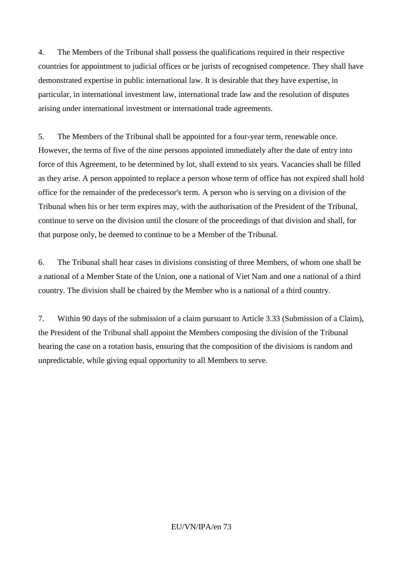4. The Members of the Tribunal shall possess the qualifications required in their respective countries for appointment to judicial offices or be jurists of recognised competence. They shall have demonstrated expertise in public international law. It is desirable that they have expertise, in particular, in international investment law, international trade law and the resolution of disputes arising under international investment or international trade agreements.

5. The Members of the Tribunal shall be appointed for a four-year term, renewable once. However, the terms of five of the nine persons appointed immediately after the date of entry into force of this Agreement, to be determined by lot, shall extend to six years. Vacancies shall be filled as they arise. A person appointed to replace a person whose term of office has not expired shall hold office for the remainder of the predecessor's term. A person who is serving on a division of the Tribunal when his or her term expires may, with the authorisation of the President of the Tribunal, continue to serve on the division until the closure of the proceedings of that division and shall, for that purpose only, be deemed to continue to be a Member of the Tribunal.

6. The Tribunal shall hear cases in divisions consisting of three Members, of whom one shall be a national of a Member State of the Union, one a national of Viet Nam and one a national of a third country. The division shall be chaired by the Member who is a national of a third country.

7. Within 90 days of the submission of a claim pursuant to Article 3.33 (Submission of a Claim), the President of the Tribunal shall appoint the Members composing the division of the Tribunal hearing the case on a rotation basis, ensuring that the composition of the divisions is random and unpredictable, while giving equal opportunity to all Members to serve.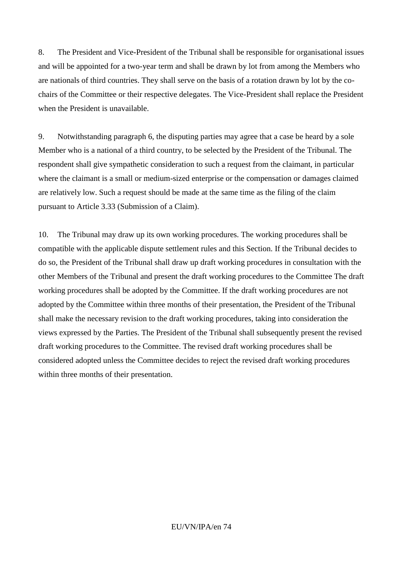8. The President and Vice-President of the Tribunal shall be responsible for organisational issues and will be appointed for a two-year term and shall be drawn by lot from among the Members who are nationals of third countries. They shall serve on the basis of a rotation drawn by lot by the cochairs of the Committee or their respective delegates. The Vice-President shall replace the President when the President is unavailable.

9. Notwithstanding paragraph 6, the disputing parties may agree that a case be heard by a sole Member who is a national of a third country, to be selected by the President of the Tribunal. The respondent shall give sympathetic consideration to such a request from the claimant, in particular where the claimant is a small or medium-sized enterprise or the compensation or damages claimed are relatively low. Such a request should be made at the same time as the filing of the claim pursuant to Article 3.33 (Submission of a Claim).

10. The Tribunal may draw up its own working procedures. The working procedures shall be compatible with the applicable dispute settlement rules and this Section. If the Tribunal decides to do so, the President of the Tribunal shall draw up draft working procedures in consultation with the other Members of the Tribunal and present the draft working procedures to the Committee The draft working procedures shall be adopted by the Committee. If the draft working procedures are not adopted by the Committee within three months of their presentation, the President of the Tribunal shall make the necessary revision to the draft working procedures, taking into consideration the views expressed by the Parties. The President of the Tribunal shall subsequently present the revised draft working procedures to the Committee. The revised draft working procedures shall be considered adopted unless the Committee decides to reject the revised draft working procedures within three months of their presentation.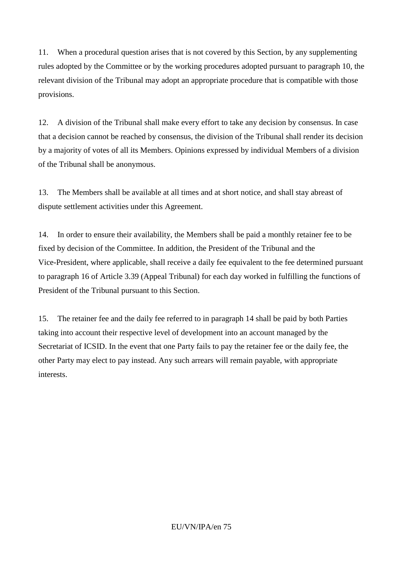11. When a procedural question arises that is not covered by this Section, by any supplementing rules adopted by the Committee or by the working procedures adopted pursuant to paragraph 10, the relevant division of the Tribunal may adopt an appropriate procedure that is compatible with those provisions.

12. A division of the Tribunal shall make every effort to take any decision by consensus. In case that a decision cannot be reached by consensus, the division of the Tribunal shall render its decision by a majority of votes of all its Members. Opinions expressed by individual Members of a division of the Tribunal shall be anonymous.

13. The Members shall be available at all times and at short notice, and shall stay abreast of dispute settlement activities under this Agreement.

14. In order to ensure their availability, the Members shall be paid a monthly retainer fee to be fixed by decision of the Committee. In addition, the President of the Tribunal and the Vice-President, where applicable, shall receive a daily fee equivalent to the fee determined pursuant to paragraph 16 of Article 3.39 (Appeal Tribunal) for each day worked in fulfilling the functions of President of the Tribunal pursuant to this Section.

15. The retainer fee and the daily fee referred to in paragraph 14 shall be paid by both Parties taking into account their respective level of development into an account managed by the Secretariat of ICSID. In the event that one Party fails to pay the retainer fee or the daily fee, the other Party may elect to pay instead. Any such arrears will remain payable, with appropriate interests.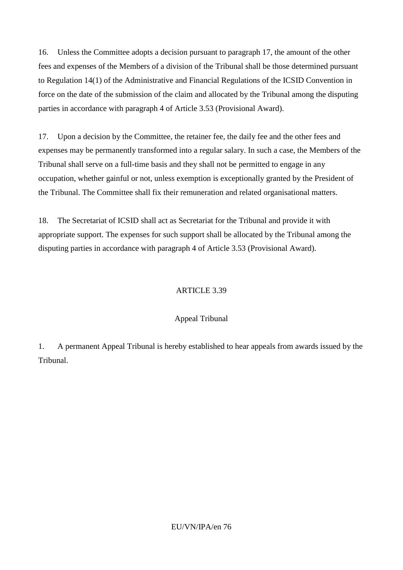16. Unless the Committee adopts a decision pursuant to paragraph 17, the amount of the other fees and expenses of the Members of a division of the Tribunal shall be those determined pursuant to Regulation 14(1) of the Administrative and Financial Regulations of the ICSID Convention in force on the date of the submission of the claim and allocated by the Tribunal among the disputing parties in accordance with paragraph 4 of Article 3.53 (Provisional Award).

17. Upon a decision by the Committee, the retainer fee, the daily fee and the other fees and expenses may be permanently transformed into a regular salary. In such a case, the Members of the Tribunal shall serve on a full-time basis and they shall not be permitted to engage in any occupation, whether gainful or not, unless exemption is exceptionally granted by the President of the Tribunal. The Committee shall fix their remuneration and related organisational matters.

18. The Secretariat of ICSID shall act as Secretariat for the Tribunal and provide it with appropriate support. The expenses for such support shall be allocated by the Tribunal among the disputing parties in accordance with paragraph 4 of Article 3.53 (Provisional Award).

# ARTICLE 3.39

# Appeal Tribunal

1. A permanent Appeal Tribunal is hereby established to hear appeals from awards issued by the Tribunal.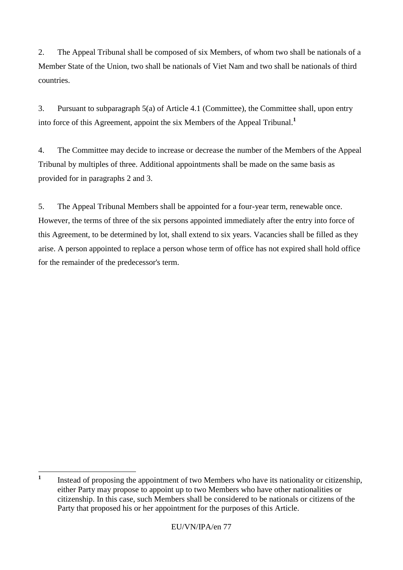2. The Appeal Tribunal shall be composed of six Members, of whom two shall be nationals of a Member State of the Union, two shall be nationals of Viet Nam and two shall be nationals of third countries.

3. Pursuant to subparagraph 5(a) of Article 4.1 (Committee), the Committee shall, upon entry into force of this Agreement, appoint the six Members of the Appeal Tribunal.**<sup>1</sup>**

4. The Committee may decide to increase or decrease the number of the Members of the Appeal Tribunal by multiples of three. Additional appointments shall be made on the same basis as provided for in paragraphs 2 and 3.

5. The Appeal Tribunal Members shall be appointed for a four-year term, renewable once. However, the terms of three of the six persons appointed immediately after the entry into force of this Agreement, to be determined by lot, shall extend to six years. Vacancies shall be filled as they arise. A person appointed to replace a person whose term of office has not expired shall hold office for the remainder of the predecessor's term.

 **1** Instead of proposing the appointment of two Members who have its nationality or citizenship, either Party may propose to appoint up to two Members who have other nationalities or citizenship. In this case, such Members shall be considered to be nationals or citizens of the Party that proposed his or her appointment for the purposes of this Article.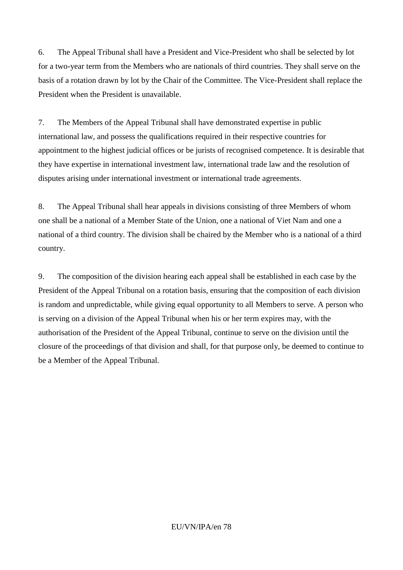6. The Appeal Tribunal shall have a President and Vice-President who shall be selected by lot for a two-year term from the Members who are nationals of third countries. They shall serve on the basis of a rotation drawn by lot by the Chair of the Committee. The Vice-President shall replace the President when the President is unavailable.

7. The Members of the Appeal Tribunal shall have demonstrated expertise in public international law, and possess the qualifications required in their respective countries for appointment to the highest judicial offices or be jurists of recognised competence. It is desirable that they have expertise in international investment law, international trade law and the resolution of disputes arising under international investment or international trade agreements.

8. The Appeal Tribunal shall hear appeals in divisions consisting of three Members of whom one shall be a national of a Member State of the Union, one a national of Viet Nam and one a national of a third country. The division shall be chaired by the Member who is a national of a third country.

9. The composition of the division hearing each appeal shall be established in each case by the President of the Appeal Tribunal on a rotation basis, ensuring that the composition of each division is random and unpredictable, while giving equal opportunity to all Members to serve. A person who is serving on a division of the Appeal Tribunal when his or her term expires may, with the authorisation of the President of the Appeal Tribunal, continue to serve on the division until the closure of the proceedings of that division and shall, for that purpose only, be deemed to continue to be a Member of the Appeal Tribunal.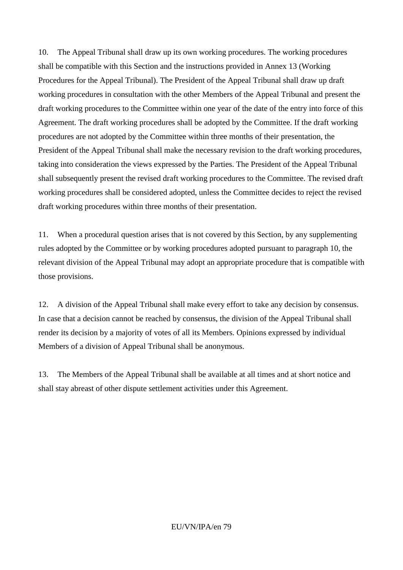10. The Appeal Tribunal shall draw up its own working procedures. The working procedures shall be compatible with this Section and the instructions provided in Annex 13 (Working Procedures for the Appeal Tribunal). The President of the Appeal Tribunal shall draw up draft working procedures in consultation with the other Members of the Appeal Tribunal and present the draft working procedures to the Committee within one year of the date of the entry into force of this Agreement. The draft working procedures shall be adopted by the Committee. If the draft working procedures are not adopted by the Committee within three months of their presentation, the President of the Appeal Tribunal shall make the necessary revision to the draft working procedures, taking into consideration the views expressed by the Parties. The President of the Appeal Tribunal shall subsequently present the revised draft working procedures to the Committee. The revised draft working procedures shall be considered adopted, unless the Committee decides to reject the revised draft working procedures within three months of their presentation.

11. When a procedural question arises that is not covered by this Section, by any supplementing rules adopted by the Committee or by working procedures adopted pursuant to paragraph 10, the relevant division of the Appeal Tribunal may adopt an appropriate procedure that is compatible with those provisions.

12. A division of the Appeal Tribunal shall make every effort to take any decision by consensus. In case that a decision cannot be reached by consensus, the division of the Appeal Tribunal shall render its decision by a majority of votes of all its Members. Opinions expressed by individual Members of a division of Appeal Tribunal shall be anonymous.

13. The Members of the Appeal Tribunal shall be available at all times and at short notice and shall stay abreast of other dispute settlement activities under this Agreement.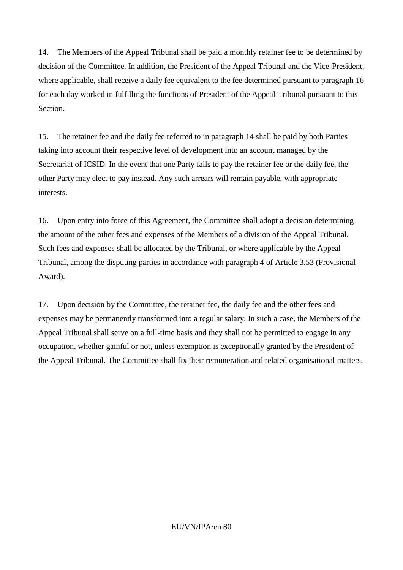14. The Members of the Appeal Tribunal shall be paid a monthly retainer fee to be determined by decision of the Committee. In addition, the President of the Appeal Tribunal and the Vice-President, where applicable, shall receive a daily fee equivalent to the fee determined pursuant to paragraph 16 for each day worked in fulfilling the functions of President of the Appeal Tribunal pursuant to this Section.

15. The retainer fee and the daily fee referred to in paragraph 14 shall be paid by both Parties taking into account their respective level of development into an account managed by the Secretariat of ICSID. In the event that one Party fails to pay the retainer fee or the daily fee, the other Party may elect to pay instead. Any such arrears will remain payable, with appropriate interests.

16. Upon entry into force of this Agreement, the Committee shall adopt a decision determining the amount of the other fees and expenses of the Members of a division of the Appeal Tribunal. Such fees and expenses shall be allocated by the Tribunal, or where applicable by the Appeal Tribunal, among the disputing parties in accordance with paragraph 4 of Article 3.53 (Provisional Award).

17. Upon decision by the Committee, the retainer fee, the daily fee and the other fees and expenses may be permanently transformed into a regular salary. In such a case, the Members of the Appeal Tribunal shall serve on a full-time basis and they shall not be permitted to engage in any occupation, whether gainful or not, unless exemption is exceptionally granted by the President of the Appeal Tribunal. The Committee shall fix their remuneration and related organisational matters.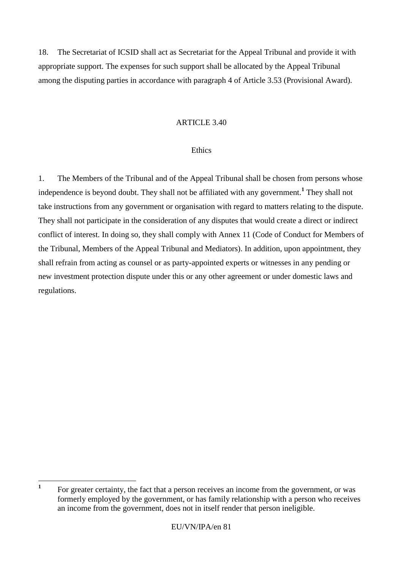18. The Secretariat of ICSID shall act as Secretariat for the Appeal Tribunal and provide it with appropriate support. The expenses for such support shall be allocated by the Appeal Tribunal among the disputing parties in accordance with paragraph 4 of Article 3.53 (Provisional Award).

## ARTICLE 3.40

## Ethics

1. The Members of the Tribunal and of the Appeal Tribunal shall be chosen from persons whose independence is beyond doubt. They shall not be affiliated with any government.**<sup>1</sup>** They shall not take instructions from any government or organisation with regard to matters relating to the dispute. They shall not participate in the consideration of any disputes that would create a direct or indirect conflict of interest. In doing so, they shall comply with Annex 11 (Code of Conduct for Members of the Tribunal, Members of the Appeal Tribunal and Mediators). In addition, upon appointment, they shall refrain from acting as counsel or as party-appointed experts or witnesses in any pending or new investment protection dispute under this or any other agreement or under domestic laws and regulations.

 **1** For greater certainty, the fact that a person receives an income from the government, or was formerly employed by the government, or has family relationship with a person who receives an income from the government, does not in itself render that person ineligible.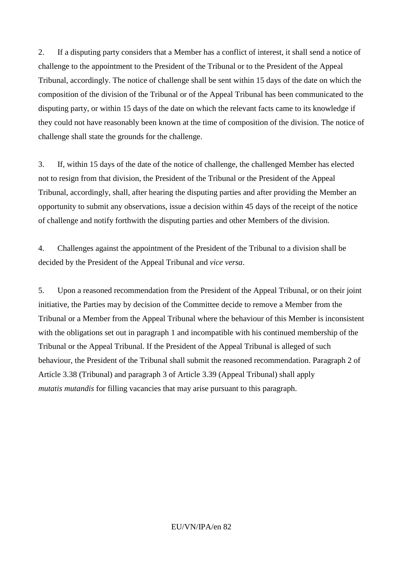2. If a disputing party considers that a Member has a conflict of interest, it shall send a notice of challenge to the appointment to the President of the Tribunal or to the President of the Appeal Tribunal, accordingly. The notice of challenge shall be sent within 15 days of the date on which the composition of the division of the Tribunal or of the Appeal Tribunal has been communicated to the disputing party, or within 15 days of the date on which the relevant facts came to its knowledge if they could not have reasonably been known at the time of composition of the division. The notice of challenge shall state the grounds for the challenge.

3. If, within 15 days of the date of the notice of challenge, the challenged Member has elected not to resign from that division, the President of the Tribunal or the President of the Appeal Tribunal, accordingly, shall, after hearing the disputing parties and after providing the Member an opportunity to submit any observations, issue a decision within 45 days of the receipt of the notice of challenge and notify forthwith the disputing parties and other Members of the division.

4. Challenges against the appointment of the President of the Tribunal to a division shall be decided by the President of the Appeal Tribunal and *vice versa*.

5. Upon a reasoned recommendation from the President of the Appeal Tribunal, or on their joint initiative, the Parties may by decision of the Committee decide to remove a Member from the Tribunal or a Member from the Appeal Tribunal where the behaviour of this Member is inconsistent with the obligations set out in paragraph 1 and incompatible with his continued membership of the Tribunal or the Appeal Tribunal. If the President of the Appeal Tribunal is alleged of such behaviour, the President of the Tribunal shall submit the reasoned recommendation. Paragraph 2 of Article 3.38 (Tribunal) and paragraph 3 of Article 3.39 (Appeal Tribunal) shall apply *mutatis mutandis* for filling vacancies that may arise pursuant to this paragraph.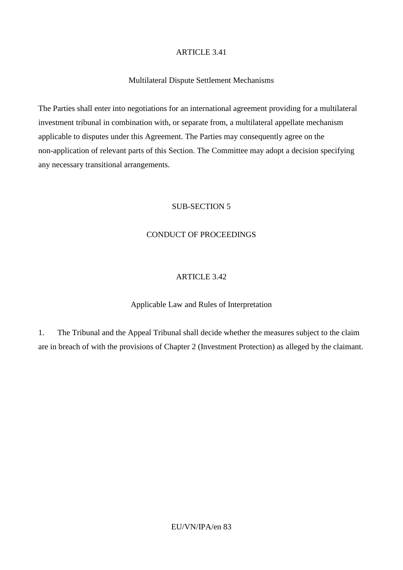# Multilateral Dispute Settlement Mechanisms

The Parties shall enter into negotiations for an international agreement providing for a multilateral investment tribunal in combination with, or separate from, a multilateral appellate mechanism applicable to disputes under this Agreement. The Parties may consequently agree on the non-application of relevant parts of this Section. The Committee may adopt a decision specifying any necessary transitional arrangements.

# SUB-SECTION 5

# CONDUCT OF PROCEEDINGS

# ARTICLE 3.42

# Applicable Law and Rules of Interpretation

1. The Tribunal and the Appeal Tribunal shall decide whether the measures subject to the claim are in breach of with the provisions of Chapter 2 (Investment Protection) as alleged by the claimant.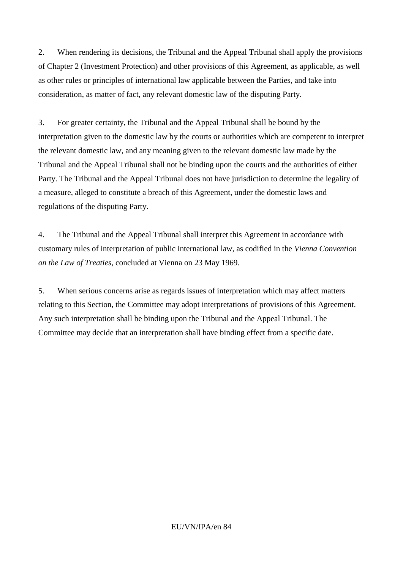2. When rendering its decisions, the Tribunal and the Appeal Tribunal shall apply the provisions of Chapter 2 (Investment Protection) and other provisions of this Agreement, as applicable, as well as other rules or principles of international law applicable between the Parties, and take into consideration, as matter of fact, any relevant domestic law of the disputing Party.

3. For greater certainty, the Tribunal and the Appeal Tribunal shall be bound by the interpretation given to the domestic law by the courts or authorities which are competent to interpret the relevant domestic law, and any meaning given to the relevant domestic law made by the Tribunal and the Appeal Tribunal shall not be binding upon the courts and the authorities of either Party. The Tribunal and the Appeal Tribunal does not have jurisdiction to determine the legality of a measure, alleged to constitute a breach of this Agreement, under the domestic laws and regulations of the disputing Party.

4. The Tribunal and the Appeal Tribunal shall interpret this Agreement in accordance with customary rules of interpretation of public international law, as codified in the *Vienna Convention on the Law of Treaties*, concluded at Vienna on 23 May 1969.

5. When serious concerns arise as regards issues of interpretation which may affect matters relating to this Section, the Committee may adopt interpretations of provisions of this Agreement. Any such interpretation shall be binding upon the Tribunal and the Appeal Tribunal. The Committee may decide that an interpretation shall have binding effect from a specific date.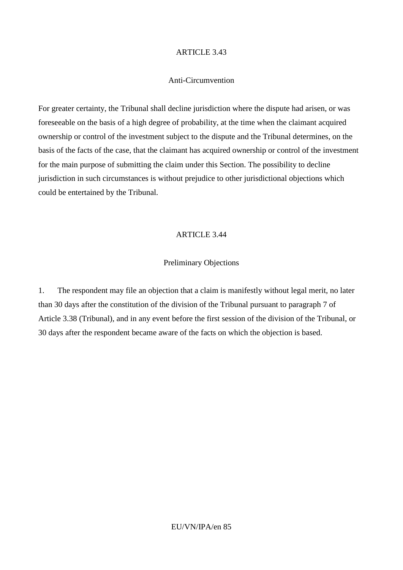#### Anti-Circumvention

For greater certainty, the Tribunal shall decline jurisdiction where the dispute had arisen, or was foreseeable on the basis of a high degree of probability, at the time when the claimant acquired ownership or control of the investment subject to the dispute and the Tribunal determines, on the basis of the facts of the case, that the claimant has acquired ownership or control of the investment for the main purpose of submitting the claim under this Section. The possibility to decline jurisdiction in such circumstances is without prejudice to other jurisdictional objections which could be entertained by the Tribunal.

#### ARTICLE 3.44

## Preliminary Objections

1. The respondent may file an objection that a claim is manifestly without legal merit, no later than 30 days after the constitution of the division of the Tribunal pursuant to paragraph 7 of Article 3.38 (Tribunal), and in any event before the first session of the division of the Tribunal, or 30 days after the respondent became aware of the facts on which the objection is based.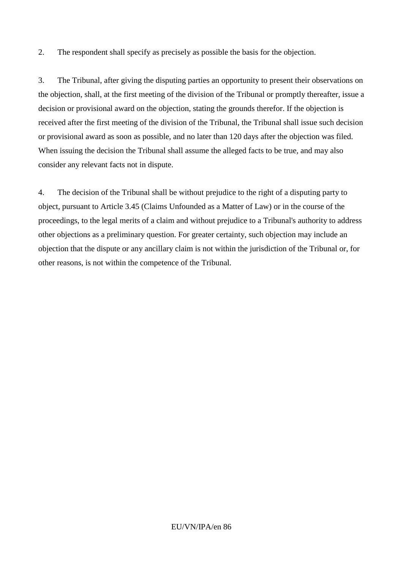2. The respondent shall specify as precisely as possible the basis for the objection.

3. The Tribunal, after giving the disputing parties an opportunity to present their observations on the objection, shall, at the first meeting of the division of the Tribunal or promptly thereafter, issue a decision or provisional award on the objection, stating the grounds therefor. If the objection is received after the first meeting of the division of the Tribunal, the Tribunal shall issue such decision or provisional award as soon as possible, and no later than 120 days after the objection was filed. When issuing the decision the Tribunal shall assume the alleged facts to be true, and may also consider any relevant facts not in dispute.

4. The decision of the Tribunal shall be without prejudice to the right of a disputing party to object, pursuant to Article 3.45 (Claims Unfounded as a Matter of Law) or in the course of the proceedings, to the legal merits of a claim and without prejudice to a Tribunal's authority to address other objections as a preliminary question. For greater certainty, such objection may include an objection that the dispute or any ancillary claim is not within the jurisdiction of the Tribunal or, for other reasons, is not within the competence of the Tribunal.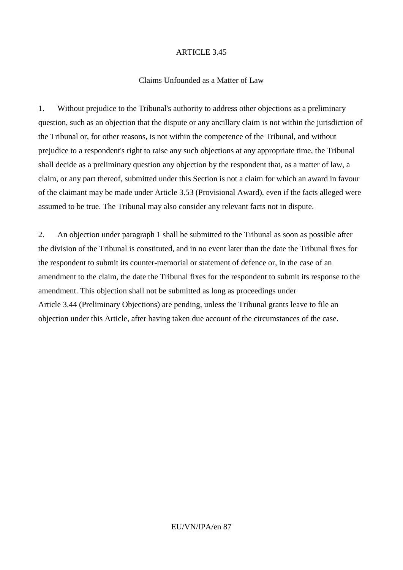#### Claims Unfounded as a Matter of Law

1. Without prejudice to the Tribunal's authority to address other objections as a preliminary question, such as an objection that the dispute or any ancillary claim is not within the jurisdiction of the Tribunal or, for other reasons, is not within the competence of the Tribunal, and without prejudice to a respondent's right to raise any such objections at any appropriate time, the Tribunal shall decide as a preliminary question any objection by the respondent that, as a matter of law, a claim, or any part thereof, submitted under this Section is not a claim for which an award in favour of the claimant may be made under Article 3.53 (Provisional Award), even if the facts alleged were assumed to be true. The Tribunal may also consider any relevant facts not in dispute.

2. An objection under paragraph 1 shall be submitted to the Tribunal as soon as possible after the division of the Tribunal is constituted, and in no event later than the date the Tribunal fixes for the respondent to submit its counter-memorial or statement of defence or, in the case of an amendment to the claim, the date the Tribunal fixes for the respondent to submit its response to the amendment. This objection shall not be submitted as long as proceedings under Article 3.44 (Preliminary Objections) are pending, unless the Tribunal grants leave to file an objection under this Article, after having taken due account of the circumstances of the case.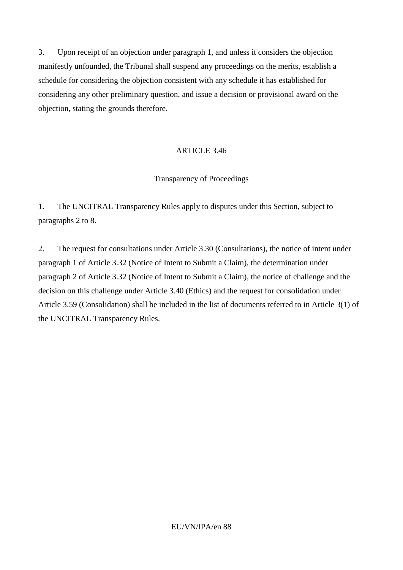3. Upon receipt of an objection under paragraph 1, and unless it considers the objection manifestly unfounded, the Tribunal shall suspend any proceedings on the merits, establish a schedule for considering the objection consistent with any schedule it has established for considering any other preliminary question, and issue a decision or provisional award on the objection, stating the grounds therefore.

# ARTICLE 3.46

# Transparency of Proceedings

1. The UNCITRAL Transparency Rules apply to disputes under this Section, subject to paragraphs 2 to 8.

2. The request for consultations under Article 3.30 (Consultations), the notice of intent under paragraph 1 of Article 3.32 (Notice of Intent to Submit a Claim), the determination under paragraph 2 of Article 3.32 (Notice of Intent to Submit a Claim), the notice of challenge and the decision on this challenge under Article 3.40 (Ethics) and the request for consolidation under Article 3.59 (Consolidation) shall be included in the list of documents referred to in Article 3(1) of the UNCITRAL Transparency Rules.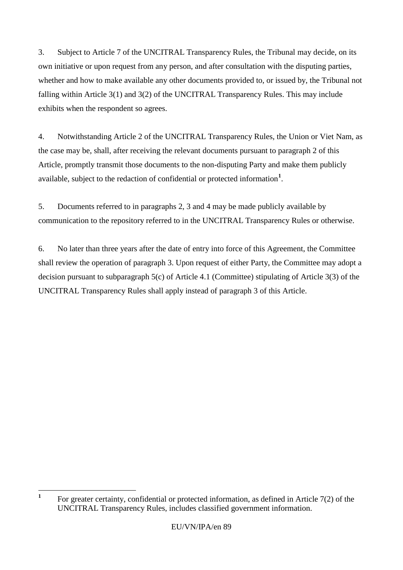3. Subject to Article 7 of the UNCITRAL Transparency Rules, the Tribunal may decide, on its own initiative or upon request from any person, and after consultation with the disputing parties, whether and how to make available any other documents provided to, or issued by, the Tribunal not falling within Article 3(1) and 3(2) of the UNCITRAL Transparency Rules. This may include exhibits when the respondent so agrees.

4. Notwithstanding Article 2 of the UNCITRAL Transparency Rules, the Union or Viet Nam, as the case may be, shall, after receiving the relevant documents pursuant to paragraph 2 of this Article, promptly transmit those documents to the non-disputing Party and make them publicly available, subject to the redaction of confidential or protected information**<sup>1</sup>** .

5. Documents referred to in paragraphs 2, 3 and 4 may be made publicly available by communication to the repository referred to in the UNCITRAL Transparency Rules or otherwise.

6. No later than three years after the date of entry into force of this Agreement, the Committee shall review the operation of paragraph 3. Upon request of either Party, the Committee may adopt a decision pursuant to subparagraph 5(c) of Article 4.1 (Committee) stipulating of Article 3(3) of the UNCITRAL Transparency Rules shall apply instead of paragraph 3 of this Article.

 **1** For greater certainty, confidential or protected information, as defined in Article 7(2) of the UNCITRAL Transparency Rules, includes classified government information.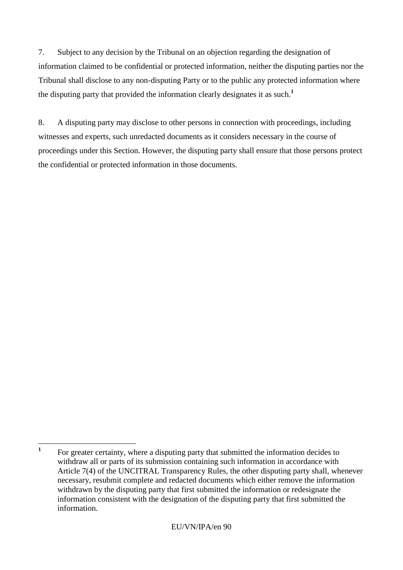7. Subject to any decision by the Tribunal on an objection regarding the designation of information claimed to be confidential or protected information, neither the disputing parties nor the Tribunal shall disclose to any non-disputing Party or to the public any protected information where the disputing party that provided the information clearly designates it as such.**<sup>1</sup>**

8. A disputing party may disclose to other persons in connection with proceedings, including witnesses and experts, such unredacted documents as it considers necessary in the course of proceedings under this Section. However, the disputing party shall ensure that those persons protect the confidential or protected information in those documents.

 **1** For greater certainty, where a disputing party that submitted the information decides to withdraw all or parts of its submission containing such information in accordance with Article 7(4) of the UNCITRAL Transparency Rules, the other disputing party shall, whenever necessary, resubmit complete and redacted documents which either remove the information withdrawn by the disputing party that first submitted the information or redesignate the information consistent with the designation of the disputing party that first submitted the information.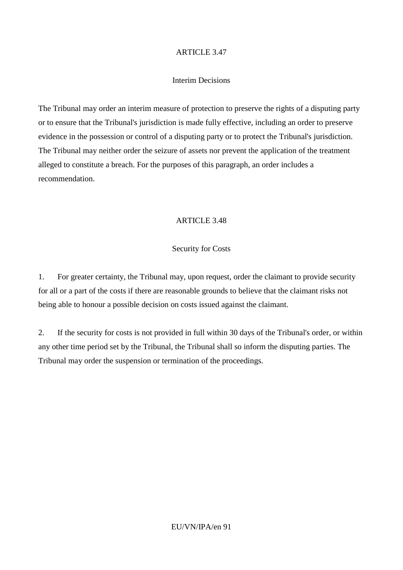## Interim Decisions

The Tribunal may order an interim measure of protection to preserve the rights of a disputing party or to ensure that the Tribunal's jurisdiction is made fully effective, including an order to preserve evidence in the possession or control of a disputing party or to protect the Tribunal's jurisdiction. The Tribunal may neither order the seizure of assets nor prevent the application of the treatment alleged to constitute a breach. For the purposes of this paragraph, an order includes a recommendation.

# ARTICLE 3.48

# Security for Costs

1. For greater certainty, the Tribunal may, upon request, order the claimant to provide security for all or a part of the costs if there are reasonable grounds to believe that the claimant risks not being able to honour a possible decision on costs issued against the claimant.

2. If the security for costs is not provided in full within 30 days of the Tribunal's order, or within any other time period set by the Tribunal, the Tribunal shall so inform the disputing parties. The Tribunal may order the suspension or termination of the proceedings.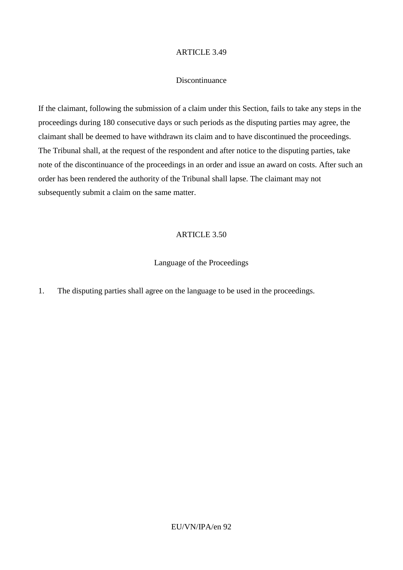#### Discontinuance

If the claimant, following the submission of a claim under this Section, fails to take any steps in the proceedings during 180 consecutive days or such periods as the disputing parties may agree, the claimant shall be deemed to have withdrawn its claim and to have discontinued the proceedings. The Tribunal shall, at the request of the respondent and after notice to the disputing parties, take note of the discontinuance of the proceedings in an order and issue an award on costs. After such an order has been rendered the authority of the Tribunal shall lapse. The claimant may not subsequently submit a claim on the same matter.

#### ARTICLE 3.50

## Language of the Proceedings

1. The disputing parties shall agree on the language to be used in the proceedings.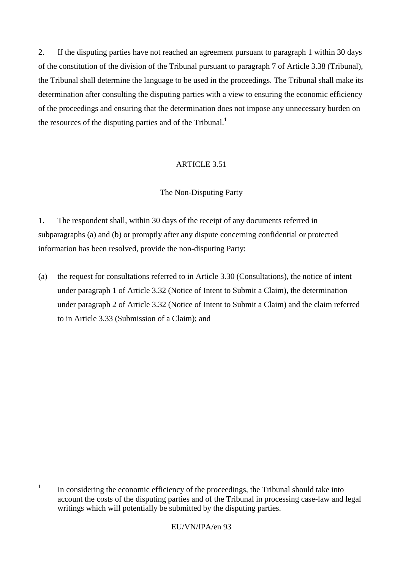2. If the disputing parties have not reached an agreement pursuant to paragraph 1 within 30 days of the constitution of the division of the Tribunal pursuant to paragraph 7 of Article 3.38 (Tribunal), the Tribunal shall determine the language to be used in the proceedings. The Tribunal shall make its determination after consulting the disputing parties with a view to ensuring the economic efficiency of the proceedings and ensuring that the determination does not impose any unnecessary burden on the resources of the disputing parties and of the Tribunal.**<sup>1</sup>**

# ARTICLE 3.51

# The Non-Disputing Party

1. The respondent shall, within 30 days of the receipt of any documents referred in subparagraphs (a) and (b) or promptly after any dispute concerning confidential or protected information has been resolved, provide the non-disputing Party:

(a) the request for consultations referred to in Article 3.30 (Consultations), the notice of intent under paragraph 1 of Article 3.32 (Notice of Intent to Submit a Claim), the determination under paragraph 2 of Article 3.32 (Notice of Intent to Submit a Claim) and the claim referred to in Article 3.33 (Submission of a Claim); and

 **1** In considering the economic efficiency of the proceedings, the Tribunal should take into account the costs of the disputing parties and of the Tribunal in processing case-law and legal writings which will potentially be submitted by the disputing parties.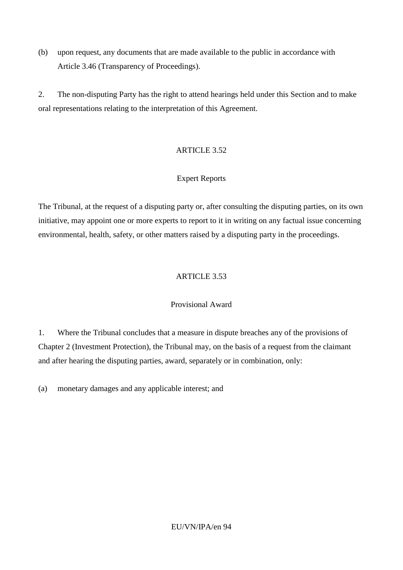(b) upon request, any documents that are made available to the public in accordance with Article 3.46 (Transparency of Proceedings).

2. The non-disputing Party has the right to attend hearings held under this Section and to make oral representations relating to the interpretation of this Agreement.

# ARTICLE 3.52

# Expert Reports

The Tribunal, at the request of a disputing party or, after consulting the disputing parties, on its own initiative, may appoint one or more experts to report to it in writing on any factual issue concerning environmental, health, safety, or other matters raised by a disputing party in the proceedings.

# ARTICLE 3.53

# Provisional Award

1. Where the Tribunal concludes that a measure in dispute breaches any of the provisions of Chapter 2 (Investment Protection), the Tribunal may, on the basis of a request from the claimant and after hearing the disputing parties, award, separately or in combination, only:

(a) monetary damages and any applicable interest; and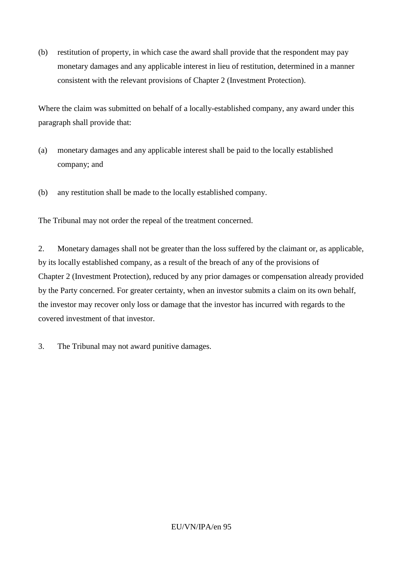(b) restitution of property, in which case the award shall provide that the respondent may pay monetary damages and any applicable interest in lieu of restitution, determined in a manner consistent with the relevant provisions of Chapter 2 (Investment Protection).

Where the claim was submitted on behalf of a locally-established company, any award under this paragraph shall provide that:

- (a) monetary damages and any applicable interest shall be paid to the locally established company; and
- (b) any restitution shall be made to the locally established company.

The Tribunal may not order the repeal of the treatment concerned.

2. Monetary damages shall not be greater than the loss suffered by the claimant or, as applicable, by its locally established company, as a result of the breach of any of the provisions of Chapter 2 (Investment Protection), reduced by any prior damages or compensation already provided by the Party concerned. For greater certainty, when an investor submits a claim on its own behalf, the investor may recover only loss or damage that the investor has incurred with regards to the covered investment of that investor.

3. The Tribunal may not award punitive damages.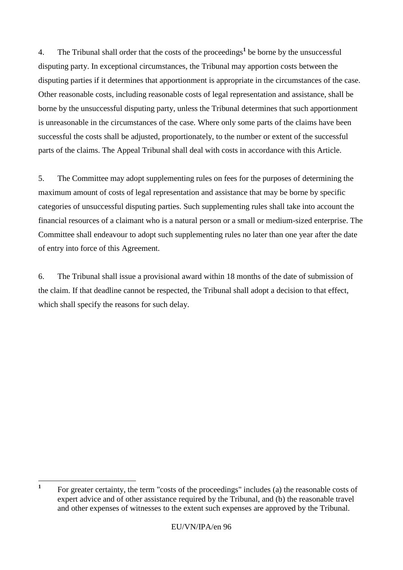4. The Tribunal shall order that the costs of the proceedings**<sup>1</sup>** be borne by the unsuccessful disputing party. In exceptional circumstances, the Tribunal may apportion costs between the disputing parties if it determines that apportionment is appropriate in the circumstances of the case. Other reasonable costs, including reasonable costs of legal representation and assistance, shall be borne by the unsuccessful disputing party, unless the Tribunal determines that such apportionment is unreasonable in the circumstances of the case. Where only some parts of the claims have been successful the costs shall be adjusted, proportionately, to the number or extent of the successful parts of the claims. The Appeal Tribunal shall deal with costs in accordance with this Article.

5. The Committee may adopt supplementing rules on fees for the purposes of determining the maximum amount of costs of legal representation and assistance that may be borne by specific categories of unsuccessful disputing parties. Such supplementing rules shall take into account the financial resources of a claimant who is a natural person or a small or medium-sized enterprise. The Committee shall endeavour to adopt such supplementing rules no later than one year after the date of entry into force of this Agreement.

6. The Tribunal shall issue a provisional award within 18 months of the date of submission of the claim. If that deadline cannot be respected, the Tribunal shall adopt a decision to that effect, which shall specify the reasons for such delay.

 **1** For greater certainty, the term "costs of the proceedings" includes (a) the reasonable costs of expert advice and of other assistance required by the Tribunal, and (b) the reasonable travel and other expenses of witnesses to the extent such expenses are approved by the Tribunal.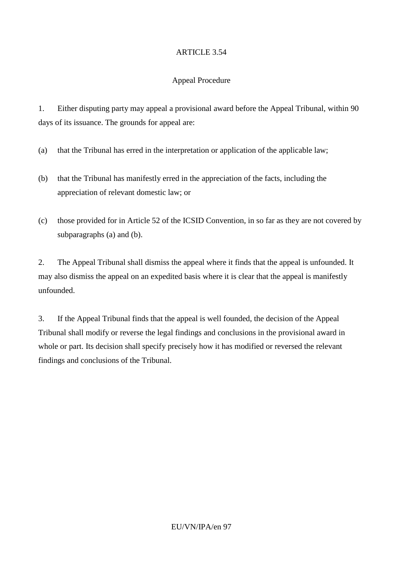# Appeal Procedure

1. Either disputing party may appeal a provisional award before the Appeal Tribunal, within 90 days of its issuance. The grounds for appeal are:

- (a) that the Tribunal has erred in the interpretation or application of the applicable law;
- (b) that the Tribunal has manifestly erred in the appreciation of the facts, including the appreciation of relevant domestic law; or
- (c) those provided for in Article 52 of the ICSID Convention, in so far as they are not covered by subparagraphs (a) and (b).

2. The Appeal Tribunal shall dismiss the appeal where it finds that the appeal is unfounded. It may also dismiss the appeal on an expedited basis where it is clear that the appeal is manifestly unfounded.

3. If the Appeal Tribunal finds that the appeal is well founded, the decision of the Appeal Tribunal shall modify or reverse the legal findings and conclusions in the provisional award in whole or part. Its decision shall specify precisely how it has modified or reversed the relevant findings and conclusions of the Tribunal.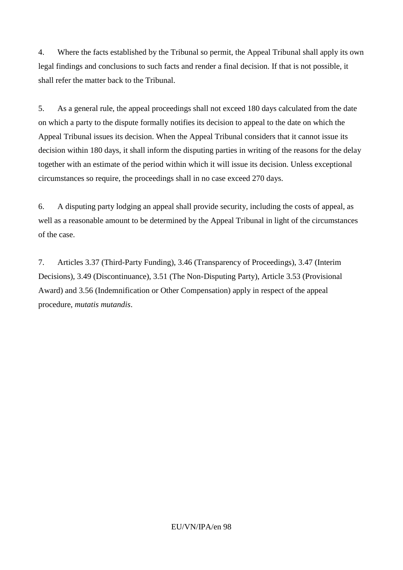4. Where the facts established by the Tribunal so permit, the Appeal Tribunal shall apply its own legal findings and conclusions to such facts and render a final decision. If that is not possible, it shall refer the matter back to the Tribunal.

5. As a general rule, the appeal proceedings shall not exceed 180 days calculated from the date on which a party to the dispute formally notifies its decision to appeal to the date on which the Appeal Tribunal issues its decision. When the Appeal Tribunal considers that it cannot issue its decision within 180 days, it shall inform the disputing parties in writing of the reasons for the delay together with an estimate of the period within which it will issue its decision. Unless exceptional circumstances so require, the proceedings shall in no case exceed 270 days.

6. A disputing party lodging an appeal shall provide security, including the costs of appeal, as well as a reasonable amount to be determined by the Appeal Tribunal in light of the circumstances of the case.

7. Articles 3.37 (Third-Party Funding), 3.46 (Transparency of Proceedings), 3.47 (Interim Decisions), 3.49 (Discontinuance), 3.51 (The Non-Disputing Party), Article 3.53 (Provisional Award) and 3.56 (Indemnification or Other Compensation) apply in respect of the appeal procedure, *mutatis mutandis*.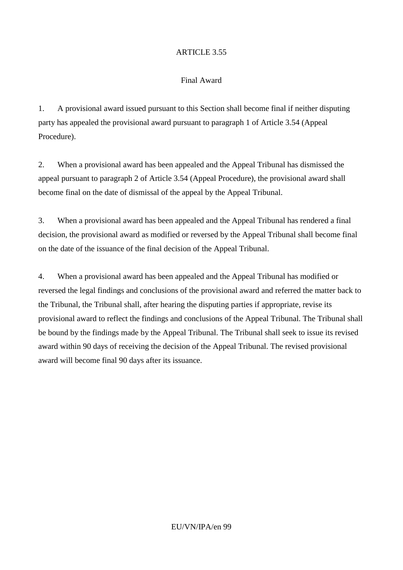# Final Award

1. A provisional award issued pursuant to this Section shall become final if neither disputing party has appealed the provisional award pursuant to paragraph 1 of Article 3.54 (Appeal Procedure).

2. When a provisional award has been appealed and the Appeal Tribunal has dismissed the appeal pursuant to paragraph 2 of Article 3.54 (Appeal Procedure), the provisional award shall become final on the date of dismissal of the appeal by the Appeal Tribunal.

3. When a provisional award has been appealed and the Appeal Tribunal has rendered a final decision, the provisional award as modified or reversed by the Appeal Tribunal shall become final on the date of the issuance of the final decision of the Appeal Tribunal.

4. When a provisional award has been appealed and the Appeal Tribunal has modified or reversed the legal findings and conclusions of the provisional award and referred the matter back to the Tribunal, the Tribunal shall, after hearing the disputing parties if appropriate, revise its provisional award to reflect the findings and conclusions of the Appeal Tribunal. The Tribunal shall be bound by the findings made by the Appeal Tribunal. The Tribunal shall seek to issue its revised award within 90 days of receiving the decision of the Appeal Tribunal. The revised provisional award will become final 90 days after its issuance.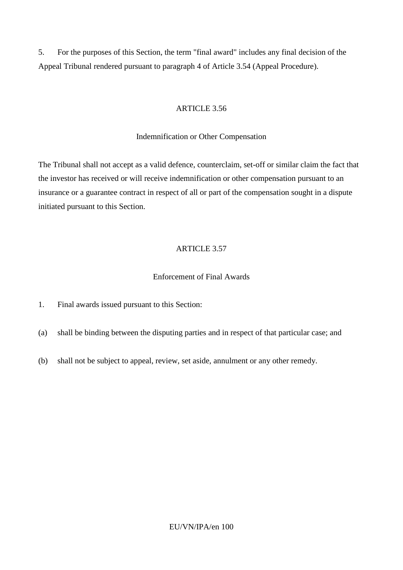5. For the purposes of this Section, the term "final award" includes any final decision of the Appeal Tribunal rendered pursuant to paragraph 4 of Article 3.54 (Appeal Procedure).

## ARTICLE 3.56

#### Indemnification or Other Compensation

The Tribunal shall not accept as a valid defence, counterclaim, set-off or similar claim the fact that the investor has received or will receive indemnification or other compensation pursuant to an insurance or a guarantee contract in respect of all or part of the compensation sought in a dispute initiated pursuant to this Section.

# ARTICLE 3.57

## Enforcement of Final Awards

1. Final awards issued pursuant to this Section:

(a) shall be binding between the disputing parties and in respect of that particular case; and

(b) shall not be subject to appeal, review, set aside, annulment or any other remedy.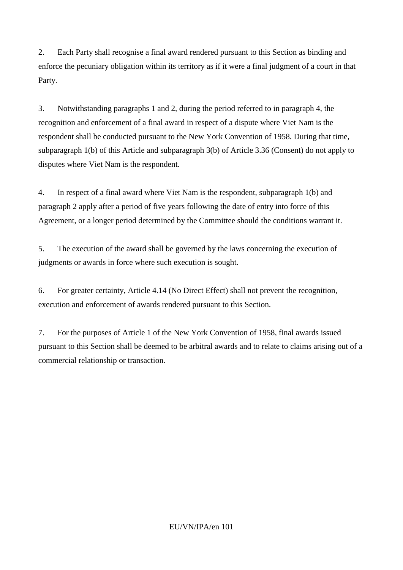2. Each Party shall recognise a final award rendered pursuant to this Section as binding and enforce the pecuniary obligation within its territory as if it were a final judgment of a court in that Party.

3. Notwithstanding paragraphs 1 and 2, during the period referred to in paragraph 4, the recognition and enforcement of a final award in respect of a dispute where Viet Nam is the respondent shall be conducted pursuant to the New York Convention of 1958. During that time, subparagraph 1(b) of this Article and subparagraph 3(b) of Article 3.36 (Consent) do not apply to disputes where Viet Nam is the respondent.

4. In respect of a final award where Viet Nam is the respondent, subparagraph 1(b) and paragraph 2 apply after a period of five years following the date of entry into force of this Agreement, or a longer period determined by the Committee should the conditions warrant it.

5. The execution of the award shall be governed by the laws concerning the execution of judgments or awards in force where such execution is sought.

6. For greater certainty, Article 4.14 (No Direct Effect) shall not prevent the recognition, execution and enforcement of awards rendered pursuant to this Section.

7. For the purposes of Article 1 of the New York Convention of 1958, final awards issued pursuant to this Section shall be deemed to be arbitral awards and to relate to claims arising out of a commercial relationship or transaction.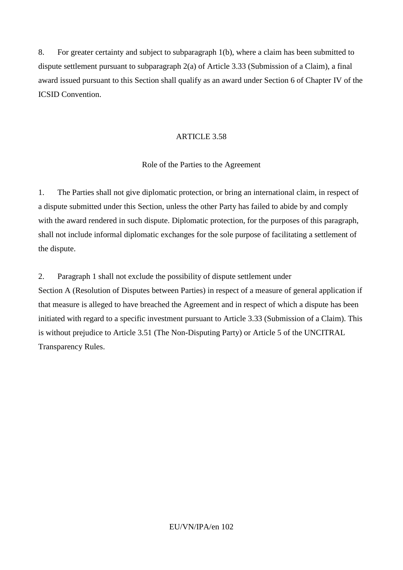8. For greater certainty and subject to subparagraph 1(b), where a claim has been submitted to dispute settlement pursuant to subparagraph 2(a) of Article 3.33 (Submission of a Claim), a final award issued pursuant to this Section shall qualify as an award under Section 6 of Chapter IV of the ICSID Convention.

#### ARTICLE 3.58

#### Role of the Parties to the Agreement

1. The Parties shall not give diplomatic protection, or bring an international claim, in respect of a dispute submitted under this Section, unless the other Party has failed to abide by and comply with the award rendered in such dispute. Diplomatic protection, for the purposes of this paragraph, shall not include informal diplomatic exchanges for the sole purpose of facilitating a settlement of the dispute.

2. Paragraph 1 shall not exclude the possibility of dispute settlement under

Section A (Resolution of Disputes between Parties) in respect of a measure of general application if that measure is alleged to have breached the Agreement and in respect of which a dispute has been initiated with regard to a specific investment pursuant to Article 3.33 (Submission of a Claim). This is without prejudice to Article 3.51 (The Non-Disputing Party) or Article 5 of the UNCITRAL Transparency Rules.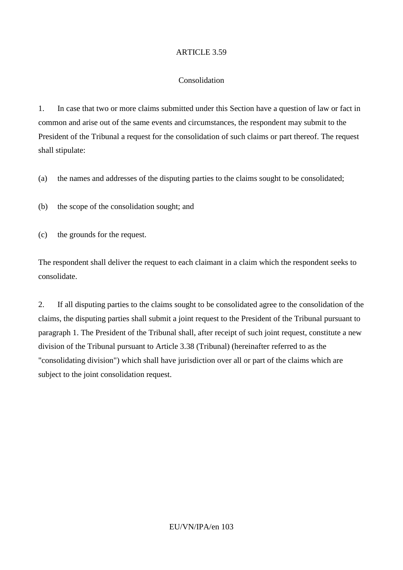#### Consolidation

1. In case that two or more claims submitted under this Section have a question of law or fact in common and arise out of the same events and circumstances, the respondent may submit to the President of the Tribunal a request for the consolidation of such claims or part thereof. The request shall stipulate:

(a) the names and addresses of the disputing parties to the claims sought to be consolidated;

(b) the scope of the consolidation sought; and

(c) the grounds for the request.

The respondent shall deliver the request to each claimant in a claim which the respondent seeks to consolidate.

2. If all disputing parties to the claims sought to be consolidated agree to the consolidation of the claims, the disputing parties shall submit a joint request to the President of the Tribunal pursuant to paragraph 1. The President of the Tribunal shall, after receipt of such joint request, constitute a new division of the Tribunal pursuant to Article 3.38 (Tribunal) (hereinafter referred to as the "consolidating division") which shall have jurisdiction over all or part of the claims which are subject to the joint consolidation request.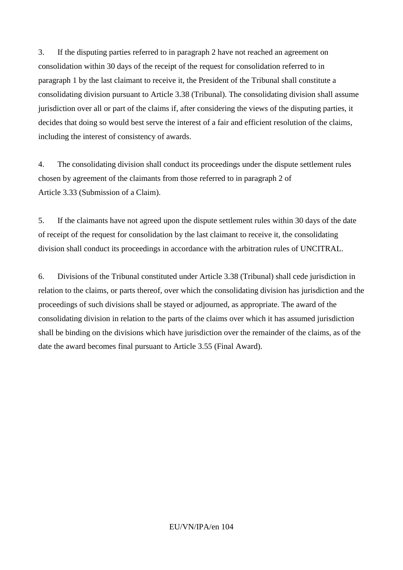3. If the disputing parties referred to in paragraph 2 have not reached an agreement on consolidation within 30 days of the receipt of the request for consolidation referred to in paragraph 1 by the last claimant to receive it, the President of the Tribunal shall constitute a consolidating division pursuant to Article 3.38 (Tribunal). The consolidating division shall assume jurisdiction over all or part of the claims if, after considering the views of the disputing parties, it decides that doing so would best serve the interest of a fair and efficient resolution of the claims, including the interest of consistency of awards.

4. The consolidating division shall conduct its proceedings under the dispute settlement rules chosen by agreement of the claimants from those referred to in paragraph 2 of Article 3.33 (Submission of a Claim).

5. If the claimants have not agreed upon the dispute settlement rules within 30 days of the date of receipt of the request for consolidation by the last claimant to receive it, the consolidating division shall conduct its proceedings in accordance with the arbitration rules of UNCITRAL.

6. Divisions of the Tribunal constituted under Article 3.38 (Tribunal) shall cede jurisdiction in relation to the claims, or parts thereof, over which the consolidating division has jurisdiction and the proceedings of such divisions shall be stayed or adjourned, as appropriate. The award of the consolidating division in relation to the parts of the claims over which it has assumed jurisdiction shall be binding on the divisions which have jurisdiction over the remainder of the claims, as of the date the award becomes final pursuant to Article 3.55 (Final Award).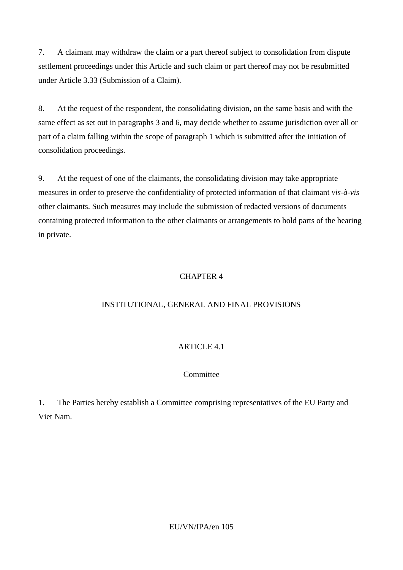7. A claimant may withdraw the claim or a part thereof subject to consolidation from dispute settlement proceedings under this Article and such claim or part thereof may not be resubmitted under Article 3.33 (Submission of a Claim).

8. At the request of the respondent, the consolidating division, on the same basis and with the same effect as set out in paragraphs 3 and 6, may decide whether to assume jurisdiction over all or part of a claim falling within the scope of paragraph 1 which is submitted after the initiation of consolidation proceedings.

9. At the request of one of the claimants, the consolidating division may take appropriate measures in order to preserve the confidentiality of protected information of that claimant *vis-à-vis* other claimants. Such measures may include the submission of redacted versions of documents containing protected information to the other claimants or arrangements to hold parts of the hearing in private.

# CHAPTER 4

# INSTITUTIONAL, GENERAL AND FINAL PROVISIONS

# ARTICLE 4.1

# Committee

1. The Parties hereby establish a Committee comprising representatives of the EU Party and Viet Nam.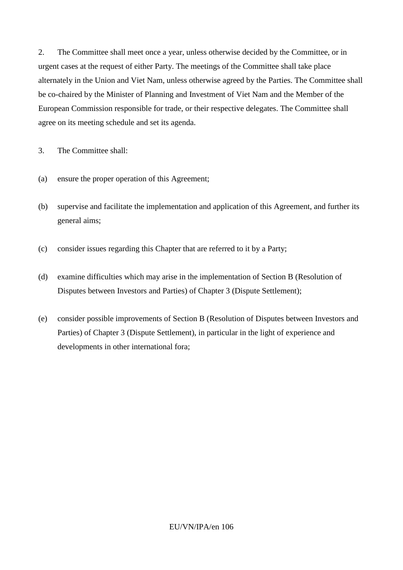2. The Committee shall meet once a year, unless otherwise decided by the Committee, or in urgent cases at the request of either Party. The meetings of the Committee shall take place alternately in the Union and Viet Nam, unless otherwise agreed by the Parties. The Committee shall be co-chaired by the Minister of Planning and Investment of Viet Nam and the Member of the European Commission responsible for trade, or their respective delegates. The Committee shall agree on its meeting schedule and set its agenda.

3. The Committee shall:

- (a) ensure the proper operation of this Agreement;
- (b) supervise and facilitate the implementation and application of this Agreement, and further its general aims;
- (c) consider issues regarding this Chapter that are referred to it by a Party;
- (d) examine difficulties which may arise in the implementation of Section B (Resolution of Disputes between Investors and Parties) of Chapter 3 (Dispute Settlement);
- (e) consider possible improvements of Section B (Resolution of Disputes between Investors and Parties) of Chapter 3 (Dispute Settlement), in particular in the light of experience and developments in other international fora;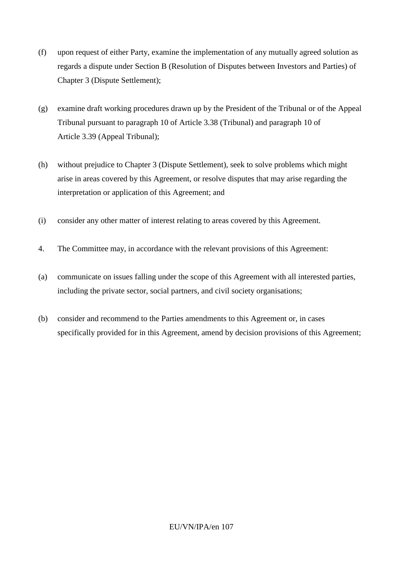- (f) upon request of either Party, examine the implementation of any mutually agreed solution as regards a dispute under Section B (Resolution of Disputes between Investors and Parties) of Chapter 3 (Dispute Settlement);
- (g) examine draft working procedures drawn up by the President of the Tribunal or of the Appeal Tribunal pursuant to paragraph 10 of Article 3.38 (Tribunal) and paragraph 10 of Article 3.39 (Appeal Tribunal);
- (h) without prejudice to Chapter 3 (Dispute Settlement), seek to solve problems which might arise in areas covered by this Agreement, or resolve disputes that may arise regarding the interpretation or application of this Agreement; and
- (i) consider any other matter of interest relating to areas covered by this Agreement.
- 4. The Committee may, in accordance with the relevant provisions of this Agreement:
- (a) communicate on issues falling under the scope of this Agreement with all interested parties, including the private sector, social partners, and civil society organisations;
- (b) consider and recommend to the Parties amendments to this Agreement or, in cases specifically provided for in this Agreement, amend by decision provisions of this Agreement;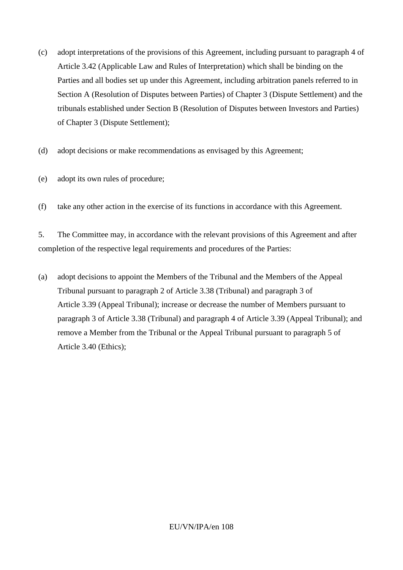- (c) adopt interpretations of the provisions of this Agreement, including pursuant to paragraph 4 of Article 3.42 (Applicable Law and Rules of Interpretation) which shall be binding on the Parties and all bodies set up under this Agreement, including arbitration panels referred to in Section A (Resolution of Disputes between Parties) of Chapter 3 (Dispute Settlement) and the tribunals established under Section B (Resolution of Disputes between Investors and Parties) of Chapter 3 (Dispute Settlement);
- (d) adopt decisions or make recommendations as envisaged by this Agreement;
- (e) adopt its own rules of procedure;
- (f) take any other action in the exercise of its functions in accordance with this Agreement.

5. The Committee may, in accordance with the relevant provisions of this Agreement and after completion of the respective legal requirements and procedures of the Parties:

(a) adopt decisions to appoint the Members of the Tribunal and the Members of the Appeal Tribunal pursuant to paragraph 2 of Article 3.38 (Tribunal) and paragraph 3 of Article 3.39 (Appeal Tribunal); increase or decrease the number of Members pursuant to paragraph 3 of Article 3.38 (Tribunal) and paragraph 4 of Article 3.39 (Appeal Tribunal); and remove a Member from the Tribunal or the Appeal Tribunal pursuant to paragraph 5 of Article 3.40 (Ethics);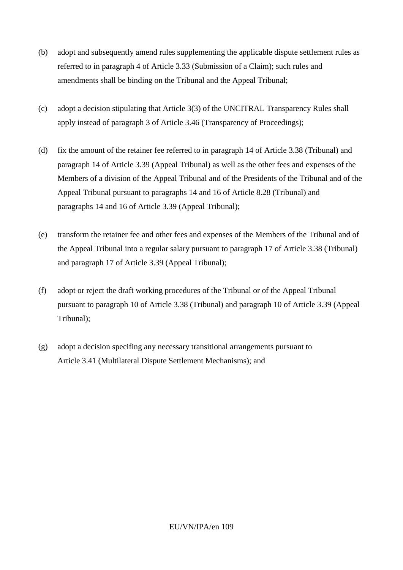- (b) adopt and subsequently amend rules supplementing the applicable dispute settlement rules as referred to in paragraph 4 of Article 3.33 (Submission of a Claim); such rules and amendments shall be binding on the Tribunal and the Appeal Tribunal;
- (c) adopt a decision stipulating that Article 3(3) of the UNCITRAL Transparency Rules shall apply instead of paragraph 3 of Article 3.46 (Transparency of Proceedings);
- (d) fix the amount of the retainer fee referred to in paragraph 14 of Article 3.38 (Tribunal) and paragraph 14 of Article 3.39 (Appeal Tribunal) as well as the other fees and expenses of the Members of a division of the Appeal Tribunal and of the Presidents of the Tribunal and of the Appeal Tribunal pursuant to paragraphs 14 and 16 of Article 8.28 (Tribunal) and paragraphs 14 and 16 of Article 3.39 (Appeal Tribunal);
- (e) transform the retainer fee and other fees and expenses of the Members of the Tribunal and of the Appeal Tribunal into a regular salary pursuant to paragraph 17 of Article 3.38 (Tribunal) and paragraph 17 of Article 3.39 (Appeal Tribunal);
- (f) adopt or reject the draft working procedures of the Tribunal or of the Appeal Tribunal pursuant to paragraph 10 of Article 3.38 (Tribunal) and paragraph 10 of Article 3.39 (Appeal Tribunal);
- (g) adopt a decision specifing any necessary transitional arrangements pursuant to Article 3.41 (Multilateral Dispute Settlement Mechanisms); and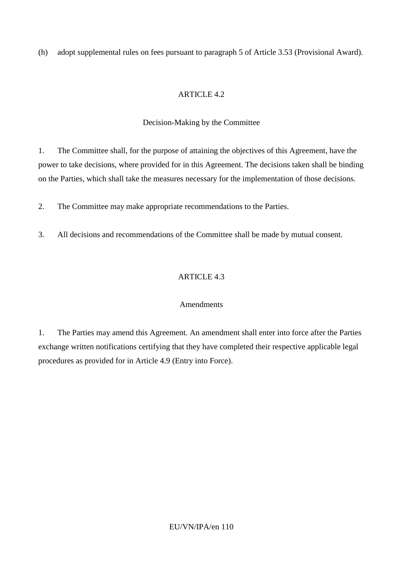(h) adopt supplemental rules on fees pursuant to paragraph 5 of Article 3.53 (Provisional Award).

# ARTICLE 4.2

# Decision-Making by the Committee

1. The Committee shall, for the purpose of attaining the objectives of this Agreement, have the power to take decisions, where provided for in this Agreement. The decisions taken shall be binding on the Parties, which shall take the measures necessary for the implementation of those decisions.

2. The Committee may make appropriate recommendations to the Parties.

3. All decisions and recommendations of the Committee shall be made by mutual consent.

# ARTICLE 4.3

# Amendments

1. The Parties may amend this Agreement. An amendment shall enter into force after the Parties exchange written notifications certifying that they have completed their respective applicable legal procedures as provided for in Article 4.9 (Entry into Force).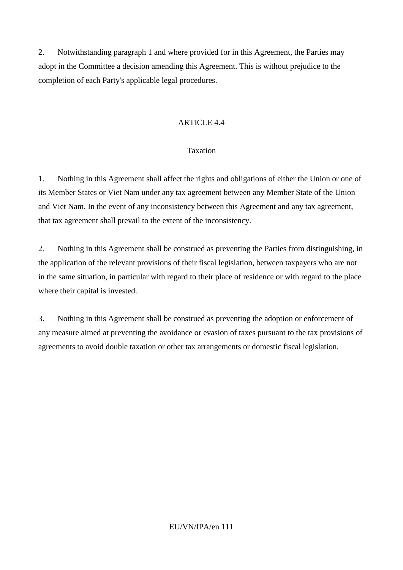2. Notwithstanding paragraph 1 and where provided for in this Agreement, the Parties may adopt in the Committee a decision amending this Agreement. This is without prejudice to the completion of each Party's applicable legal procedures.

# ARTICLE 4.4

## Taxation

1. Nothing in this Agreement shall affect the rights and obligations of either the Union or one of its Member States or Viet Nam under any tax agreement between any Member State of the Union and Viet Nam. In the event of any inconsistency between this Agreement and any tax agreement, that tax agreement shall prevail to the extent of the inconsistency.

2. Nothing in this Agreement shall be construed as preventing the Parties from distinguishing, in the application of the relevant provisions of their fiscal legislation, between taxpayers who are not in the same situation, in particular with regard to their place of residence or with regard to the place where their capital is invested.

3. Nothing in this Agreement shall be construed as preventing the adoption or enforcement of any measure aimed at preventing the avoidance or evasion of taxes pursuant to the tax provisions of agreements to avoid double taxation or other tax arrangements or domestic fiscal legislation.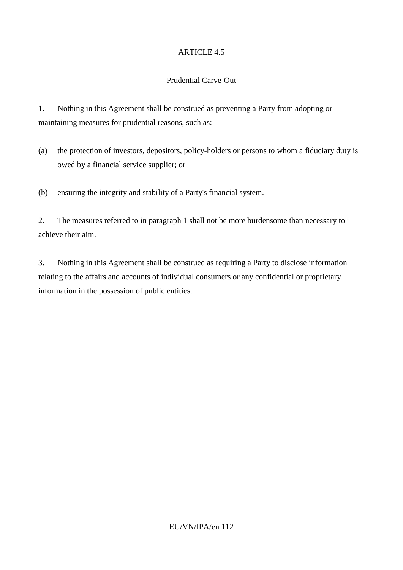# Prudential Carve-Out

1. Nothing in this Agreement shall be construed as preventing a Party from adopting or maintaining measures for prudential reasons, such as:

(a) the protection of investors, depositors, policy-holders or persons to whom a fiduciary duty is owed by a financial service supplier; or

(b) ensuring the integrity and stability of a Party's financial system.

2. The measures referred to in paragraph 1 shall not be more burdensome than necessary to achieve their aim.

3. Nothing in this Agreement shall be construed as requiring a Party to disclose information relating to the affairs and accounts of individual consumers or any confidential or proprietary information in the possession of public entities.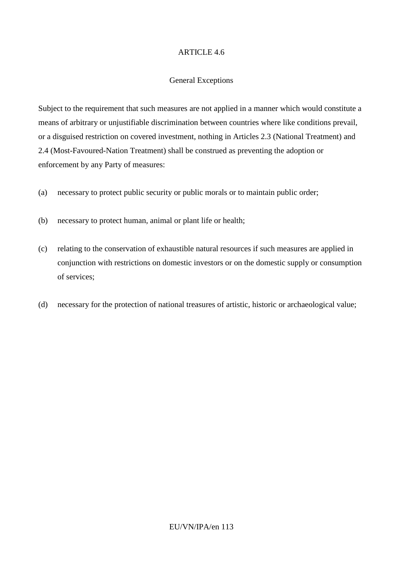#### General Exceptions

Subject to the requirement that such measures are not applied in a manner which would constitute a means of arbitrary or unjustifiable discrimination between countries where like conditions prevail, or a disguised restriction on covered investment, nothing in Articles 2.3 (National Treatment) and 2.4 (Most-Favoured-Nation Treatment) shall be construed as preventing the adoption or enforcement by any Party of measures:

- (a) necessary to protect public security or public morals or to maintain public order;
- (b) necessary to protect human, animal or plant life or health;
- (c) relating to the conservation of exhaustible natural resources if such measures are applied in conjunction with restrictions on domestic investors or on the domestic supply or consumption of services;
- (d) necessary for the protection of national treasures of artistic, historic or archaeological value;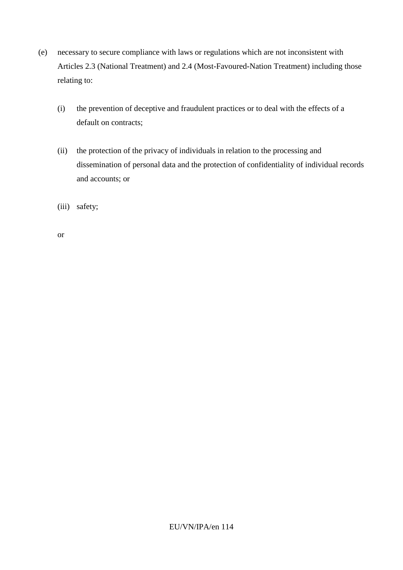- (e) necessary to secure compliance with laws or regulations which are not inconsistent with Articles 2.3 (National Treatment) and 2.4 (Most-Favoured-Nation Treatment) including those relating to:
	- (i) the prevention of deceptive and fraudulent practices or to deal with the effects of a default on contracts;
	- (ii) the protection of the privacy of individuals in relation to the processing and dissemination of personal data and the protection of confidentiality of individual records and accounts; or
	- (iii) safety;

or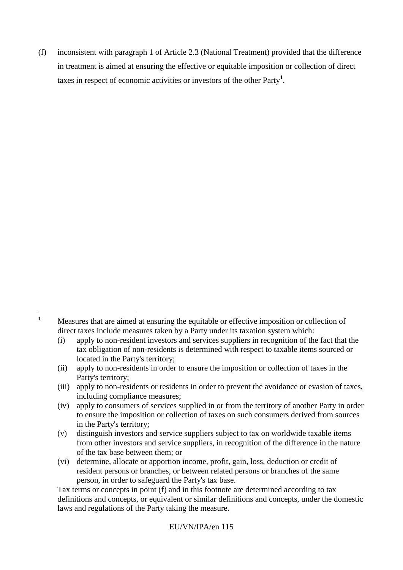(f) inconsistent with paragraph 1 of Article 2.3 (National Treatment) provided that the difference in treatment is aimed at ensuring the effective or equitable imposition or collection of direct taxes in respect of economic activities or investors of the other Party**<sup>1</sup>** .

 $\mathbf{1}$ 

**<sup>1</sup>** Measures that are aimed at ensuring the equitable or effective imposition or collection of direct taxes include measures taken by a Party under its taxation system which:

<sup>(</sup>i) apply to non-resident investors and services suppliers in recognition of the fact that the tax obligation of non-residents is determined with respect to taxable items sourced or located in the Party's territory;

<sup>(</sup>ii) apply to non-residents in order to ensure the imposition or collection of taxes in the Party's territory;

<sup>(</sup>iii) apply to non-residents or residents in order to prevent the avoidance or evasion of taxes, including compliance measures;

<sup>(</sup>iv) apply to consumers of services supplied in or from the territory of another Party in order to ensure the imposition or collection of taxes on such consumers derived from sources in the Party's territory;

<sup>(</sup>v) distinguish investors and service suppliers subject to tax on worldwide taxable items from other investors and service suppliers, in recognition of the difference in the nature of the tax base between them; or

<sup>(</sup>vi) determine, allocate or apportion income, profit, gain, loss, deduction or credit of resident persons or branches, or between related persons or branches of the same person, in order to safeguard the Party's tax base.

Tax terms or concepts in point (f) and in this footnote are determined according to tax definitions and concepts, or equivalent or similar definitions and concepts, under the domestic laws and regulations of the Party taking the measure.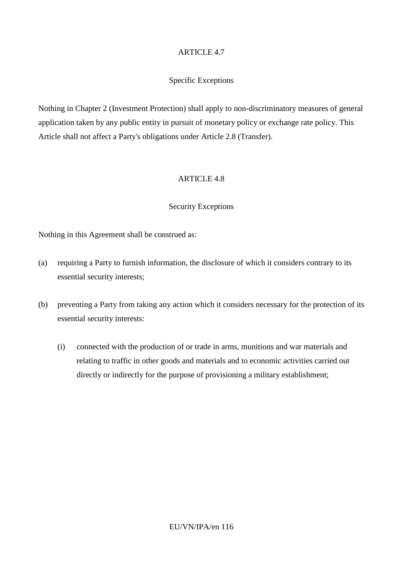# Specific Exceptions

Nothing in Chapter 2 (Investment Protection) shall apply to non-discriminatory measures of general application taken by any public entity in pursuit of monetary policy or exchange rate policy. This Article shall not affect a Party's obligations under Article 2.8 (Transfer).

## ARTICLE 4.8

## Security Exceptions

Nothing in this Agreement shall be construed as:

- (a) requiring a Party to furnish information, the disclosure of which it considers contrary to its essential security interests;
- (b) preventing a Party from taking any action which it considers necessary for the protection of its essential security interests:
	- (i) connected with the production of or trade in arms, munitions and war materials and relating to traffic in other goods and materials and to economic activities carried out directly or indirectly for the purpose of provisioning a military establishment;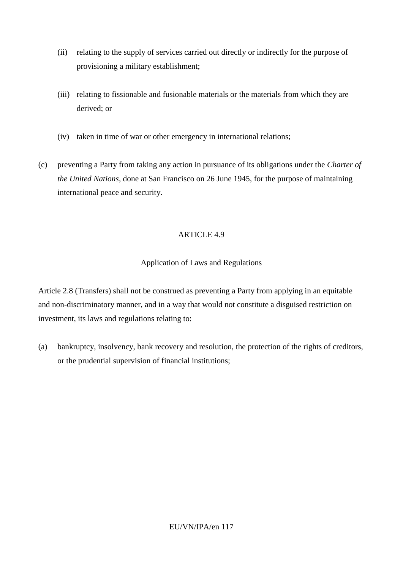- (ii) relating to the supply of services carried out directly or indirectly for the purpose of provisioning a military establishment;
- (iii) relating to fissionable and fusionable materials or the materials from which they are derived; or
- (iv) taken in time of war or other emergency in international relations;
- (c) preventing a Party from taking any action in pursuance of its obligations under the *Charter of the United Nations*, done at San Francisco on 26 June 1945, for the purpose of maintaining international peace and security.

# Application of Laws and Regulations

Article 2.8 (Transfers) shall not be construed as preventing a Party from applying in an equitable and non-discriminatory manner, and in a way that would not constitute a disguised restriction on investment, its laws and regulations relating to:

(a) bankruptcy, insolvency, bank recovery and resolution, the protection of the rights of creditors, or the prudential supervision of financial institutions;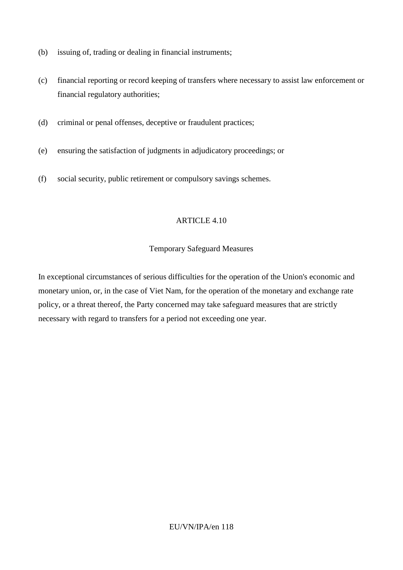- (b) issuing of, trading or dealing in financial instruments;
- (c) financial reporting or record keeping of transfers where necessary to assist law enforcement or financial regulatory authorities;
- (d) criminal or penal offenses, deceptive or fraudulent practices;
- (e) ensuring the satisfaction of judgments in adjudicatory proceedings; or
- (f) social security, public retirement or compulsory savings schemes.

## Temporary Safeguard Measures

In exceptional circumstances of serious difficulties for the operation of the Union's economic and monetary union, or, in the case of Viet Nam, for the operation of the monetary and exchange rate policy, or a threat thereof, the Party concerned may take safeguard measures that are strictly necessary with regard to transfers for a period not exceeding one year.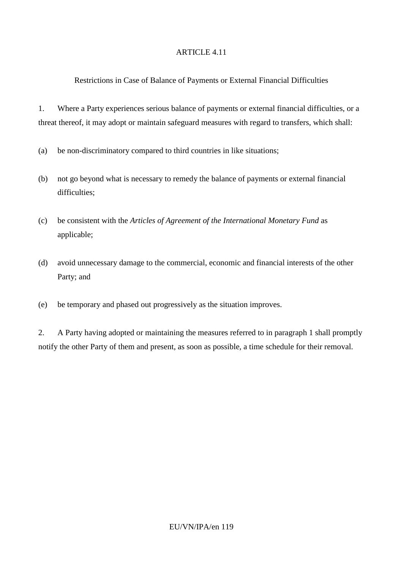# Restrictions in Case of Balance of Payments or External Financial Difficulties

1. Where a Party experiences serious balance of payments or external financial difficulties, or a threat thereof, it may adopt or maintain safeguard measures with regard to transfers, which shall:

- (a) be non-discriminatory compared to third countries in like situations;
- (b) not go beyond what is necessary to remedy the balance of payments or external financial difficulties;
- (c) be consistent with the *Articles of Agreement of the International Monetary Fund* as applicable;
- (d) avoid unnecessary damage to the commercial, economic and financial interests of the other Party; and
- (e) be temporary and phased out progressively as the situation improves.

2. A Party having adopted or maintaining the measures referred to in paragraph 1 shall promptly notify the other Party of them and present, as soon as possible, a time schedule for their removal.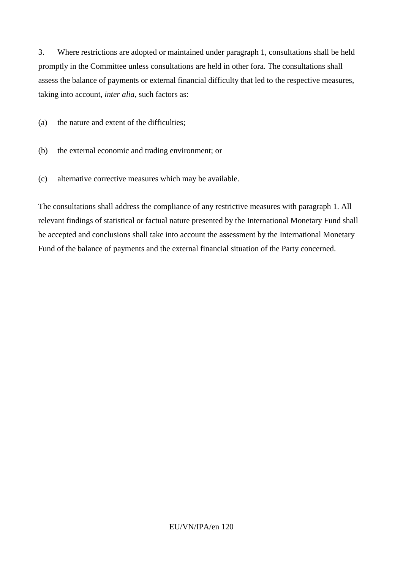3. Where restrictions are adopted or maintained under paragraph 1, consultations shall be held promptly in the Committee unless consultations are held in other fora. The consultations shall assess the balance of payments or external financial difficulty that led to the respective measures, taking into account, *inter alia*, such factors as:

(a) the nature and extent of the difficulties;

- (b) the external economic and trading environment; or
- (c) alternative corrective measures which may be available.

The consultations shall address the compliance of any restrictive measures with paragraph 1. All relevant findings of statistical or factual nature presented by the International Monetary Fund shall be accepted and conclusions shall take into account the assessment by the International Monetary Fund of the balance of payments and the external financial situation of the Party concerned.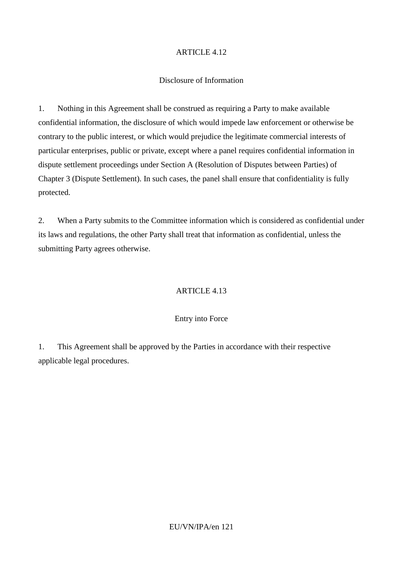# Disclosure of Information

1. Nothing in this Agreement shall be construed as requiring a Party to make available confidential information, the disclosure of which would impede law enforcement or otherwise be contrary to the public interest, or which would prejudice the legitimate commercial interests of particular enterprises, public or private, except where a panel requires confidential information in dispute settlement proceedings under Section A (Resolution of Disputes between Parties) of Chapter 3 (Dispute Settlement). In such cases, the panel shall ensure that confidentiality is fully protected.

2. When a Party submits to the Committee information which is considered as confidential under its laws and regulations, the other Party shall treat that information as confidential, unless the submitting Party agrees otherwise.

# ARTICLE 4.13

## Entry into Force

1. This Agreement shall be approved by the Parties in accordance with their respective applicable legal procedures.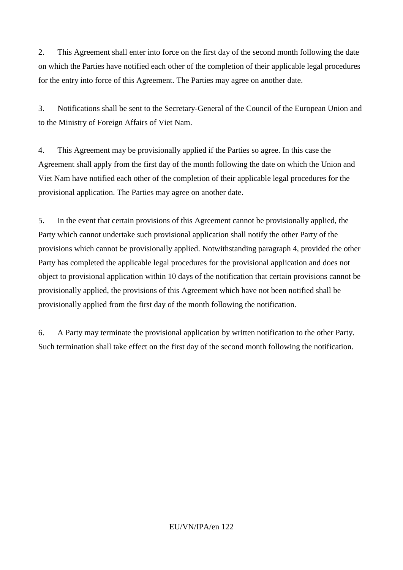2. This Agreement shall enter into force on the first day of the second month following the date on which the Parties have notified each other of the completion of their applicable legal procedures for the entry into force of this Agreement. The Parties may agree on another date.

3. Notifications shall be sent to the Secretary-General of the Council of the European Union and to the Ministry of Foreign Affairs of Viet Nam.

4. This Agreement may be provisionally applied if the Parties so agree. In this case the Agreement shall apply from the first day of the month following the date on which the Union and Viet Nam have notified each other of the completion of their applicable legal procedures for the provisional application. The Parties may agree on another date.

5. In the event that certain provisions of this Agreement cannot be provisionally applied, the Party which cannot undertake such provisional application shall notify the other Party of the provisions which cannot be provisionally applied. Notwithstanding paragraph 4, provided the other Party has completed the applicable legal procedures for the provisional application and does not object to provisional application within 10 days of the notification that certain provisions cannot be provisionally applied, the provisions of this Agreement which have not been notified shall be provisionally applied from the first day of the month following the notification.

6. A Party may terminate the provisional application by written notification to the other Party. Such termination shall take effect on the first day of the second month following the notification.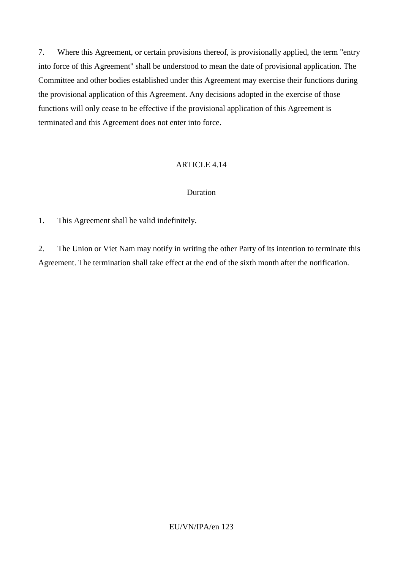7. Where this Agreement, or certain provisions thereof, is provisionally applied, the term "entry into force of this Agreement" shall be understood to mean the date of provisional application. The Committee and other bodies established under this Agreement may exercise their functions during the provisional application of this Agreement. Any decisions adopted in the exercise of those functions will only cease to be effective if the provisional application of this Agreement is terminated and this Agreement does not enter into force.

## ARTICLE 4.14

## Duration

1. This Agreement shall be valid indefinitely.

2. The Union or Viet Nam may notify in writing the other Party of its intention to terminate this Agreement. The termination shall take effect at the end of the sixth month after the notification.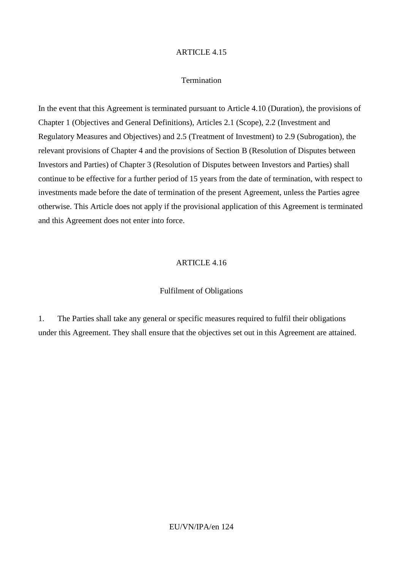#### **Termination**

In the event that this Agreement is terminated pursuant to Article 4.10 (Duration), the provisions of Chapter 1 (Objectives and General Definitions), Articles 2.1 (Scope), 2.2 (Investment and Regulatory Measures and Objectives) and 2.5 (Treatment of Investment) to 2.9 (Subrogation), the relevant provisions of Chapter 4 and the provisions of Section B (Resolution of Disputes between Investors and Parties) of Chapter 3 (Resolution of Disputes between Investors and Parties) shall continue to be effective for a further period of 15 years from the date of termination, with respect to investments made before the date of termination of the present Agreement, unless the Parties agree otherwise. This Article does not apply if the provisional application of this Agreement is terminated and this Agreement does not enter into force.

#### ARTICLE 4.16

#### Fulfilment of Obligations

1. The Parties shall take any general or specific measures required to fulfil their obligations under this Agreement. They shall ensure that the objectives set out in this Agreement are attained.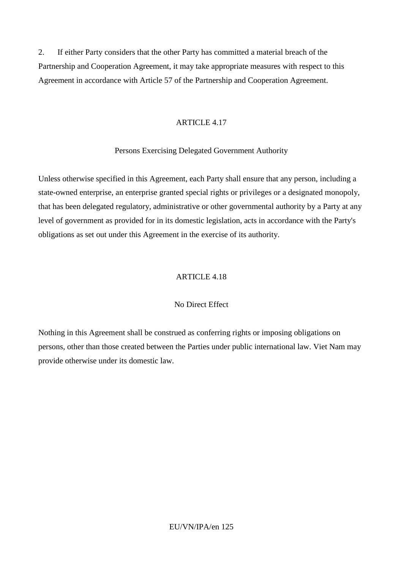2. If either Party considers that the other Party has committed a material breach of the Partnership and Cooperation Agreement, it may take appropriate measures with respect to this Agreement in accordance with Article 57 of the Partnership and Cooperation Agreement.

#### ARTICLE 4.17

## Persons Exercising Delegated Government Authority

Unless otherwise specified in this Agreement, each Party shall ensure that any person, including a state-owned enterprise, an enterprise granted special rights or privileges or a designated monopoly, that has been delegated regulatory, administrative or other governmental authority by a Party at any level of government as provided for in its domestic legislation, acts in accordance with the Party's obligations as set out under this Agreement in the exercise of its authority.

#### ARTICLE 4.18

#### No Direct Effect

Nothing in this Agreement shall be construed as conferring rights or imposing obligations on persons, other than those created between the Parties under public international law. Viet Nam may provide otherwise under its domestic law.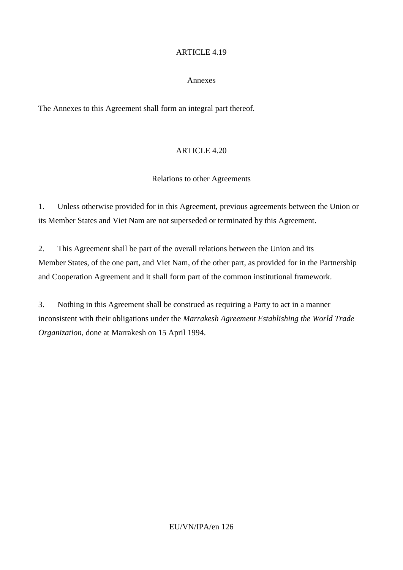## Annexes

The Annexes to this Agreement shall form an integral part thereof.

# ARTICLE 4.20

# Relations to other Agreements

1. Unless otherwise provided for in this Agreement, previous agreements between the Union or its Member States and Viet Nam are not superseded or terminated by this Agreement.

2. This Agreement shall be part of the overall relations between the Union and its Member States, of the one part, and Viet Nam, of the other part, as provided for in the Partnership and Cooperation Agreement and it shall form part of the common institutional framework.

3. Nothing in this Agreement shall be construed as requiring a Party to act in a manner inconsistent with their obligations under the *Marrakesh Agreement Establishing the World Trade Organization*, done at Marrakesh on 15 April 1994.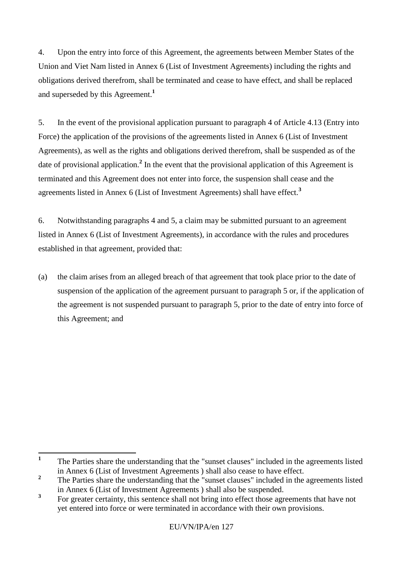4. Upon the entry into force of this Agreement, the agreements between Member States of the Union and Viet Nam listed in Annex 6 (List of Investment Agreements) including the rights and obligations derived therefrom, shall be terminated and cease to have effect, and shall be replaced and superseded by this Agreement.**<sup>1</sup>**

5. In the event of the provisional application pursuant to paragraph 4 of Article 4.13 (Entry into Force) the application of the provisions of the agreements listed in Annex 6 (List of Investment Agreements), as well as the rights and obligations derived therefrom, shall be suspended as of the date of provisional application.**<sup>2</sup>** In the event that the provisional application of this Agreement is terminated and this Agreement does not enter into force, the suspension shall cease and the agreements listed in Annex 6 (List of Investment Agreements) shall have effect.**<sup>3</sup>**

6. Notwithstanding paragraphs 4 and 5, a claim may be submitted pursuant to an agreement listed in Annex 6 (List of Investment Agreements), in accordance with the rules and procedures established in that agreement, provided that:

(a) the claim arises from an alleged breach of that agreement that took place prior to the date of suspension of the application of the agreement pursuant to paragraph 5 or, if the application of the agreement is not suspended pursuant to paragraph 5, prior to the date of entry into force of this Agreement; and

 **1** The Parties share the understanding that the "sunset clauses" included in the agreements listed in Annex 6 (List of Investment Agreements ) shall also cease to have effect.

**<sup>2</sup>** The Parties share the understanding that the "sunset clauses" included in the agreements listed in Annex 6 (List of Investment Agreements ) shall also be suspended.

**<sup>3</sup>** For greater certainty, this sentence shall not bring into effect those agreements that have not yet entered into force or were terminated in accordance with their own provisions.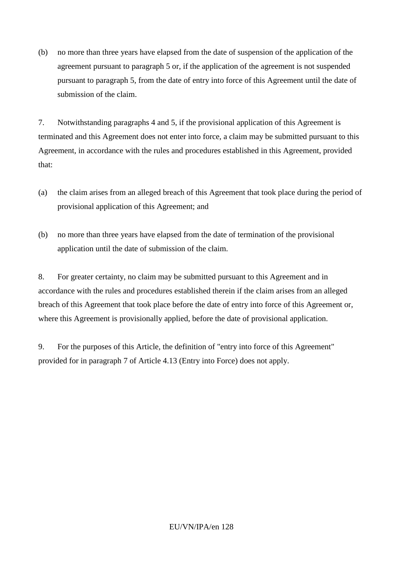(b) no more than three years have elapsed from the date of suspension of the application of the agreement pursuant to paragraph 5 or, if the application of the agreement is not suspended pursuant to paragraph 5, from the date of entry into force of this Agreement until the date of submission of the claim.

7. Notwithstanding paragraphs 4 and 5, if the provisional application of this Agreement is terminated and this Agreement does not enter into force, a claim may be submitted pursuant to this Agreement, in accordance with the rules and procedures established in this Agreement, provided that:

- (a) the claim arises from an alleged breach of this Agreement that took place during the period of provisional application of this Agreement; and
- (b) no more than three years have elapsed from the date of termination of the provisional application until the date of submission of the claim.

8. For greater certainty, no claim may be submitted pursuant to this Agreement and in accordance with the rules and procedures established therein if the claim arises from an alleged breach of this Agreement that took place before the date of entry into force of this Agreement or, where this Agreement is provisionally applied, before the date of provisional application.

9. For the purposes of this Article, the definition of "entry into force of this Agreement" provided for in paragraph 7 of Article 4.13 (Entry into Force) does not apply.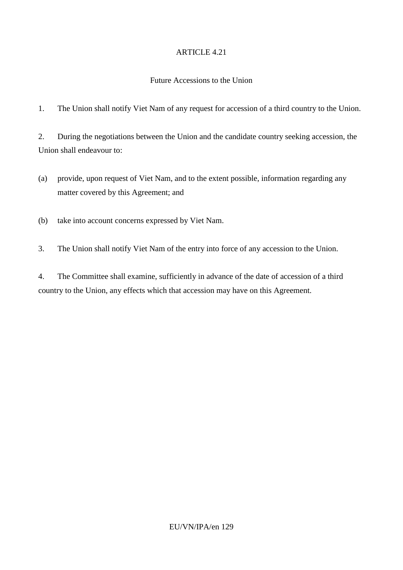## Future Accessions to the Union

1. The Union shall notify Viet Nam of any request for accession of a third country to the Union.

2. During the negotiations between the Union and the candidate country seeking accession, the Union shall endeavour to:

(a) provide, upon request of Viet Nam, and to the extent possible, information regarding any matter covered by this Agreement; and

(b) take into account concerns expressed by Viet Nam.

3. The Union shall notify Viet Nam of the entry into force of any accession to the Union.

4. The Committee shall examine, sufficiently in advance of the date of accession of a third country to the Union, any effects which that accession may have on this Agreement.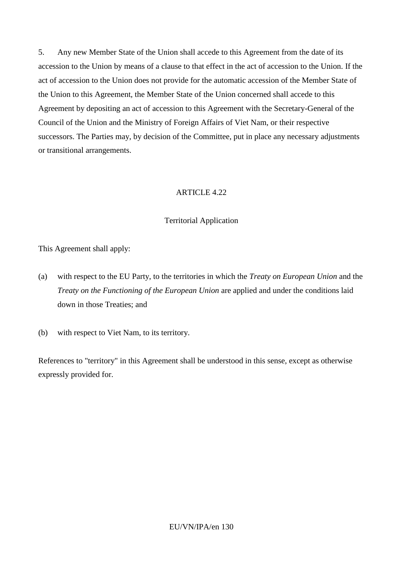5. Any new Member State of the Union shall accede to this Agreement from the date of its accession to the Union by means of a clause to that effect in the act of accession to the Union. If the act of accession to the Union does not provide for the automatic accession of the Member State of the Union to this Agreement, the Member State of the Union concerned shall accede to this Agreement by depositing an act of accession to this Agreement with the Secretary-General of the Council of the Union and the Ministry of Foreign Affairs of Viet Nam, or their respective successors. The Parties may, by decision of the Committee, put in place any necessary adjustments or transitional arrangements.

# ARTICLE  $4.22$

# Territorial Application

This Agreement shall apply:

- (a) with respect to the EU Party, to the territories in which the *Treaty on European Union* and the *Treaty on the Functioning of the European Union* are applied and under the conditions laid down in those Treaties; and
- (b) with respect to Viet Nam, to its territory.

References to "territory" in this Agreement shall be understood in this sense, except as otherwise expressly provided for.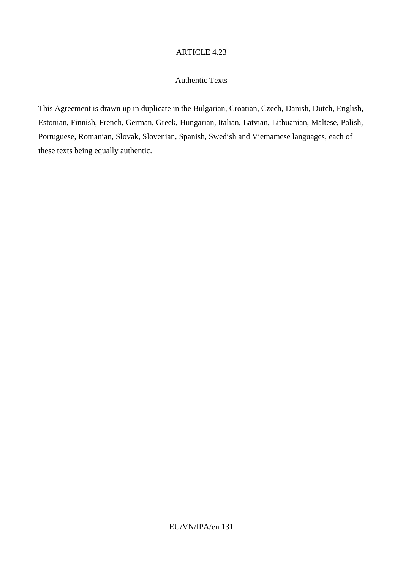#### Authentic Texts

This Agreement is drawn up in duplicate in the Bulgarian, Croatian, Czech, Danish, Dutch, English, Estonian, Finnish, French, German, Greek, Hungarian, Italian, Latvian, Lithuanian, Maltese, Polish, Portuguese, Romanian, Slovak, Slovenian, Spanish, Swedish and Vietnamese languages, each of these texts being equally authentic.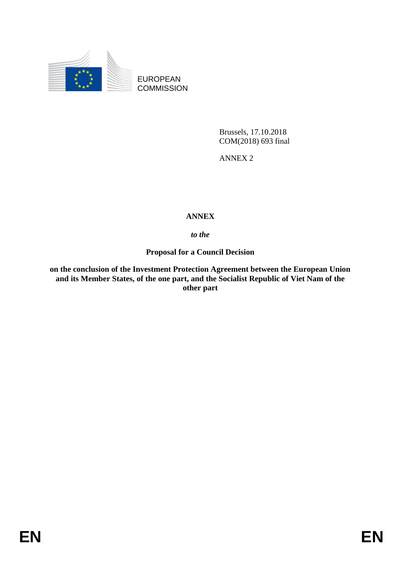

EUROPEAN **COMMISSION** 

> Brussels, 17.10.2018 COM(2018) 693 final

ANNEX 2

# **ANNEX**

# *to the*

**Proposal for a Council Decision**

**on the conclusion of the Investment Protection Agreement between the European Union and its Member States, of the one part, and the Socialist Republic of Viet Nam of the other part**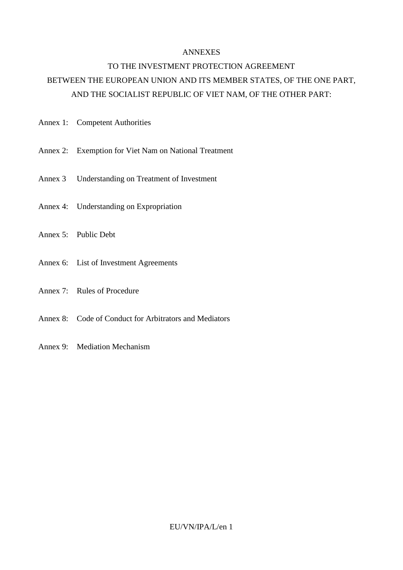#### ANNEXES

# TO THE INVESTMENT PROTECTION AGREEMENT BETWEEN THE EUROPEAN UNION AND ITS MEMBER STATES, OF THE ONE PART, AND THE SOCIALIST REPUBLIC OF VIET NAM, OF THE OTHER PART:

- Annex 1: Competent Authorities
- Annex 2: Exemption for Viet Nam on National Treatment
- Annex 3 Understanding on Treatment of Investment
- Annex 4: Understanding on Expropriation
- Annex 5: Public Debt
- Annex 6: List of Investment Agreements
- Annex 7: Rules of Procedure
- Annex 8: Code of Conduct for Arbitrators and Mediators
- Annex 9: Mediation Mechanism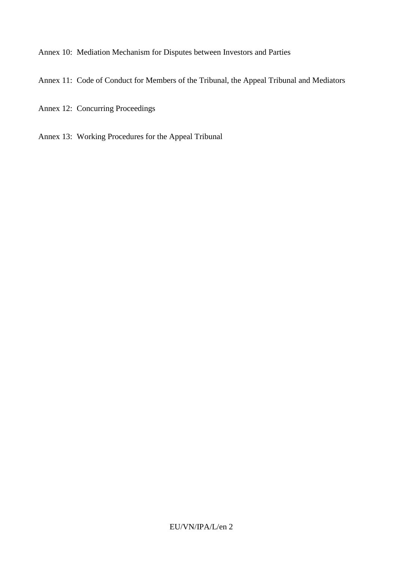Annex 10: Mediation Mechanism for Disputes between Investors and Parties

Annex 11: Code of Conduct for Members of the Tribunal, the Appeal Tribunal and Mediators

- Annex 12: Concurring Proceedings
- Annex 13: Working Procedures for the Appeal Tribunal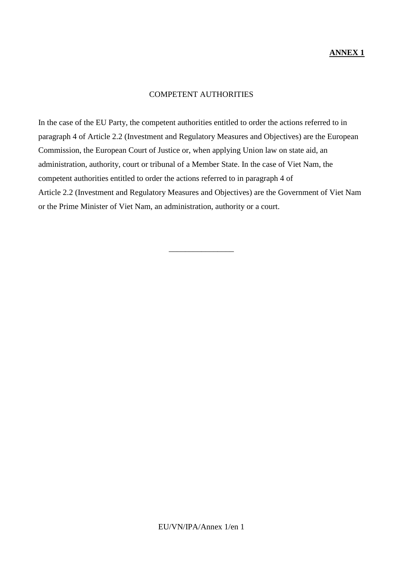# COMPETENT AUTHORITIES

In the case of the EU Party, the competent authorities entitled to order the actions referred to in paragraph 4 of Article 2.2 (Investment and Regulatory Measures and Objectives) are the European Commission, the European Court of Justice or, when applying Union law on state aid, an administration, authority, court or tribunal of a Member State. In the case of Viet Nam, the competent authorities entitled to order the actions referred to in paragraph 4 of Article 2.2 (Investment and Regulatory Measures and Objectives) are the Government of Viet Nam or the Prime Minister of Viet Nam, an administration, authority or a court.

\_\_\_\_\_\_\_\_\_\_\_\_\_\_\_\_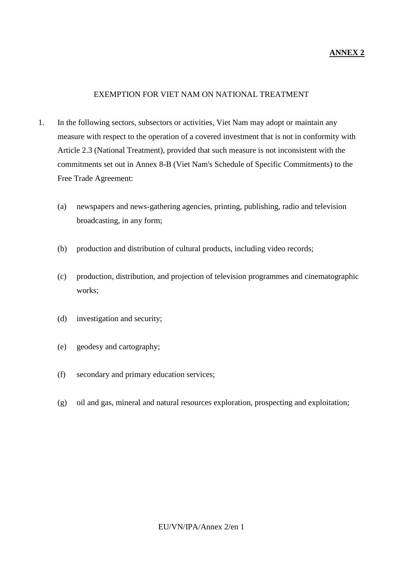# **ANNEX 2**

## EXEMPTION FOR VIET NAM ON NATIONAL TREATMENT

- 1. In the following sectors, subsectors or activities, Viet Nam may adopt or maintain any measure with respect to the operation of a covered investment that is not in conformity with Article 2.3 (National Treatment), provided that such measure is not inconsistent with the commitments set out in Annex 8-B (Viet Nam's Schedule of Specific Commitments) to the Free Trade Agreement:
	- (a) newspapers and news-gathering agencies, printing, publishing, radio and television broadcasting, in any form;
	- (b) production and distribution of cultural products, including video records;
	- (c) production, distribution, and projection of television programmes and cinematographic works;
	- (d) investigation and security;
	- (e) geodesy and cartography;
	- (f) secondary and primary education services;
	- (g) oil and gas, mineral and natural resources exploration, prospecting and exploitation;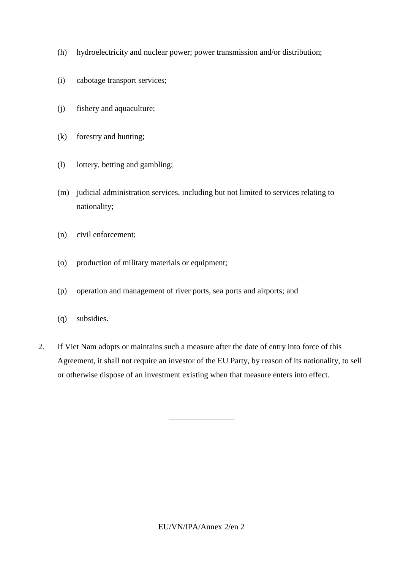- (h) hydroelectricity and nuclear power; power transmission and/or distribution;
- (i) cabotage transport services;
- (j) fishery and aquaculture;
- (k) forestry and hunting;
- (l) lottery, betting and gambling;
- (m) judicial administration services, including but not limited to services relating to nationality;
- (n) civil enforcement;
- (o) production of military materials or equipment;
- (p) operation and management of river ports, sea ports and airports; and
- (q) subsidies.
- 2. If Viet Nam adopts or maintains such a measure after the date of entry into force of this Agreement, it shall not require an investor of the EU Party, by reason of its nationality, to sell or otherwise dispose of an investment existing when that measure enters into effect.

\_\_\_\_\_\_\_\_\_\_\_\_\_\_\_\_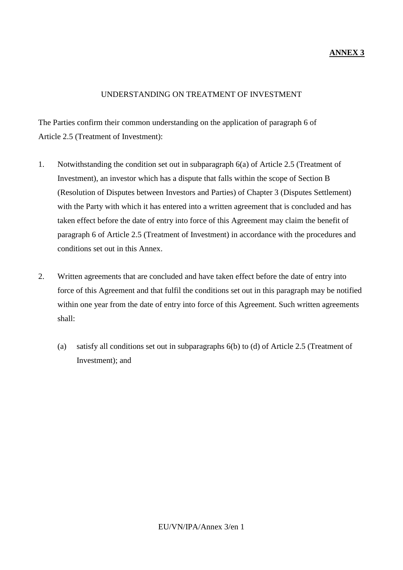# **ANNEX 3**

## UNDERSTANDING ON TREATMENT OF INVESTMENT

The Parties confirm their common understanding on the application of paragraph 6 of Article 2.5 (Treatment of Investment):

- 1. Notwithstanding the condition set out in subparagraph 6(a) of Article 2.5 (Treatment of Investment), an investor which has a dispute that falls within the scope of Section B (Resolution of Disputes between Investors and Parties) of Chapter 3 (Disputes Settlement) with the Party with which it has entered into a written agreement that is concluded and has taken effect before the date of entry into force of this Agreement may claim the benefit of paragraph 6 of Article 2.5 (Treatment of Investment) in accordance with the procedures and conditions set out in this Annex.
- 2. Written agreements that are concluded and have taken effect before the date of entry into force of this Agreement and that fulfil the conditions set out in this paragraph may be notified within one year from the date of entry into force of this Agreement. Such written agreements shall:
	- (a) satisfy all conditions set out in subparagraphs 6(b) to (d) of Article 2.5 (Treatment of Investment); and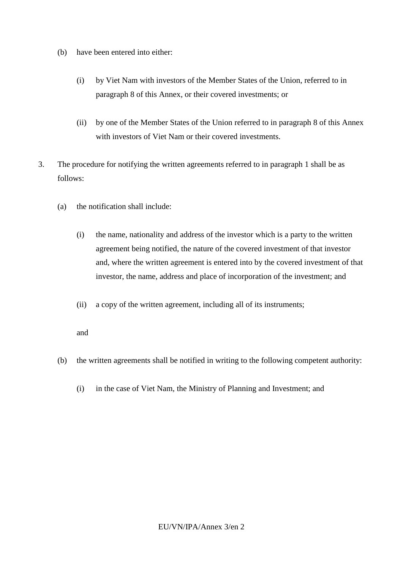- (b) have been entered into either:
	- (i) by Viet Nam with investors of the Member States of the Union, referred to in paragraph 8 of this Annex, or their covered investments; or
	- (ii) by one of the Member States of the Union referred to in paragraph 8 of this Annex with investors of Viet Nam or their covered investments.
- 3. The procedure for notifying the written agreements referred to in paragraph 1 shall be as follows:
	- (a) the notification shall include:
		- (i) the name, nationality and address of the investor which is a party to the written agreement being notified, the nature of the covered investment of that investor and, where the written agreement is entered into by the covered investment of that investor, the name, address and place of incorporation of the investment; and
		- (ii) a copy of the written agreement, including all of its instruments;

and

- (b) the written agreements shall be notified in writing to the following competent authority:
	- (i) in the case of Viet Nam, the Ministry of Planning and Investment; and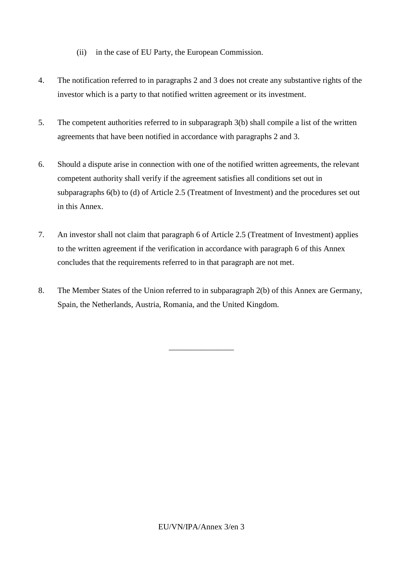- (ii) in the case of EU Party, the European Commission.
- 4. The notification referred to in paragraphs 2 and 3 does not create any substantive rights of the investor which is a party to that notified written agreement or its investment.
- 5. The competent authorities referred to in subparagraph 3(b) shall compile a list of the written agreements that have been notified in accordance with paragraphs 2 and 3.
- 6. Should a dispute arise in connection with one of the notified written agreements, the relevant competent authority shall verify if the agreement satisfies all conditions set out in subparagraphs 6(b) to (d) of Article 2.5 (Treatment of Investment) and the procedures set out in this Annex.
- 7. An investor shall not claim that paragraph 6 of Article 2.5 (Treatment of Investment) applies to the written agreement if the verification in accordance with paragraph 6 of this Annex concludes that the requirements referred to in that paragraph are not met.
- 8. The Member States of the Union referred to in subparagraph 2(b) of this Annex are Germany, Spain, the Netherlands, Austria, Romania, and the United Kingdom.

\_\_\_\_\_\_\_\_\_\_\_\_\_\_\_\_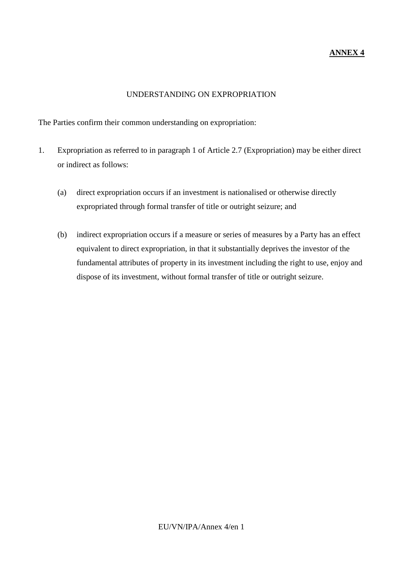# **ANNEX 4**

# UNDERSTANDING ON EXPROPRIATION

The Parties confirm their common understanding on expropriation:

- 1. Expropriation as referred to in paragraph 1 of Article 2.7 (Expropriation) may be either direct or indirect as follows:
	- (a) direct expropriation occurs if an investment is nationalised or otherwise directly expropriated through formal transfer of title or outright seizure; and
	- (b) indirect expropriation occurs if a measure or series of measures by a Party has an effect equivalent to direct expropriation, in that it substantially deprives the investor of the fundamental attributes of property in its investment including the right to use, enjoy and dispose of its investment, without formal transfer of title or outright seizure.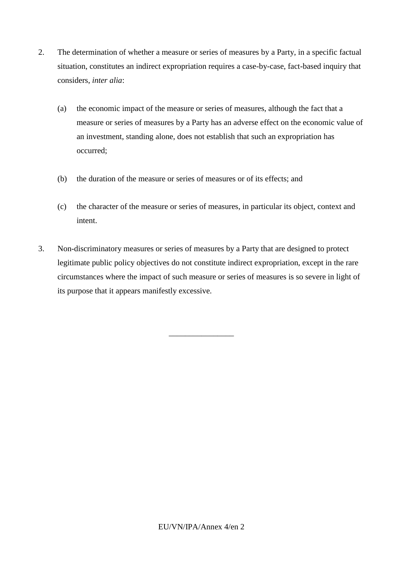- 2. The determination of whether a measure or series of measures by a Party, in a specific factual situation, constitutes an indirect expropriation requires a case-by-case, fact-based inquiry that considers, *inter alia*:
	- (a) the economic impact of the measure or series of measures, although the fact that a measure or series of measures by a Party has an adverse effect on the economic value of an investment, standing alone, does not establish that such an expropriation has occurred;
	- (b) the duration of the measure or series of measures or of its effects; and
	- (c) the character of the measure or series of measures, in particular its object, context and intent.
- 3. Non-discriminatory measures or series of measures by a Party that are designed to protect legitimate public policy objectives do not constitute indirect expropriation, except in the rare circumstances where the impact of such measure or series of measures is so severe in light of its purpose that it appears manifestly excessive.

\_\_\_\_\_\_\_\_\_\_\_\_\_\_\_\_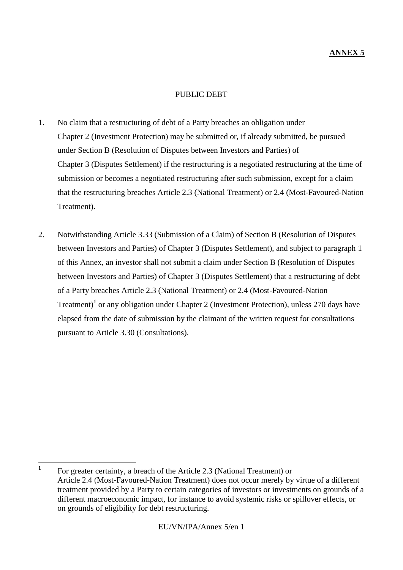## PUBLIC DEBT

- 1. No claim that a restructuring of debt of a Party breaches an obligation under Chapter 2 (Investment Protection) may be submitted or, if already submitted, be pursued under Section B (Resolution of Disputes between Investors and Parties) of Chapter 3 (Disputes Settlement) if the restructuring is a negotiated restructuring at the time of submission or becomes a negotiated restructuring after such submission, except for a claim that the restructuring breaches Article 2.3 (National Treatment) or 2.4 (Most-Favoured-Nation Treatment).
- 2. Notwithstanding Article 3.33 (Submission of a Claim) of Section B (Resolution of Disputes between Investors and Parties) of Chapter 3 (Disputes Settlement), and subject to paragraph 1 of this Annex, an investor shall not submit a claim under Section B (Resolution of Disputes between Investors and Parties) of Chapter 3 (Disputes Settlement) that a restructuring of debt of a Party breaches Article 2.3 (National Treatment) or 2.4 (Most-Favoured-Nation Treatment)**<sup>1</sup>** or any obligation under Chapter 2 (Investment Protection), unless 270 days have elapsed from the date of submission by the claimant of the written request for consultations pursuant to Article 3.30 (Consultations).

 **1** For greater certainty, a breach of the Article 2.3 (National Treatment) or Article 2.4 (Most-Favoured-Nation Treatment) does not occur merely by virtue of a different treatment provided by a Party to certain categories of investors or investments on grounds of a different macroeconomic impact, for instance to avoid systemic risks or spillover effects, or on grounds of eligibility for debt restructuring.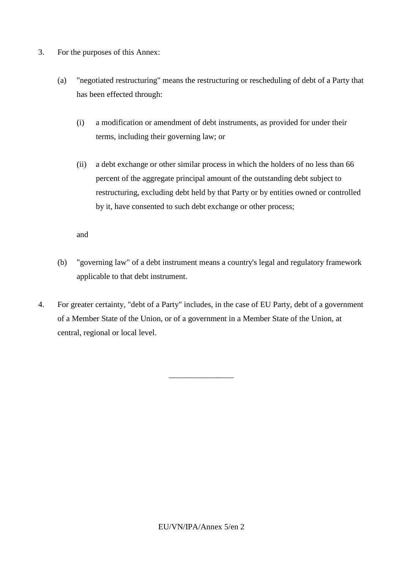- 3. For the purposes of this Annex:
	- (a) "negotiated restructuring" means the restructuring or rescheduling of debt of a Party that has been effected through:
		- (i) a modification or amendment of debt instruments, as provided for under their terms, including their governing law; or
		- (ii) a debt exchange or other similar process in which the holders of no less than 66 percent of the aggregate principal amount of the outstanding debt subject to restructuring, excluding debt held by that Party or by entities owned or controlled by it, have consented to such debt exchange or other process;

and

- (b) "governing law" of a debt instrument means a country's legal and regulatory framework applicable to that debt instrument.
- 4. For greater certainty, "debt of a Party" includes, in the case of EU Party, debt of a government of a Member State of the Union, or of a government in a Member State of the Union, at central, regional or local level.

\_\_\_\_\_\_\_\_\_\_\_\_\_\_\_\_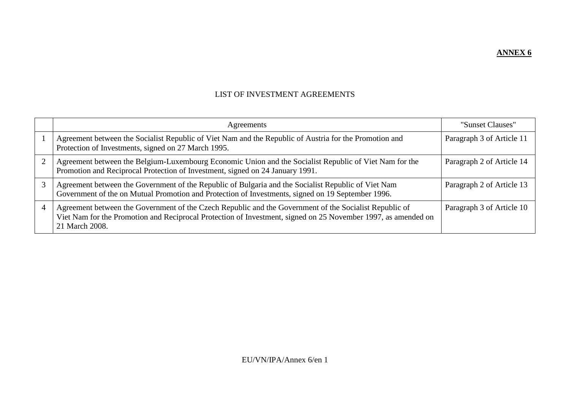**ANNEX 6**

# LIST OF INVESTMENT AGREEMENTS

|   | Agreements                                                                                                                                                                                                                                | "Sunset Clauses"          |
|---|-------------------------------------------------------------------------------------------------------------------------------------------------------------------------------------------------------------------------------------------|---------------------------|
|   | Agreement between the Socialist Republic of Viet Nam and the Republic of Austria for the Promotion and<br>Protection of Investments, signed on 27 March 1995.                                                                             | Paragraph 3 of Article 11 |
|   | Agreement between the Belgium-Luxembourg Economic Union and the Socialist Republic of Viet Nam for the<br>Promotion and Reciprocal Protection of Investment, signed on 24 January 1991.                                                   | Paragraph 2 of Article 14 |
|   | Agreement between the Government of the Republic of Bulgaria and the Socialist Republic of Viet Nam<br>Government of the on Mutual Promotion and Protection of Investments, signed on 19 September 1996.                                  | Paragraph 2 of Article 13 |
| 4 | Agreement between the Government of the Czech Republic and the Government of the Socialist Republic of<br>Viet Nam for the Promotion and Reciprocal Protection of Investment, signed on 25 November 1997, as amended on<br>21 March 2008. | Paragraph 3 of Article 10 |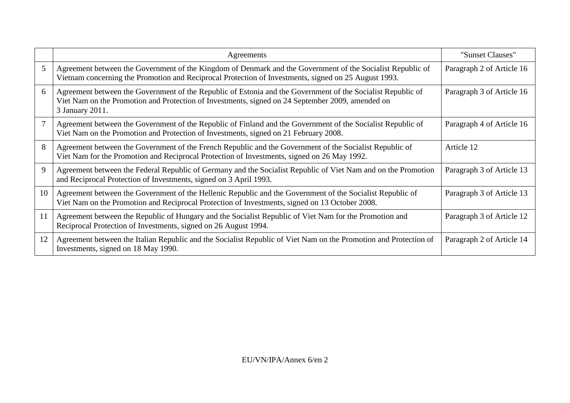|    | Agreements                                                                                                                                                                                                                         | "Sunset Clauses"          |
|----|------------------------------------------------------------------------------------------------------------------------------------------------------------------------------------------------------------------------------------|---------------------------|
| 5  | Agreement between the Government of the Kingdom of Denmark and the Government of the Socialist Republic of<br>Vietnam concerning the Promotion and Reciprocal Protection of Investments, signed on 25 August 1993.                 | Paragraph 2 of Article 16 |
| 6  | Agreement between the Government of the Republic of Estonia and the Government of the Socialist Republic of<br>Viet Nam on the Promotion and Protection of Investments, signed on 24 September 2009, amended on<br>3 January 2011. | Paragraph 3 of Article 16 |
| 7  | Agreement between the Government of the Republic of Finland and the Government of the Socialist Republic of<br>Viet Nam on the Promotion and Protection of Investments, signed on 21 February 2008.                                | Paragraph 4 of Article 16 |
| 8  | Agreement between the Government of the French Republic and the Government of the Socialist Republic of<br>Viet Nam for the Promotion and Reciprocal Protection of Investments, signed on 26 May 1992.                             | Article 12                |
| 9  | Agreement between the Federal Republic of Germany and the Socialist Republic of Viet Nam and on the Promotion<br>and Reciprocal Protection of Investments, signed on 3 April 1993.                                                 | Paragraph 3 of Article 13 |
| 10 | Agreement between the Government of the Hellenic Republic and the Government of the Socialist Republic of<br>Viet Nam on the Promotion and Reciprocal Protection of Investments, signed on 13 October 2008.                        | Paragraph 3 of Article 13 |
| 11 | Agreement between the Republic of Hungary and the Socialist Republic of Viet Nam for the Promotion and<br>Reciprocal Protection of Investments, signed on 26 August 1994.                                                          | Paragraph 3 of Article 12 |
| 12 | Agreement between the Italian Republic and the Socialist Republic of Viet Nam on the Promotion and Protection of<br>Investments, signed on 18 May 1990.                                                                            | Paragraph 2 of Article 14 |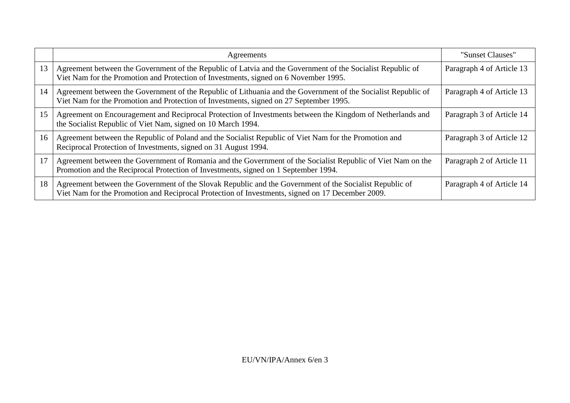|    | Agreements                                                                                                                                                                                                  | "Sunset Clauses"          |
|----|-------------------------------------------------------------------------------------------------------------------------------------------------------------------------------------------------------------|---------------------------|
| 13 | Agreement between the Government of the Republic of Latvia and the Government of the Socialist Republic of<br>Viet Nam for the Promotion and Protection of Investments, signed on 6 November 1995.          | Paragraph 4 of Article 13 |
| 14 | Agreement between the Government of the Republic of Lithuania and the Government of the Socialist Republic of<br>Viet Nam for the Promotion and Protection of Investments, signed on 27 September 1995.     | Paragraph 4 of Article 13 |
| 15 | Agreement on Encouragement and Reciprocal Protection of Investments between the Kingdom of Netherlands and<br>the Socialist Republic of Viet Nam, signed on 10 March 1994.                                  | Paragraph 3 of Article 14 |
| 16 | Agreement between the Republic of Poland and the Socialist Republic of Viet Nam for the Promotion and<br>Reciprocal Protection of Investments, signed on 31 August 1994.                                    | Paragraph 3 of Article 12 |
| 17 | Agreement between the Government of Romania and the Government of the Socialist Republic of Viet Nam on the<br>Promotion and the Reciprocal Protection of Investments, signed on 1 September 1994.          | Paragraph 2 of Article 11 |
| 18 | Agreement between the Government of the Slovak Republic and the Government of the Socialist Republic of<br>Viet Nam for the Promotion and Reciprocal Protection of Investments, signed on 17 December 2009. | Paragraph 4 of Article 14 |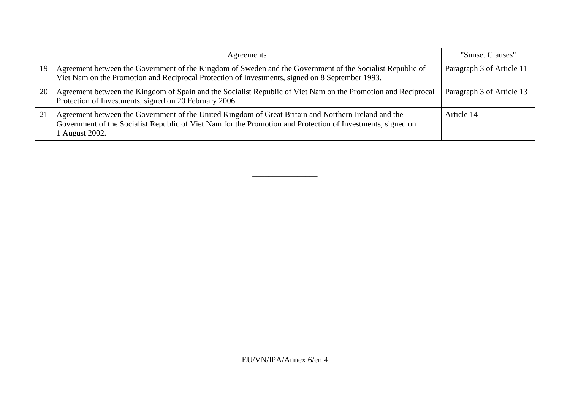|    | Agreements                                                                                                                                                                                                                            | "Sunset Clauses"          |
|----|---------------------------------------------------------------------------------------------------------------------------------------------------------------------------------------------------------------------------------------|---------------------------|
| 19 | Agreement between the Government of the Kingdom of Sweden and the Government of the Socialist Republic of<br>Viet Nam on the Promotion and Reciprocal Protection of Investments, signed on 8 September 1993.                          | Paragraph 3 of Article 11 |
| 20 | Agreement between the Kingdom of Spain and the Socialist Republic of Viet Nam on the Promotion and Reciprocal<br>Protection of Investments, signed on 20 February 2006.                                                               | Paragraph 3 of Article 13 |
| 21 | Agreement between the Government of the United Kingdom of Great Britain and Northern Ireland and the<br>Government of the Socialist Republic of Viet Nam for the Promotion and Protection of Investments, signed on<br>1 August 2002. | Article 14                |

\_\_\_\_\_\_\_\_\_\_\_\_\_\_\_\_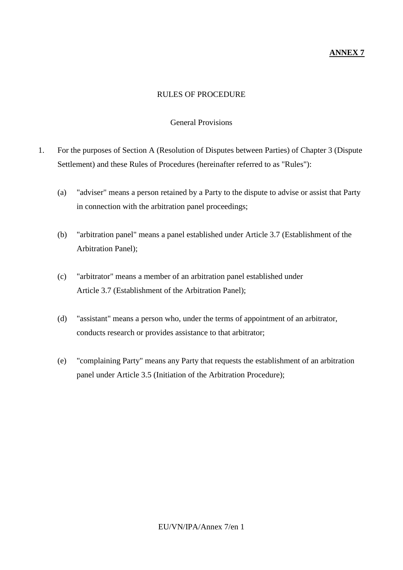# **ANNEX 7**

# RULES OF PROCEDURE

#### General Provisions

- 1. For the purposes of Section A (Resolution of Disputes between Parties) of Chapter 3 (Dispute Settlement) and these Rules of Procedures (hereinafter referred to as "Rules"):
	- (a) "adviser" means a person retained by a Party to the dispute to advise or assist that Party in connection with the arbitration panel proceedings;
	- (b) "arbitration panel" means a panel established under Article 3.7 (Establishment of the Arbitration Panel);
	- (c) "arbitrator" means a member of an arbitration panel established under Article 3.7 (Establishment of the Arbitration Panel);
	- (d) "assistant" means a person who, under the terms of appointment of an arbitrator, conducts research or provides assistance to that arbitrator;
	- (e) "complaining Party" means any Party that requests the establishment of an arbitration panel under Article 3.5 (Initiation of the Arbitration Procedure);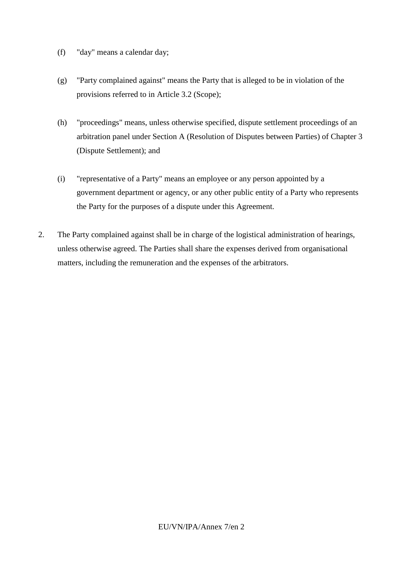- (f) "day" means a calendar day;
- (g) "Party complained against" means the Party that is alleged to be in violation of the provisions referred to in Article 3.2 (Scope);
- (h) "proceedings" means, unless otherwise specified, dispute settlement proceedings of an arbitration panel under Section A (Resolution of Disputes between Parties) of Chapter 3 (Dispute Settlement); and
- (i) "representative of a Party" means an employee or any person appointed by a government department or agency, or any other public entity of a Party who represents the Party for the purposes of a dispute under this Agreement.
- 2. The Party complained against shall be in charge of the logistical administration of hearings, unless otherwise agreed. The Parties shall share the expenses derived from organisational matters, including the remuneration and the expenses of the arbitrators.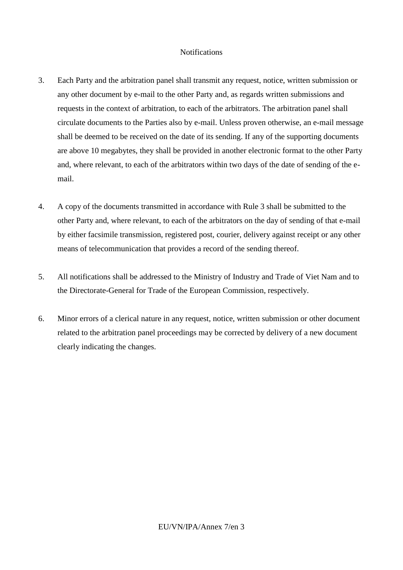## **Notifications**

- 3. Each Party and the arbitration panel shall transmit any request, notice, written submission or any other document by e-mail to the other Party and, as regards written submissions and requests in the context of arbitration, to each of the arbitrators. The arbitration panel shall circulate documents to the Parties also by e-mail. Unless proven otherwise, an e-mail message shall be deemed to be received on the date of its sending. If any of the supporting documents are above 10 megabytes, they shall be provided in another electronic format to the other Party and, where relevant, to each of the arbitrators within two days of the date of sending of the email.
- 4. A copy of the documents transmitted in accordance with Rule 3 shall be submitted to the other Party and, where relevant, to each of the arbitrators on the day of sending of that e-mail by either facsimile transmission, registered post, courier, delivery against receipt or any other means of telecommunication that provides a record of the sending thereof.
- 5. All notifications shall be addressed to the Ministry of Industry and Trade of Viet Nam and to the Directorate-General for Trade of the European Commission, respectively.
- 6. Minor errors of a clerical nature in any request, notice, written submission or other document related to the arbitration panel proceedings may be corrected by delivery of a new document clearly indicating the changes.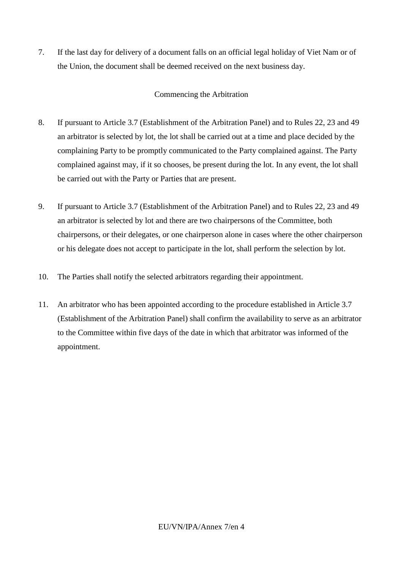7. If the last day for delivery of a document falls on an official legal holiday of Viet Nam or of the Union, the document shall be deemed received on the next business day.

# Commencing the Arbitration

- 8. If pursuant to Article 3.7 (Establishment of the Arbitration Panel) and to Rules 22, 23 and 49 an arbitrator is selected by lot, the lot shall be carried out at a time and place decided by the complaining Party to be promptly communicated to the Party complained against. The Party complained against may, if it so chooses, be present during the lot. In any event, the lot shall be carried out with the Party or Parties that are present.
- 9. If pursuant to Article 3.7 (Establishment of the Arbitration Panel) and to Rules 22, 23 and 49 an arbitrator is selected by lot and there are two chairpersons of the Committee, both chairpersons, or their delegates, or one chairperson alone in cases where the other chairperson or his delegate does not accept to participate in the lot, shall perform the selection by lot.
- 10. The Parties shall notify the selected arbitrators regarding their appointment.
- 11. An arbitrator who has been appointed according to the procedure established in Article 3.7 (Establishment of the Arbitration Panel) shall confirm the availability to serve as an arbitrator to the Committee within five days of the date in which that arbitrator was informed of the appointment.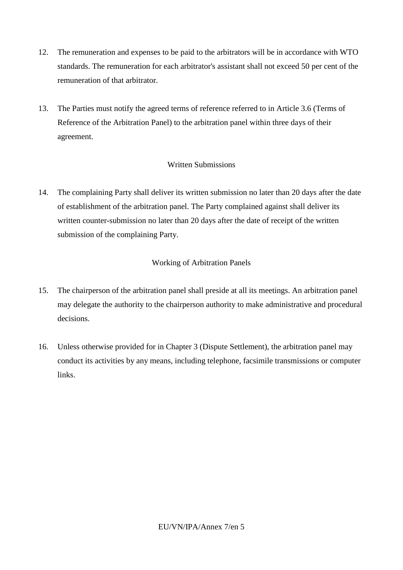- 12. The remuneration and expenses to be paid to the arbitrators will be in accordance with WTO standards. The remuneration for each arbitrator's assistant shall not exceed 50 per cent of the remuneration of that arbitrator.
- 13. The Parties must notify the agreed terms of reference referred to in Article 3.6 (Terms of Reference of the Arbitration Panel) to the arbitration panel within three days of their agreement.

# Written Submissions

14. The complaining Party shall deliver its written submission no later than 20 days after the date of establishment of the arbitration panel. The Party complained against shall deliver its written counter-submission no later than 20 days after the date of receipt of the written submission of the complaining Party.

# Working of Arbitration Panels

- 15. The chairperson of the arbitration panel shall preside at all its meetings. An arbitration panel may delegate the authority to the chairperson authority to make administrative and procedural decisions.
- 16. Unless otherwise provided for in Chapter 3 (Dispute Settlement), the arbitration panel may conduct its activities by any means, including telephone, facsimile transmissions or computer links.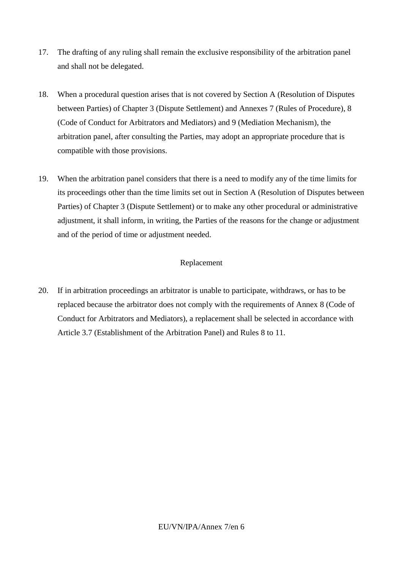- 17. The drafting of any ruling shall remain the exclusive responsibility of the arbitration panel and shall not be delegated.
- 18. When a procedural question arises that is not covered by Section A (Resolution of Disputes between Parties) of Chapter 3 (Dispute Settlement) and Annexes 7 (Rules of Procedure), 8 (Code of Conduct for Arbitrators and Mediators) and 9 (Mediation Mechanism), the arbitration panel, after consulting the Parties, may adopt an appropriate procedure that is compatible with those provisions.
- 19. When the arbitration panel considers that there is a need to modify any of the time limits for its proceedings other than the time limits set out in Section A (Resolution of Disputes between Parties) of Chapter 3 (Dispute Settlement) or to make any other procedural or administrative adjustment, it shall inform, in writing, the Parties of the reasons for the change or adjustment and of the period of time or adjustment needed.

# Replacement

20. If in arbitration proceedings an arbitrator is unable to participate, withdraws, or has to be replaced because the arbitrator does not comply with the requirements of Annex 8 (Code of Conduct for Arbitrators and Mediators), a replacement shall be selected in accordance with Article 3.7 (Establishment of the Arbitration Panel) and Rules 8 to 11.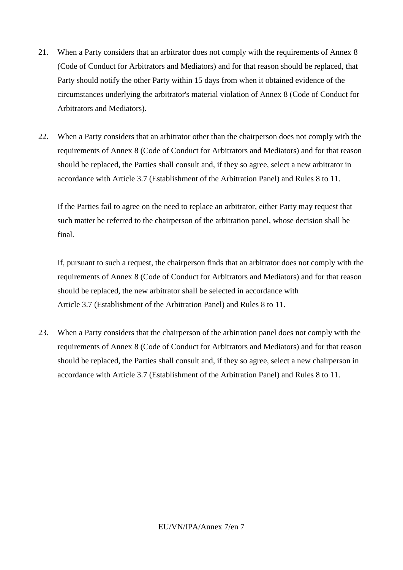- 21. When a Party considers that an arbitrator does not comply with the requirements of Annex 8 (Code of Conduct for Arbitrators and Mediators) and for that reason should be replaced, that Party should notify the other Party within 15 days from when it obtained evidence of the circumstances underlying the arbitrator's material violation of Annex 8 (Code of Conduct for Arbitrators and Mediators).
- 22. When a Party considers that an arbitrator other than the chairperson does not comply with the requirements of Annex 8 (Code of Conduct for Arbitrators and Mediators) and for that reason should be replaced, the Parties shall consult and, if they so agree, select a new arbitrator in accordance with Article 3.7 (Establishment of the Arbitration Panel) and Rules 8 to 11.

If the Parties fail to agree on the need to replace an arbitrator, either Party may request that such matter be referred to the chairperson of the arbitration panel, whose decision shall be final.

If, pursuant to such a request, the chairperson finds that an arbitrator does not comply with the requirements of Annex 8 (Code of Conduct for Arbitrators and Mediators) and for that reason should be replaced, the new arbitrator shall be selected in accordance with Article 3.7 (Establishment of the Arbitration Panel) and Rules 8 to 11.

23. When a Party considers that the chairperson of the arbitration panel does not comply with the requirements of Annex 8 (Code of Conduct for Arbitrators and Mediators) and for that reason should be replaced, the Parties shall consult and, if they so agree, select a new chairperson in accordance with Article 3.7 (Establishment of the Arbitration Panel) and Rules 8 to 11.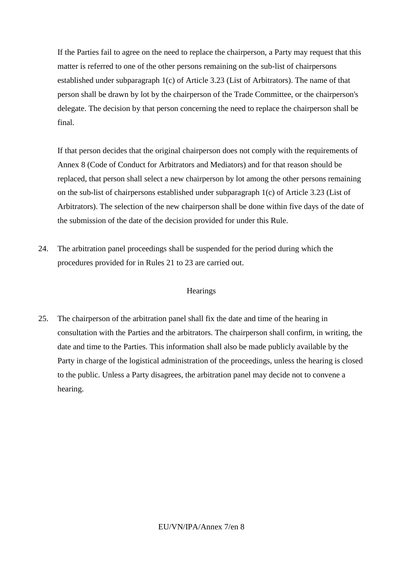If the Parties fail to agree on the need to replace the chairperson, a Party may request that this matter is referred to one of the other persons remaining on the sub-list of chairpersons established under subparagraph 1(c) of Article 3.23 (List of Arbitrators). The name of that person shall be drawn by lot by the chairperson of the Trade Committee, or the chairperson's delegate. The decision by that person concerning the need to replace the chairperson shall be final.

If that person decides that the original chairperson does not comply with the requirements of Annex 8 (Code of Conduct for Arbitrators and Mediators) and for that reason should be replaced, that person shall select a new chairperson by lot among the other persons remaining on the sub-list of chairpersons established under subparagraph 1(c) of Article 3.23 (List of Arbitrators). The selection of the new chairperson shall be done within five days of the date of the submission of the date of the decision provided for under this Rule.

24. The arbitration panel proceedings shall be suspended for the period during which the procedures provided for in Rules 21 to 23 are carried out.

## **Hearings**

25. The chairperson of the arbitration panel shall fix the date and time of the hearing in consultation with the Parties and the arbitrators. The chairperson shall confirm, in writing, the date and time to the Parties. This information shall also be made publicly available by the Party in charge of the logistical administration of the proceedings, unless the hearing is closed to the public. Unless a Party disagrees, the arbitration panel may decide not to convene a hearing.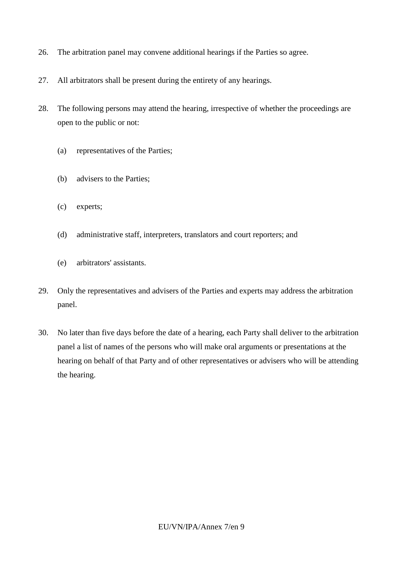- 26. The arbitration panel may convene additional hearings if the Parties so agree.
- 27. All arbitrators shall be present during the entirety of any hearings.
- 28. The following persons may attend the hearing, irrespective of whether the proceedings are open to the public or not:
	- (a) representatives of the Parties;
	- (b) advisers to the Parties;
	- (c) experts;
	- (d) administrative staff, interpreters, translators and court reporters; and
	- (e) arbitrators' assistants.
- 29. Only the representatives and advisers of the Parties and experts may address the arbitration panel.
- 30. No later than five days before the date of a hearing, each Party shall deliver to the arbitration panel a list of names of the persons who will make oral arguments or presentations at the hearing on behalf of that Party and of other representatives or advisers who will be attending the hearing.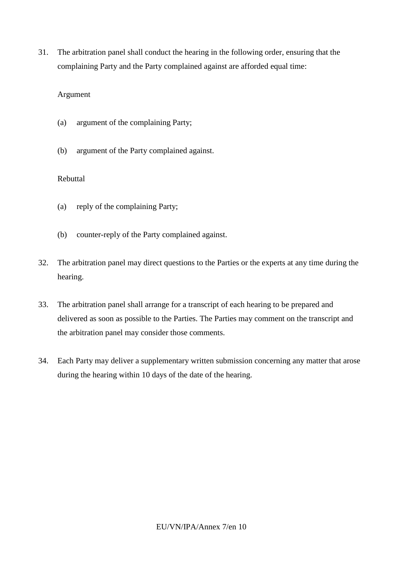31. The arbitration panel shall conduct the hearing in the following order, ensuring that the complaining Party and the Party complained against are afforded equal time:

## Argument

- (a) argument of the complaining Party;
- (b) argument of the Party complained against.

## Rebuttal

- (a) reply of the complaining Party;
- (b) counter-reply of the Party complained against.
- 32. The arbitration panel may direct questions to the Parties or the experts at any time during the hearing.
- 33. The arbitration panel shall arrange for a transcript of each hearing to be prepared and delivered as soon as possible to the Parties. The Parties may comment on the transcript and the arbitration panel may consider those comments.
- 34. Each Party may deliver a supplementary written submission concerning any matter that arose during the hearing within 10 days of the date of the hearing.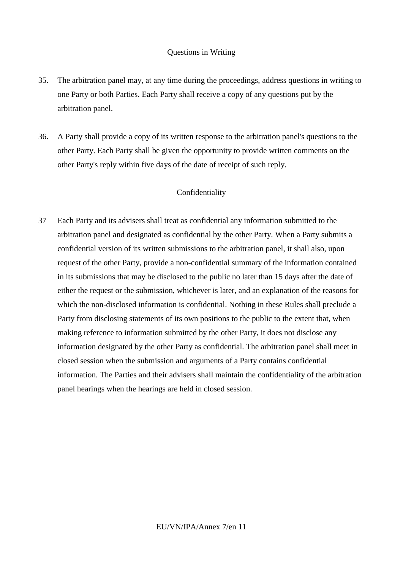#### Questions in Writing

- 35. The arbitration panel may, at any time during the proceedings, address questions in writing to one Party or both Parties. Each Party shall receive a copy of any questions put by the arbitration panel.
- 36. A Party shall provide a copy of its written response to the arbitration panel's questions to the other Party. Each Party shall be given the opportunity to provide written comments on the other Party's reply within five days of the date of receipt of such reply.

#### Confidentiality

37 Each Party and its advisers shall treat as confidential any information submitted to the arbitration panel and designated as confidential by the other Party. When a Party submits a confidential version of its written submissions to the arbitration panel, it shall also, upon request of the other Party, provide a non-confidential summary of the information contained in its submissions that may be disclosed to the public no later than 15 days after the date of either the request or the submission, whichever is later, and an explanation of the reasons for which the non-disclosed information is confidential. Nothing in these Rules shall preclude a Party from disclosing statements of its own positions to the public to the extent that, when making reference to information submitted by the other Party, it does not disclose any information designated by the other Party as confidential. The arbitration panel shall meet in closed session when the submission and arguments of a Party contains confidential information. The Parties and their advisers shall maintain the confidentiality of the arbitration panel hearings when the hearings are held in closed session.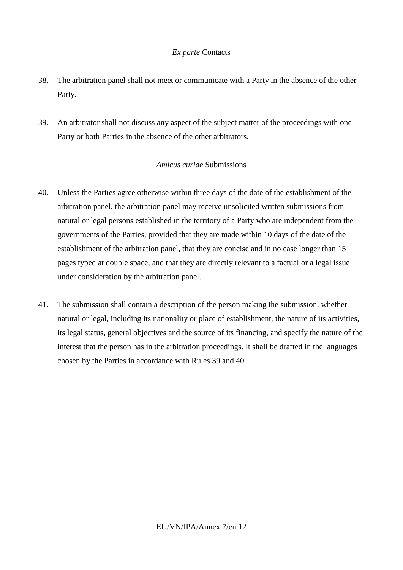## *Ex parte* Contacts

- 38. The arbitration panel shall not meet or communicate with a Party in the absence of the other Party.
- 39. An arbitrator shall not discuss any aspect of the subject matter of the proceedings with one Party or both Parties in the absence of the other arbitrators.

#### *Amicus curiae* Submissions

- 40. Unless the Parties agree otherwise within three days of the date of the establishment of the arbitration panel, the arbitration panel may receive unsolicited written submissions from natural or legal persons established in the territory of a Party who are independent from the governments of the Parties, provided that they are made within 10 days of the date of the establishment of the arbitration panel, that they are concise and in no case longer than 15 pages typed at double space, and that they are directly relevant to a factual or a legal issue under consideration by the arbitration panel.
- 41. The submission shall contain a description of the person making the submission, whether natural or legal, including its nationality or place of establishment, the nature of its activities, its legal status, general objectives and the source of its financing, and specify the nature of the interest that the person has in the arbitration proceedings. It shall be drafted in the languages chosen by the Parties in accordance with Rules 39 and 40.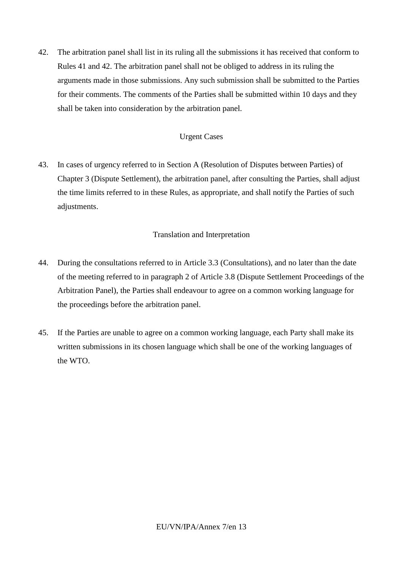42. The arbitration panel shall list in its ruling all the submissions it has received that conform to Rules 41 and 42. The arbitration panel shall not be obliged to address in its ruling the arguments made in those submissions. Any such submission shall be submitted to the Parties for their comments. The comments of the Parties shall be submitted within 10 days and they shall be taken into consideration by the arbitration panel.

## Urgent Cases

43. In cases of urgency referred to in Section A (Resolution of Disputes between Parties) of Chapter 3 (Dispute Settlement), the arbitration panel, after consulting the Parties, shall adjust the time limits referred to in these Rules, as appropriate, and shall notify the Parties of such adjustments.

## Translation and Interpretation

- 44. During the consultations referred to in Article 3.3 (Consultations), and no later than the date of the meeting referred to in paragraph 2 of Article 3.8 (Dispute Settlement Proceedings of the Arbitration Panel), the Parties shall endeavour to agree on a common working language for the proceedings before the arbitration panel.
- 45. If the Parties are unable to agree on a common working language, each Party shall make its written submissions in its chosen language which shall be one of the working languages of the WTO.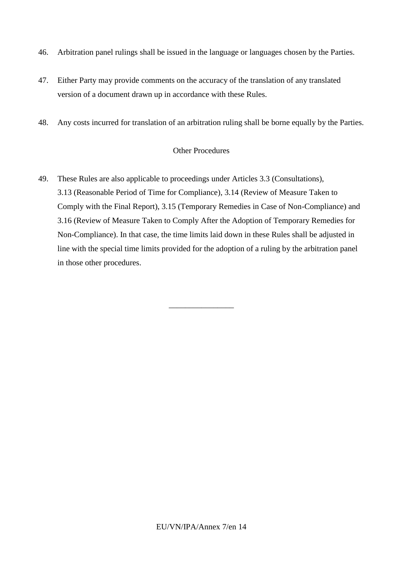- 46. Arbitration panel rulings shall be issued in the language or languages chosen by the Parties.
- 47. Either Party may provide comments on the accuracy of the translation of any translated version of a document drawn up in accordance with these Rules.
- 48. Any costs incurred for translation of an arbitration ruling shall be borne equally by the Parties.

#### Other Procedures

49. These Rules are also applicable to proceedings under Articles 3.3 (Consultations), 3.13 (Reasonable Period of Time for Compliance), 3.14 (Review of Measure Taken to Comply with the Final Report), 3.15 (Temporary Remedies in Case of Non-Compliance) and 3.16 (Review of Measure Taken to Comply After the Adoption of Temporary Remedies for Non-Compliance). In that case, the time limits laid down in these Rules shall be adjusted in line with the special time limits provided for the adoption of a ruling by the arbitration panel in those other procedures.

\_\_\_\_\_\_\_\_\_\_\_\_\_\_\_\_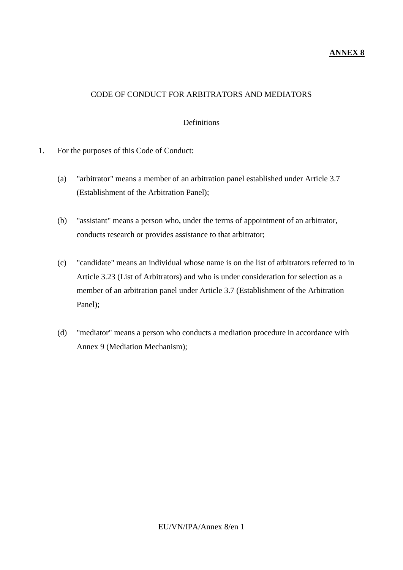# **ANNEX 8**

# CODE OF CONDUCT FOR ARBITRATORS AND MEDIATORS

## Definitions

- 1. For the purposes of this Code of Conduct:
	- (a) "arbitrator" means a member of an arbitration panel established under Article 3.7 (Establishment of the Arbitration Panel);
	- (b) "assistant" means a person who, under the terms of appointment of an arbitrator, conducts research or provides assistance to that arbitrator;
	- (c) "candidate" means an individual whose name is on the list of arbitrators referred to in Article 3.23 (List of Arbitrators) and who is under consideration for selection as a member of an arbitration panel under Article 3.7 (Establishment of the Arbitration Panel);
	- (d) "mediator" means a person who conducts a mediation procedure in accordance with Annex 9 (Mediation Mechanism);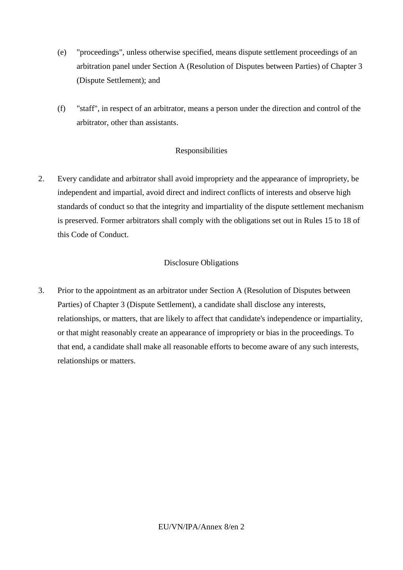- (e) "proceedings", unless otherwise specified, means dispute settlement proceedings of an arbitration panel under Section A (Resolution of Disputes between Parties) of Chapter 3 (Dispute Settlement); and
- (f) "staff", in respect of an arbitrator, means a person under the direction and control of the arbitrator, other than assistants.

# Responsibilities

2. Every candidate and arbitrator shall avoid impropriety and the appearance of impropriety, be independent and impartial, avoid direct and indirect conflicts of interests and observe high standards of conduct so that the integrity and impartiality of the dispute settlement mechanism is preserved. Former arbitrators shall comply with the obligations set out in Rules 15 to 18 of this Code of Conduct.

# Disclosure Obligations

3. Prior to the appointment as an arbitrator under Section A (Resolution of Disputes between Parties) of Chapter 3 (Dispute Settlement), a candidate shall disclose any interests, relationships, or matters, that are likely to affect that candidate's independence or impartiality, or that might reasonably create an appearance of impropriety or bias in the proceedings. To that end, a candidate shall make all reasonable efforts to become aware of any such interests, relationships or matters.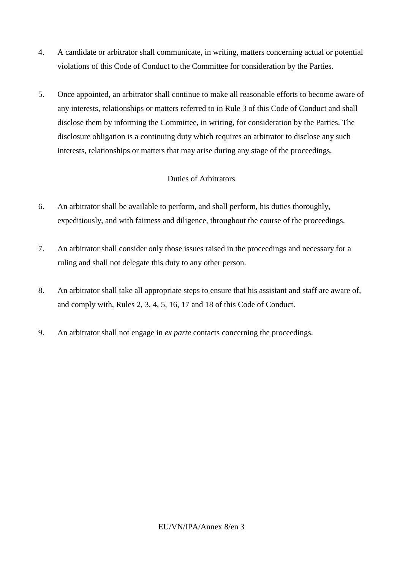- 4. A candidate or arbitrator shall communicate, in writing, matters concerning actual or potential violations of this Code of Conduct to the Committee for consideration by the Parties.
- 5. Once appointed, an arbitrator shall continue to make all reasonable efforts to become aware of any interests, relationships or matters referred to in Rule 3 of this Code of Conduct and shall disclose them by informing the Committee, in writing, for consideration by the Parties. The disclosure obligation is a continuing duty which requires an arbitrator to disclose any such interests, relationships or matters that may arise during any stage of the proceedings.

# Duties of Arbitrators

- 6. An arbitrator shall be available to perform, and shall perform, his duties thoroughly, expeditiously, and with fairness and diligence, throughout the course of the proceedings.
- 7. An arbitrator shall consider only those issues raised in the proceedings and necessary for a ruling and shall not delegate this duty to any other person.
- 8. An arbitrator shall take all appropriate steps to ensure that his assistant and staff are aware of, and comply with, Rules 2, 3, 4, 5, 16, 17 and 18 of this Code of Conduct.
- 9. An arbitrator shall not engage in *ex parte* contacts concerning the proceedings.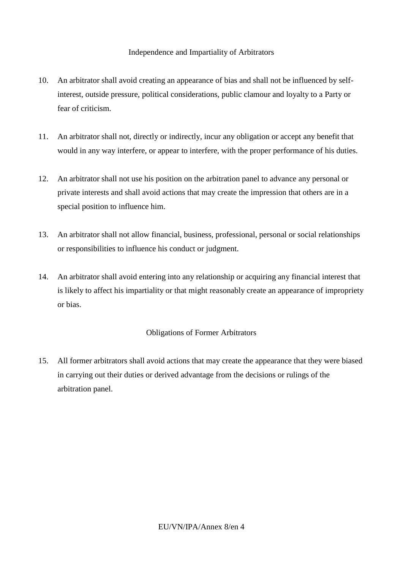## Independence and Impartiality of Arbitrators

- 10. An arbitrator shall avoid creating an appearance of bias and shall not be influenced by selfinterest, outside pressure, political considerations, public clamour and loyalty to a Party or fear of criticism.
- 11. An arbitrator shall not, directly or indirectly, incur any obligation or accept any benefit that would in any way interfere, or appear to interfere, with the proper performance of his duties.
- 12. An arbitrator shall not use his position on the arbitration panel to advance any personal or private interests and shall avoid actions that may create the impression that others are in a special position to influence him.
- 13. An arbitrator shall not allow financial, business, professional, personal or social relationships or responsibilities to influence his conduct or judgment.
- 14. An arbitrator shall avoid entering into any relationship or acquiring any financial interest that is likely to affect his impartiality or that might reasonably create an appearance of impropriety or bias.

## Obligations of Former Arbitrators

15. All former arbitrators shall avoid actions that may create the appearance that they were biased in carrying out their duties or derived advantage from the decisions or rulings of the arbitration panel.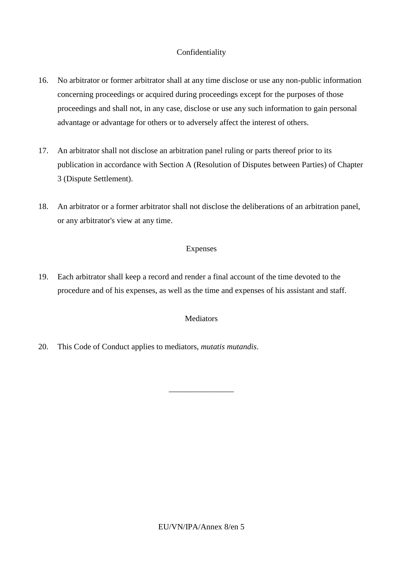# Confidentiality

- 16. No arbitrator or former arbitrator shall at any time disclose or use any non-public information concerning proceedings or acquired during proceedings except for the purposes of those proceedings and shall not, in any case, disclose or use any such information to gain personal advantage or advantage for others or to adversely affect the interest of others.
- 17. An arbitrator shall not disclose an arbitration panel ruling or parts thereof prior to its publication in accordance with Section A (Resolution of Disputes between Parties) of Chapter 3 (Dispute Settlement).
- 18. An arbitrator or a former arbitrator shall not disclose the deliberations of an arbitration panel, or any arbitrator's view at any time.

## Expenses

19. Each arbitrator shall keep a record and render a final account of the time devoted to the procedure and of his expenses, as well as the time and expenses of his assistant and staff.

## Mediators

\_\_\_\_\_\_\_\_\_\_\_\_\_\_\_\_

20. This Code of Conduct applies to mediators, *mutatis mutandis*.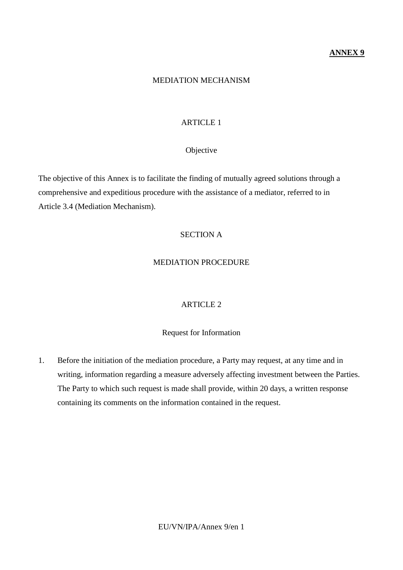## **ANNEX 9**

#### MEDIATION MECHANISM

## ARTICLE 1

#### Objective

The objective of this Annex is to facilitate the finding of mutually agreed solutions through a comprehensive and expeditious procedure with the assistance of a mediator, referred to in Article 3.4 (Mediation Mechanism).

# SECTION A

#### MEDIATION PROCEDURE

## ARTICLE 2

## Request for Information

1. Before the initiation of the mediation procedure, a Party may request, at any time and in writing, information regarding a measure adversely affecting investment between the Parties. The Party to which such request is made shall provide, within 20 days, a written response containing its comments on the information contained in the request.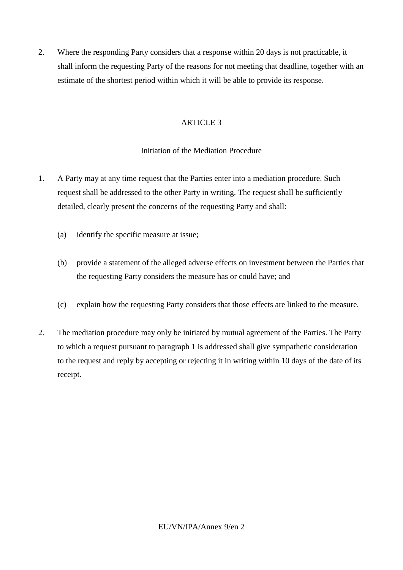2. Where the responding Party considers that a response within 20 days is not practicable, it shall inform the requesting Party of the reasons for not meeting that deadline, together with an estimate of the shortest period within which it will be able to provide its response.

# ARTICLE 3

# Initiation of the Mediation Procedure

- 1. A Party may at any time request that the Parties enter into a mediation procedure. Such request shall be addressed to the other Party in writing. The request shall be sufficiently detailed, clearly present the concerns of the requesting Party and shall:
	- (a) identify the specific measure at issue;
	- (b) provide a statement of the alleged adverse effects on investment between the Parties that the requesting Party considers the measure has or could have; and
	- (c) explain how the requesting Party considers that those effects are linked to the measure.
- 2. The mediation procedure may only be initiated by mutual agreement of the Parties. The Party to which a request pursuant to paragraph 1 is addressed shall give sympathetic consideration to the request and reply by accepting or rejecting it in writing within 10 days of the date of its receipt.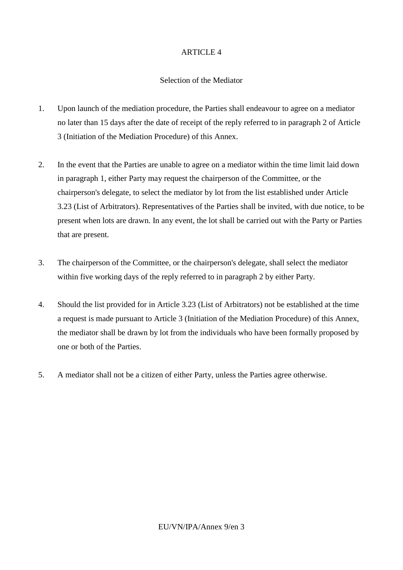# ARTICLE 4

## Selection of the Mediator

- 1. Upon launch of the mediation procedure, the Parties shall endeavour to agree on a mediator no later than 15 days after the date of receipt of the reply referred to in paragraph 2 of Article 3 (Initiation of the Mediation Procedure) of this Annex.
- 2. In the event that the Parties are unable to agree on a mediator within the time limit laid down in paragraph 1, either Party may request the chairperson of the Committee, or the chairperson's delegate, to select the mediator by lot from the list established under Article 3.23 (List of Arbitrators). Representatives of the Parties shall be invited, with due notice, to be present when lots are drawn. In any event, the lot shall be carried out with the Party or Parties that are present.
- 3. The chairperson of the Committee, or the chairperson's delegate, shall select the mediator within five working days of the reply referred to in paragraph 2 by either Party.
- 4. Should the list provided for in Article 3.23 (List of Arbitrators) not be established at the time a request is made pursuant to Article 3 (Initiation of the Mediation Procedure) of this Annex, the mediator shall be drawn by lot from the individuals who have been formally proposed by one or both of the Parties.
- 5. A mediator shall not be a citizen of either Party, unless the Parties agree otherwise.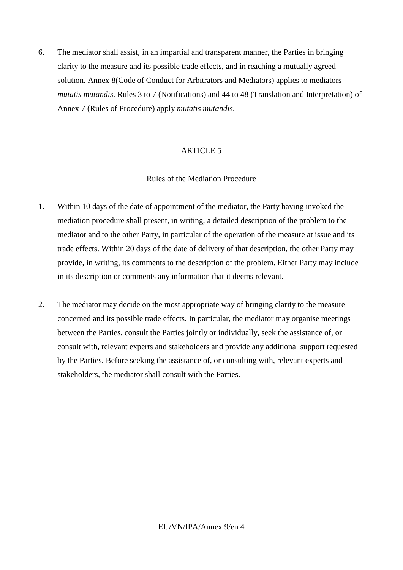6. The mediator shall assist, in an impartial and transparent manner, the Parties in bringing clarity to the measure and its possible trade effects, and in reaching a mutually agreed solution. Annex 8(Code of Conduct for Arbitrators and Mediators) applies to mediators *mutatis mutandis*. Rules 3 to 7 (Notifications) and 44 to 48 (Translation and Interpretation) of Annex 7 (Rules of Procedure) apply *mutatis mutandis*.

## ARTICLE 5

## Rules of the Mediation Procedure

- 1. Within 10 days of the date of appointment of the mediator, the Party having invoked the mediation procedure shall present, in writing, a detailed description of the problem to the mediator and to the other Party, in particular of the operation of the measure at issue and its trade effects. Within 20 days of the date of delivery of that description, the other Party may provide, in writing, its comments to the description of the problem. Either Party may include in its description or comments any information that it deems relevant.
- 2. The mediator may decide on the most appropriate way of bringing clarity to the measure concerned and its possible trade effects. In particular, the mediator may organise meetings between the Parties, consult the Parties jointly or individually, seek the assistance of, or consult with, relevant experts and stakeholders and provide any additional support requested by the Parties. Before seeking the assistance of, or consulting with, relevant experts and stakeholders, the mediator shall consult with the Parties.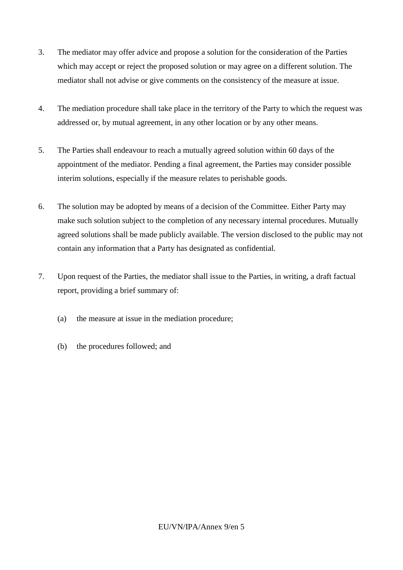- 3. The mediator may offer advice and propose a solution for the consideration of the Parties which may accept or reject the proposed solution or may agree on a different solution. The mediator shall not advise or give comments on the consistency of the measure at issue.
- 4. The mediation procedure shall take place in the territory of the Party to which the request was addressed or, by mutual agreement, in any other location or by any other means.
- 5. The Parties shall endeavour to reach a mutually agreed solution within 60 days of the appointment of the mediator. Pending a final agreement, the Parties may consider possible interim solutions, especially if the measure relates to perishable goods.
- 6. The solution may be adopted by means of a decision of the Committee. Either Party may make such solution subject to the completion of any necessary internal procedures. Mutually agreed solutions shall be made publicly available. The version disclosed to the public may not contain any information that a Party has designated as confidential.
- 7. Upon request of the Parties, the mediator shall issue to the Parties, in writing, a draft factual report, providing a brief summary of:
	- (a) the measure at issue in the mediation procedure;
	- (b) the procedures followed; and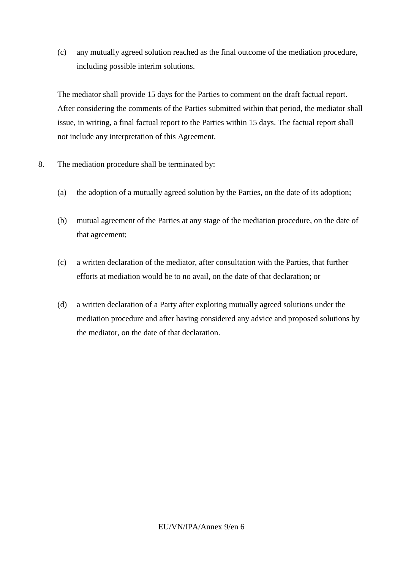(c) any mutually agreed solution reached as the final outcome of the mediation procedure, including possible interim solutions.

The mediator shall provide 15 days for the Parties to comment on the draft factual report. After considering the comments of the Parties submitted within that period, the mediator shall issue, in writing, a final factual report to the Parties within 15 days. The factual report shall not include any interpretation of this Agreement.

- 8. The mediation procedure shall be terminated by:
	- (a) the adoption of a mutually agreed solution by the Parties, on the date of its adoption;
	- (b) mutual agreement of the Parties at any stage of the mediation procedure, on the date of that agreement;
	- (c) a written declaration of the mediator, after consultation with the Parties, that further efforts at mediation would be to no avail, on the date of that declaration; or
	- (d) a written declaration of a Party after exploring mutually agreed solutions under the mediation procedure and after having considered any advice and proposed solutions by the mediator, on the date of that declaration.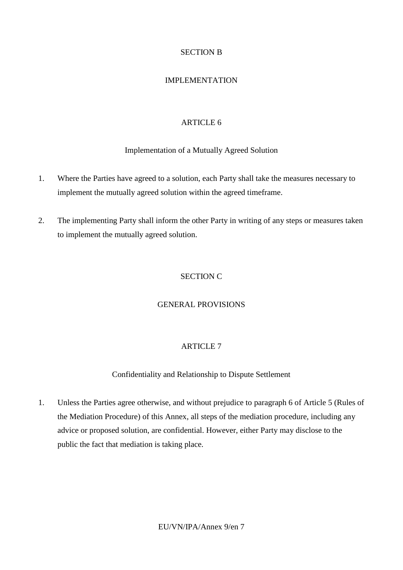# SECTION B

# IMPLEMENTATION

# ARTICLE 6

# Implementation of a Mutually Agreed Solution

- 1. Where the Parties have agreed to a solution, each Party shall take the measures necessary to implement the mutually agreed solution within the agreed timeframe.
- 2. The implementing Party shall inform the other Party in writing of any steps or measures taken to implement the mutually agreed solution.

# SECTION C

## GENERAL PROVISIONS

# ARTICLE 7

# Confidentiality and Relationship to Dispute Settlement

1. Unless the Parties agree otherwise, and without prejudice to paragraph 6 of Article 5 (Rules of the Mediation Procedure) of this Annex, all steps of the mediation procedure, including any advice or proposed solution, are confidential. However, either Party may disclose to the public the fact that mediation is taking place.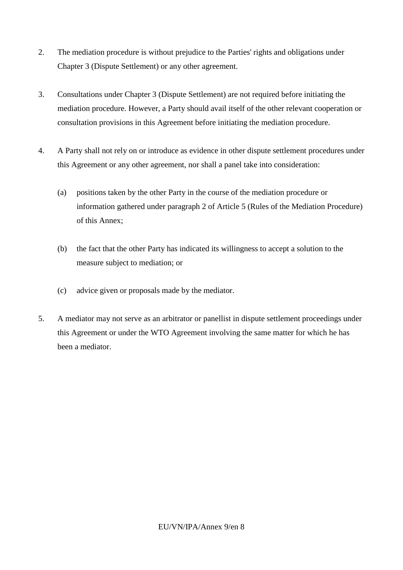- 2. The mediation procedure is without prejudice to the Parties' rights and obligations under Chapter 3 (Dispute Settlement) or any other agreement.
- 3. Consultations under Chapter 3 (Dispute Settlement) are not required before initiating the mediation procedure. However, a Party should avail itself of the other relevant cooperation or consultation provisions in this Agreement before initiating the mediation procedure.
- 4. A Party shall not rely on or introduce as evidence in other dispute settlement procedures under this Agreement or any other agreement, nor shall a panel take into consideration:
	- (a) positions taken by the other Party in the course of the mediation procedure or information gathered under paragraph 2 of Article 5 (Rules of the Mediation Procedure) of this Annex;
	- (b) the fact that the other Party has indicated its willingness to accept a solution to the measure subject to mediation; or
	- (c) advice given or proposals made by the mediator.
- 5. A mediator may not serve as an arbitrator or panellist in dispute settlement proceedings under this Agreement or under the WTO Agreement involving the same matter for which he has been a mediator.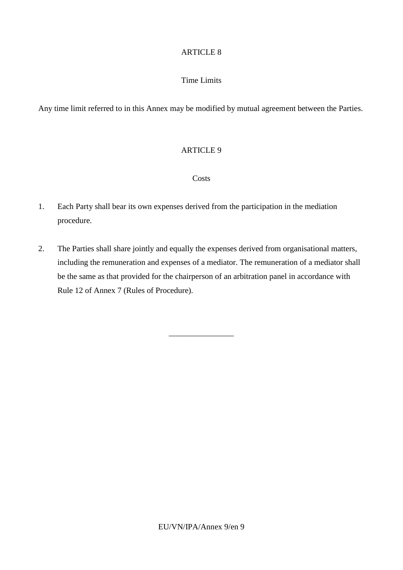# ARTICLE 8

# Time Limits

Any time limit referred to in this Annex may be modified by mutual agreement between the Parties.

# ARTICLE 9

#### **Costs**

- 1. Each Party shall bear its own expenses derived from the participation in the mediation procedure.
- 2. The Parties shall share jointly and equally the expenses derived from organisational matters, including the remuneration and expenses of a mediator. The remuneration of a mediator shall be the same as that provided for the chairperson of an arbitration panel in accordance with Rule 12 of Annex 7 (Rules of Procedure).

\_\_\_\_\_\_\_\_\_\_\_\_\_\_\_\_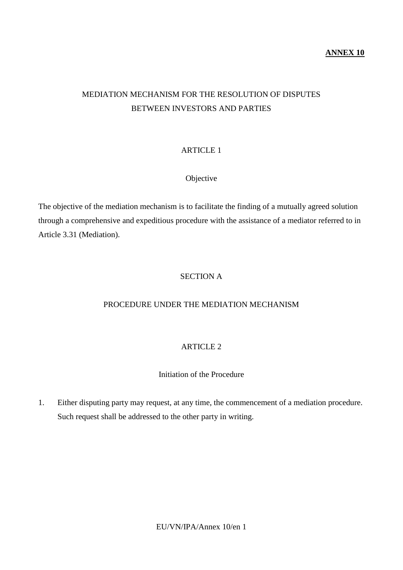# MEDIATION MECHANISM FOR THE RESOLUTION OF DISPUTES BETWEEN INVESTORS AND PARTIES

# ARTICLE 1

# Objective

The objective of the mediation mechanism is to facilitate the finding of a mutually agreed solution through a comprehensive and expeditious procedure with the assistance of a mediator referred to in Article 3.31 (Mediation).

# SECTION A

# PROCEDURE UNDER THE MEDIATION MECHANISM

# ARTICLE 2

# Initiation of the Procedure

1. Either disputing party may request, at any time, the commencement of a mediation procedure. Such request shall be addressed to the other party in writing.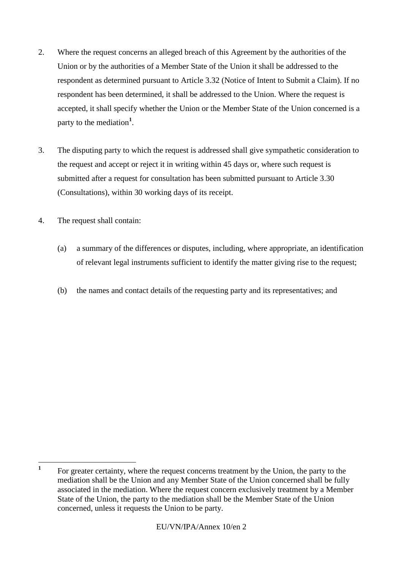- 2. Where the request concerns an alleged breach of this Agreement by the authorities of the Union or by the authorities of a Member State of the Union it shall be addressed to the respondent as determined pursuant to Article 3.32 (Notice of Intent to Submit a Claim). If no respondent has been determined, it shall be addressed to the Union. Where the request is accepted, it shall specify whether the Union or the Member State of the Union concerned is a party to the mediation**<sup>1</sup>** .
- 3. The disputing party to which the request is addressed shall give sympathetic consideration to the request and accept or reject it in writing within 45 days or, where such request is submitted after a request for consultation has been submitted pursuant to Article 3.30 (Consultations), within 30 working days of its receipt.
- 4. The request shall contain:
	- (a) a summary of the differences or disputes, including, where appropriate, an identification of relevant legal instruments sufficient to identify the matter giving rise to the request;
	- (b) the names and contact details of the requesting party and its representatives; and

 **1** For greater certainty, where the request concerns treatment by the Union, the party to the mediation shall be the Union and any Member State of the Union concerned shall be fully associated in the mediation. Where the request concern exclusively treatment by a Member State of the Union, the party to the mediation shall be the Member State of the Union concerned, unless it requests the Union to be party.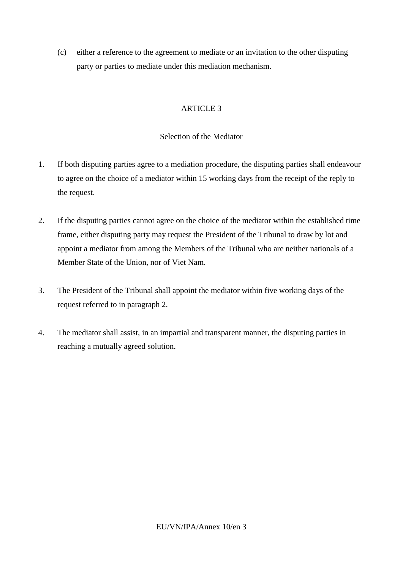(c) either a reference to the agreement to mediate or an invitation to the other disputing party or parties to mediate under this mediation mechanism.

# ARTICLE 3

## Selection of the Mediator

- 1. If both disputing parties agree to a mediation procedure, the disputing parties shall endeavour to agree on the choice of a mediator within 15 working days from the receipt of the reply to the request.
- 2. If the disputing parties cannot agree on the choice of the mediator within the established time frame, either disputing party may request the President of the Tribunal to draw by lot and appoint a mediator from among the Members of the Tribunal who are neither nationals of a Member State of the Union, nor of Viet Nam.
- 3. The President of the Tribunal shall appoint the mediator within five working days of the request referred to in paragraph 2.
- 4. The mediator shall assist, in an impartial and transparent manner, the disputing parties in reaching a mutually agreed solution.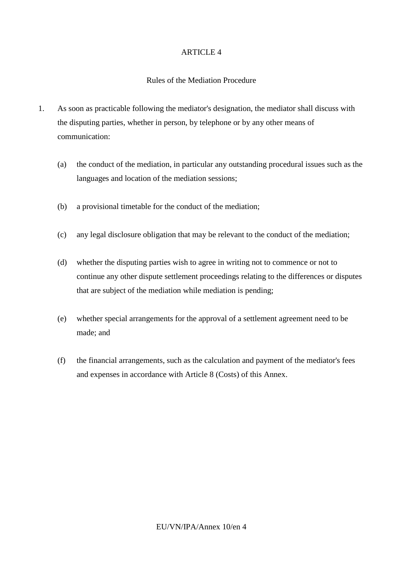#### Rules of the Mediation Procedure

- 1. As soon as practicable following the mediator's designation, the mediator shall discuss with the disputing parties, whether in person, by telephone or by any other means of communication:
	- (a) the conduct of the mediation, in particular any outstanding procedural issues such as the languages and location of the mediation sessions;
	- (b) a provisional timetable for the conduct of the mediation;
	- (c) any legal disclosure obligation that may be relevant to the conduct of the mediation;
	- (d) whether the disputing parties wish to agree in writing not to commence or not to continue any other dispute settlement proceedings relating to the differences or disputes that are subject of the mediation while mediation is pending;
	- (e) whether special arrangements for the approval of a settlement agreement need to be made; and
	- (f) the financial arrangements, such as the calculation and payment of the mediator's fees and expenses in accordance with Article 8 (Costs) of this Annex.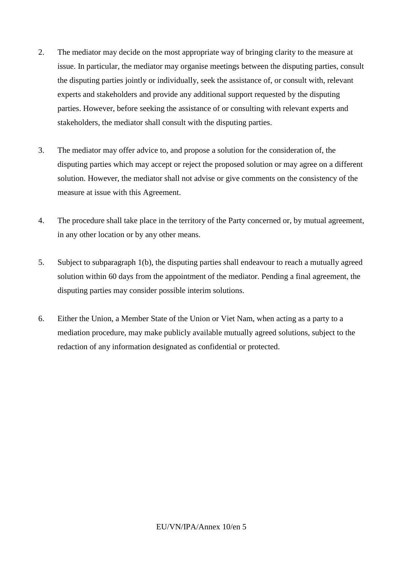- 2. The mediator may decide on the most appropriate way of bringing clarity to the measure at issue. In particular, the mediator may organise meetings between the disputing parties, consult the disputing parties jointly or individually, seek the assistance of, or consult with, relevant experts and stakeholders and provide any additional support requested by the disputing parties. However, before seeking the assistance of or consulting with relevant experts and stakeholders, the mediator shall consult with the disputing parties.
- 3. The mediator may offer advice to, and propose a solution for the consideration of, the disputing parties which may accept or reject the proposed solution or may agree on a different solution. However, the mediator shall not advise or give comments on the consistency of the measure at issue with this Agreement.
- 4. The procedure shall take place in the territory of the Party concerned or, by mutual agreement, in any other location or by any other means.
- 5. Subject to subparagraph 1(b), the disputing parties shall endeavour to reach a mutually agreed solution within 60 days from the appointment of the mediator. Pending a final agreement, the disputing parties may consider possible interim solutions.
- 6. Either the Union, a Member State of the Union or Viet Nam, when acting as a party to a mediation procedure, may make publicly available mutually agreed solutions, subject to the redaction of any information designated as confidential or protected.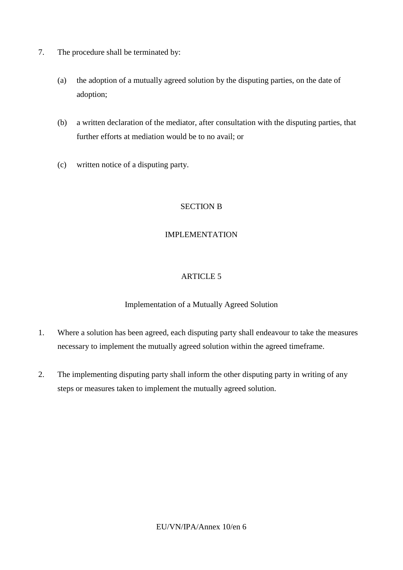- 7. The procedure shall be terminated by:
	- (a) the adoption of a mutually agreed solution by the disputing parties, on the date of adoption;
	- (b) a written declaration of the mediator, after consultation with the disputing parties, that further efforts at mediation would be to no avail; or
	- (c) written notice of a disputing party.

# SECTION B

### IMPLEMENTATION

### ARTICLE 5

### Implementation of a Mutually Agreed Solution

- 1. Where a solution has been agreed, each disputing party shall endeavour to take the measures necessary to implement the mutually agreed solution within the agreed timeframe.
- 2. The implementing disputing party shall inform the other disputing party in writing of any steps or measures taken to implement the mutually agreed solution.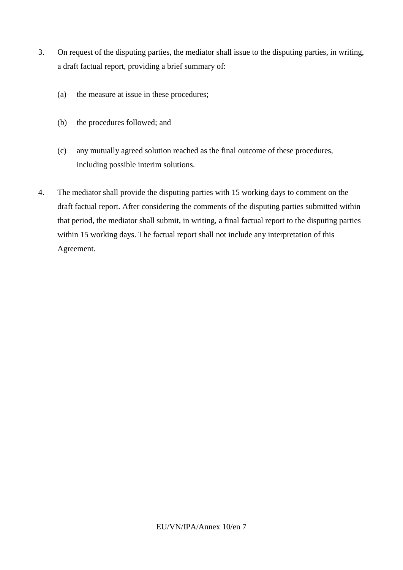- 3. On request of the disputing parties, the mediator shall issue to the disputing parties, in writing, a draft factual report, providing a brief summary of:
	- (a) the measure at issue in these procedures;
	- (b) the procedures followed; and
	- (c) any mutually agreed solution reached as the final outcome of these procedures, including possible interim solutions.
- 4. The mediator shall provide the disputing parties with 15 working days to comment on the draft factual report. After considering the comments of the disputing parties submitted within that period, the mediator shall submit, in writing, a final factual report to the disputing parties within 15 working days. The factual report shall not include any interpretation of this Agreement.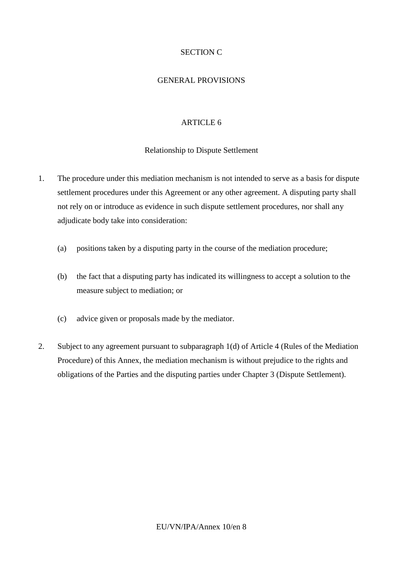# SECTION C

#### GENERAL PROVISIONS

#### ARTICLE 6

#### Relationship to Dispute Settlement

- 1. The procedure under this mediation mechanism is not intended to serve as a basis for dispute settlement procedures under this Agreement or any other agreement. A disputing party shall not rely on or introduce as evidence in such dispute settlement procedures, nor shall any adjudicate body take into consideration:
	- (a) positions taken by a disputing party in the course of the mediation procedure;
	- (b) the fact that a disputing party has indicated its willingness to accept a solution to the measure subject to mediation; or
	- (c) advice given or proposals made by the mediator.
- 2. Subject to any agreement pursuant to subparagraph 1(d) of Article 4 (Rules of the Mediation Procedure) of this Annex, the mediation mechanism is without prejudice to the rights and obligations of the Parties and the disputing parties under Chapter 3 (Dispute Settlement).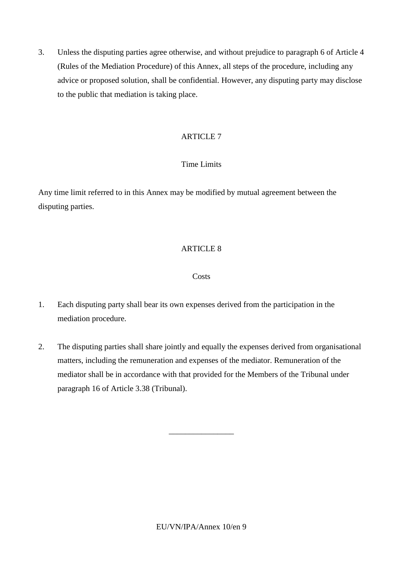3. Unless the disputing parties agree otherwise, and without prejudice to paragraph 6 of Article 4 (Rules of the Mediation Procedure) of this Annex, all steps of the procedure, including any advice or proposed solution, shall be confidential. However, any disputing party may disclose to the public that mediation is taking place.

# ARTICLE 7

# Time Limits

Any time limit referred to in this Annex may be modified by mutual agreement between the disputing parties.

# ARTICLE 8

# **Costs**

- 1. Each disputing party shall bear its own expenses derived from the participation in the mediation procedure.
- 2. The disputing parties shall share jointly and equally the expenses derived from organisational matters, including the remuneration and expenses of the mediator. Remuneration of the mediator shall be in accordance with that provided for the Members of the Tribunal under paragraph 16 of Article 3.38 (Tribunal).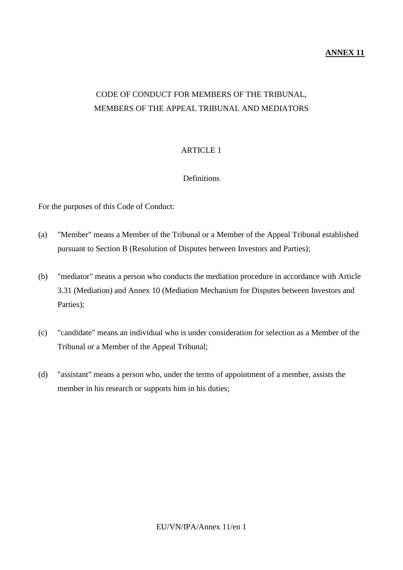### **ANNEX 11**

# CODE OF CONDUCT FOR MEMBERS OF THE TRIBUNAL, MEMBERS OF THE APPEAL TRIBUNAL AND MEDIATORS

# ARTICLE 1

### Definitions

For the purposes of this Code of Conduct:

- (a) "Member" means a Member of the Tribunal or a Member of the Appeal Tribunal established pursuant to Section B (Resolution of Disputes between Investors and Parties);
- (b) "mediator" means a person who conducts the mediation procedure in accordance with Article 3.31 (Mediation) and Annex 10 (Mediation Mechanism for Disputes between Investors and Parties);
- (c) "candidate" means an individual who is under consideration for selection as a Member of the Tribunal or a Member of the Appeal Tribunal;
- (d) "assistant" means a person who, under the terms of appointment of a member, assists the member in his research or supports him in his duties;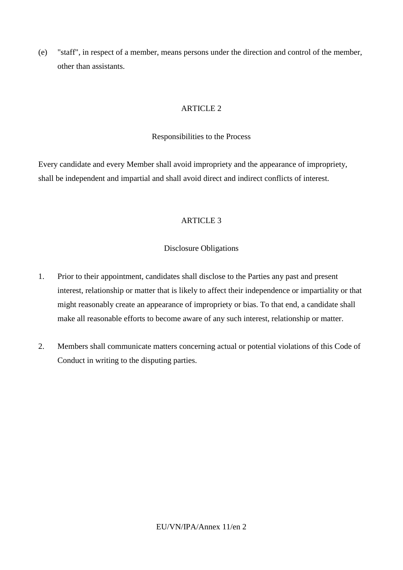(e) "staff", in respect of a member, means persons under the direction and control of the member, other than assistants.

# ARTICLE 2

### Responsibilities to the Process

Every candidate and every Member shall avoid impropriety and the appearance of impropriety, shall be independent and impartial and shall avoid direct and indirect conflicts of interest.

# ARTICLE 3

# Disclosure Obligations

- 1. Prior to their appointment, candidates shall disclose to the Parties any past and present interest, relationship or matter that is likely to affect their independence or impartiality or that might reasonably create an appearance of impropriety or bias. To that end, a candidate shall make all reasonable efforts to become aware of any such interest, relationship or matter.
- 2. Members shall communicate matters concerning actual or potential violations of this Code of Conduct in writing to the disputing parties.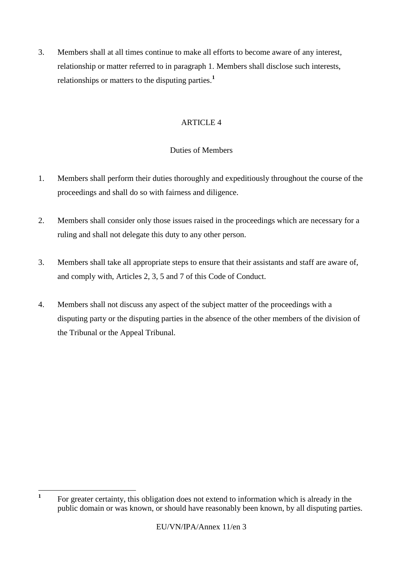3. Members shall at all times continue to make all efforts to become aware of any interest, relationship or matter referred to in paragraph 1. Members shall disclose such interests, relationships or matters to the disputing parties.**<sup>1</sup>**

# ARTICLE 4

# Duties of Members

- 1. Members shall perform their duties thoroughly and expeditiously throughout the course of the proceedings and shall do so with fairness and diligence.
- 2. Members shall consider only those issues raised in the proceedings which are necessary for a ruling and shall not delegate this duty to any other person.
- 3. Members shall take all appropriate steps to ensure that their assistants and staff are aware of, and comply with, Articles 2, 3, 5 and 7 of this Code of Conduct.
- 4. Members shall not discuss any aspect of the subject matter of the proceedings with a disputing party or the disputing parties in the absence of the other members of the division of the Tribunal or the Appeal Tribunal.

 **1** For greater certainty, this obligation does not extend to information which is already in the public domain or was known, or should have reasonably been known, by all disputing parties.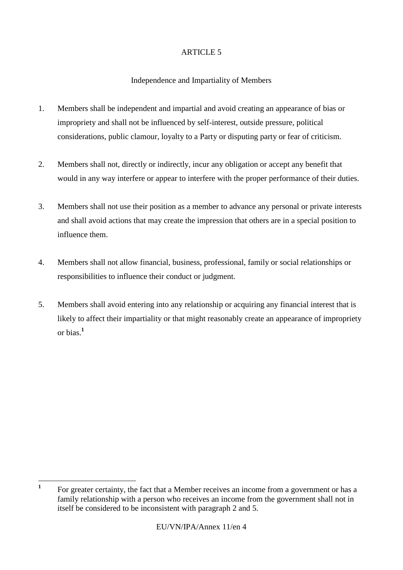# Independence and Impartiality of Members

- 1. Members shall be independent and impartial and avoid creating an appearance of bias or impropriety and shall not be influenced by self-interest, outside pressure, political considerations, public clamour, loyalty to a Party or disputing party or fear of criticism.
- 2. Members shall not, directly or indirectly, incur any obligation or accept any benefit that would in any way interfere or appear to interfere with the proper performance of their duties.
- 3. Members shall not use their position as a member to advance any personal or private interests and shall avoid actions that may create the impression that others are in a special position to influence them.
- 4. Members shall not allow financial, business, professional, family or social relationships or responsibilities to influence their conduct or judgment.
- 5. Members shall avoid entering into any relationship or acquiring any financial interest that is likely to affect their impartiality or that might reasonably create an appearance of impropriety or bias.**<sup>1</sup>**

 **1** For greater certainty, the fact that a Member receives an income from a government or has a family relationship with a person who receives an income from the government shall not in itself be considered to be inconsistent with paragraph 2 and 5.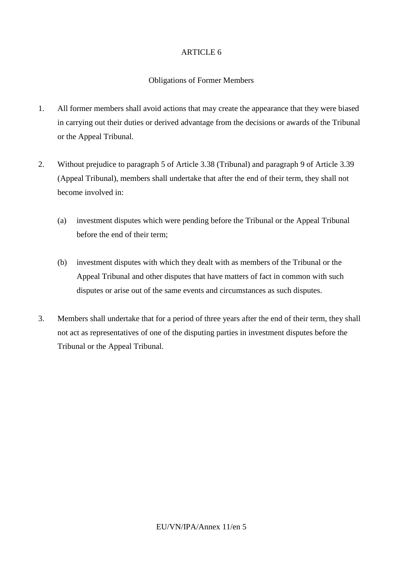#### Obligations of Former Members

- 1. All former members shall avoid actions that may create the appearance that they were biased in carrying out their duties or derived advantage from the decisions or awards of the Tribunal or the Appeal Tribunal.
- 2. Without prejudice to paragraph 5 of Article 3.38 (Tribunal) and paragraph 9 of Article 3.39 (Appeal Tribunal), members shall undertake that after the end of their term, they shall not become involved in:
	- (a) investment disputes which were pending before the Tribunal or the Appeal Tribunal before the end of their term;
	- (b) investment disputes with which they dealt with as members of the Tribunal or the Appeal Tribunal and other disputes that have matters of fact in common with such disputes or arise out of the same events and circumstances as such disputes.
- 3. Members shall undertake that for a period of three years after the end of their term, they shall not act as representatives of one of the disputing parties in investment disputes before the Tribunal or the Appeal Tribunal.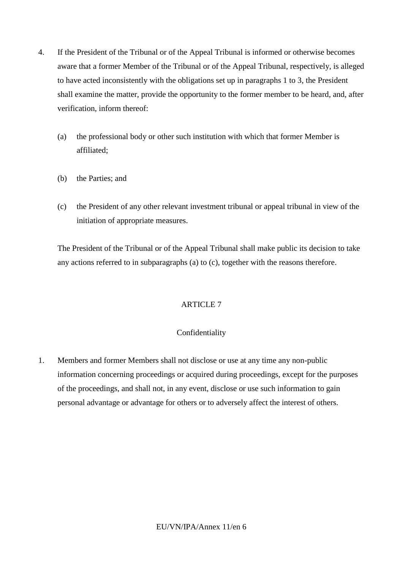- 4. If the President of the Tribunal or of the Appeal Tribunal is informed or otherwise becomes aware that a former Member of the Tribunal or of the Appeal Tribunal, respectively, is alleged to have acted inconsistently with the obligations set up in paragraphs 1 to 3, the President shall examine the matter, provide the opportunity to the former member to be heard, and, after verification, inform thereof:
	- (a) the professional body or other such institution with which that former Member is affiliated;
	- (b) the Parties; and
	- (c) the President of any other relevant investment tribunal or appeal tribunal in view of the initiation of appropriate measures.

The President of the Tribunal or of the Appeal Tribunal shall make public its decision to take any actions referred to in subparagraphs (a) to (c), together with the reasons therefore.

# ARTICLE 7

# Confidentiality

1. Members and former Members shall not disclose or use at any time any non-public information concerning proceedings or acquired during proceedings, except for the purposes of the proceedings, and shall not, in any event, disclose or use such information to gain personal advantage or advantage for others or to adversely affect the interest of others.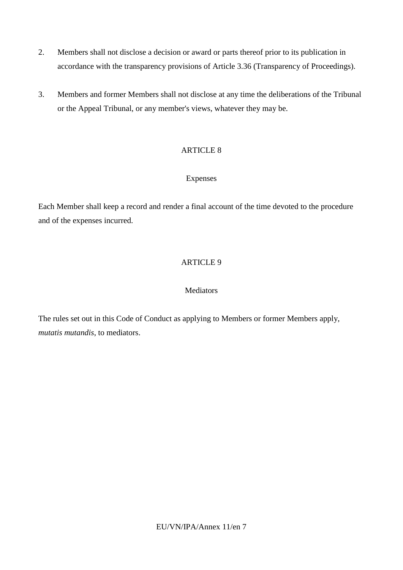- 2. Members shall not disclose a decision or award or parts thereof prior to its publication in accordance with the transparency provisions of Article 3.36 (Transparency of Proceedings).
- 3. Members and former Members shall not disclose at any time the deliberations of the Tribunal or the Appeal Tribunal, or any member's views, whatever they may be.

# Expenses

Each Member shall keep a record and render a final account of the time devoted to the procedure and of the expenses incurred.

# ARTICLE 9

### **Mediators**

The rules set out in this Code of Conduct as applying to Members or former Members apply, *mutatis mutandis*, to mediators.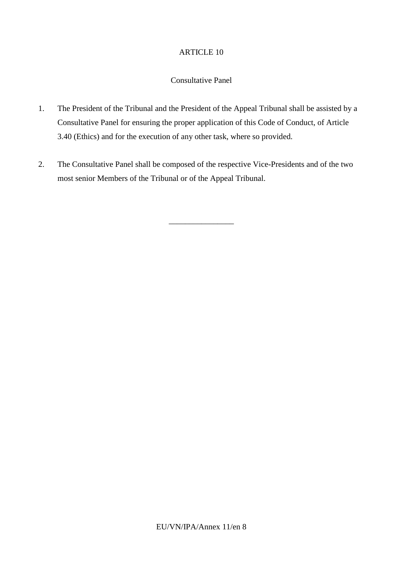### Consultative Panel

- 1. The President of the Tribunal and the President of the Appeal Tribunal shall be assisted by a Consultative Panel for ensuring the proper application of this Code of Conduct, of Article 3.40 (Ethics) and for the execution of any other task, where so provided.
- 2. The Consultative Panel shall be composed of the respective Vice-Presidents and of the two most senior Members of the Tribunal or of the Appeal Tribunal.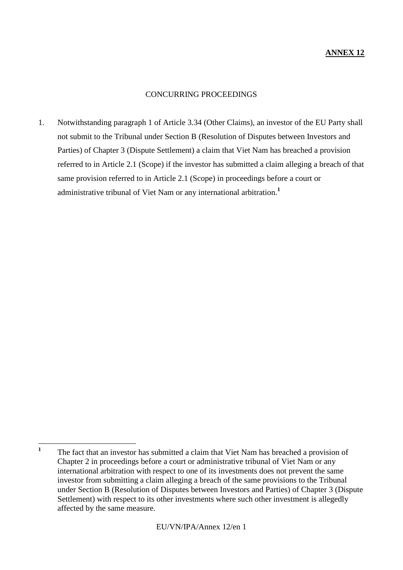# CONCURRING PROCEEDINGS

1. Notwithstanding paragraph 1 of Article 3.34 (Other Claims), an investor of the EU Party shall not submit to the Tribunal under Section B (Resolution of Disputes between Investors and Parties) of Chapter 3 (Dispute Settlement) a claim that Viet Nam has breached a provision referred to in Article 2.1 (Scope) if the investor has submitted a claim alleging a breach of that same provision referred to in Article 2.1 (Scope) in proceedings before a court or administrative tribunal of Viet Nam or any international arbitration.**<sup>1</sup>**

 **1** The fact that an investor has submitted a claim that Viet Nam has breached a provision of Chapter 2 in proceedings before a court or administrative tribunal of Viet Nam or any international arbitration with respect to one of its investments does not prevent the same investor from submitting a claim alleging a breach of the same provisions to the Tribunal under Section B (Resolution of Disputes between Investors and Parties) of Chapter 3 (Dispute Settlement) with respect to its other investments where such other investment is allegedly affected by the same measure.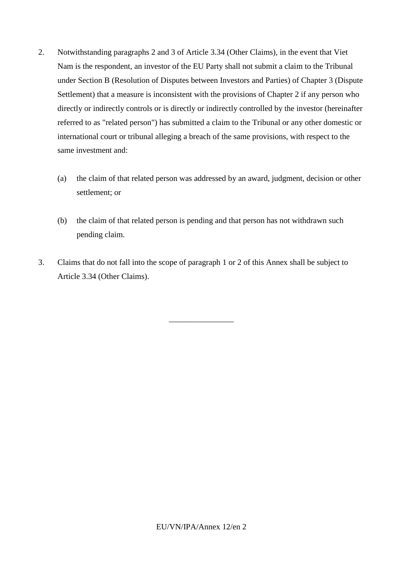- 2. Notwithstanding paragraphs 2 and 3 of Article 3.34 (Other Claims), in the event that Viet Nam is the respondent, an investor of the EU Party shall not submit a claim to the Tribunal under Section B (Resolution of Disputes between Investors and Parties) of Chapter 3 (Dispute Settlement) that a measure is inconsistent with the provisions of Chapter 2 if any person who directly or indirectly controls or is directly or indirectly controlled by the investor (hereinafter referred to as "related person") has submitted a claim to the Tribunal or any other domestic or international court or tribunal alleging a breach of the same provisions, with respect to the same investment and:
	- (a) the claim of that related person was addressed by an award, judgment, decision or other settlement; or
	- (b) the claim of that related person is pending and that person has not withdrawn such pending claim.
- 3. Claims that do not fall into the scope of paragraph 1 or 2 of this Annex shall be subject to Article 3.34 (Other Claims).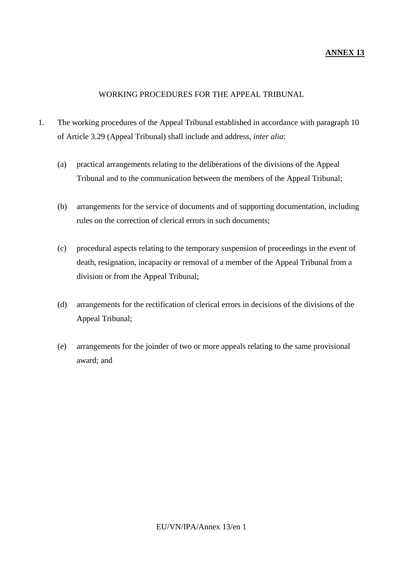### **ANNEX 13**

### WORKING PROCEDURES FOR THE APPEAL TRIBUNAL

- 1. The working procedures of the Appeal Tribunal established in accordance with paragraph 10 of Article 3.29 (Appeal Tribunal) shall include and address, *inter alia*:
	- (a) practical arrangements relating to the deliberations of the divisions of the Appeal Tribunal and to the communication between the members of the Appeal Tribunal;
	- (b) arrangements for the service of documents and of supporting documentation, including rules on the correction of clerical errors in such documents;
	- (c) procedural aspects relating to the temporary suspension of proceedings in the event of death, resignation, incapacity or removal of a member of the Appeal Tribunal from a division or from the Appeal Tribunal;
	- (d) arrangements for the rectification of clerical errors in decisions of the divisions of the Appeal Tribunal;
	- (e) arrangements for the joinder of two or more appeals relating to the same provisional award; and